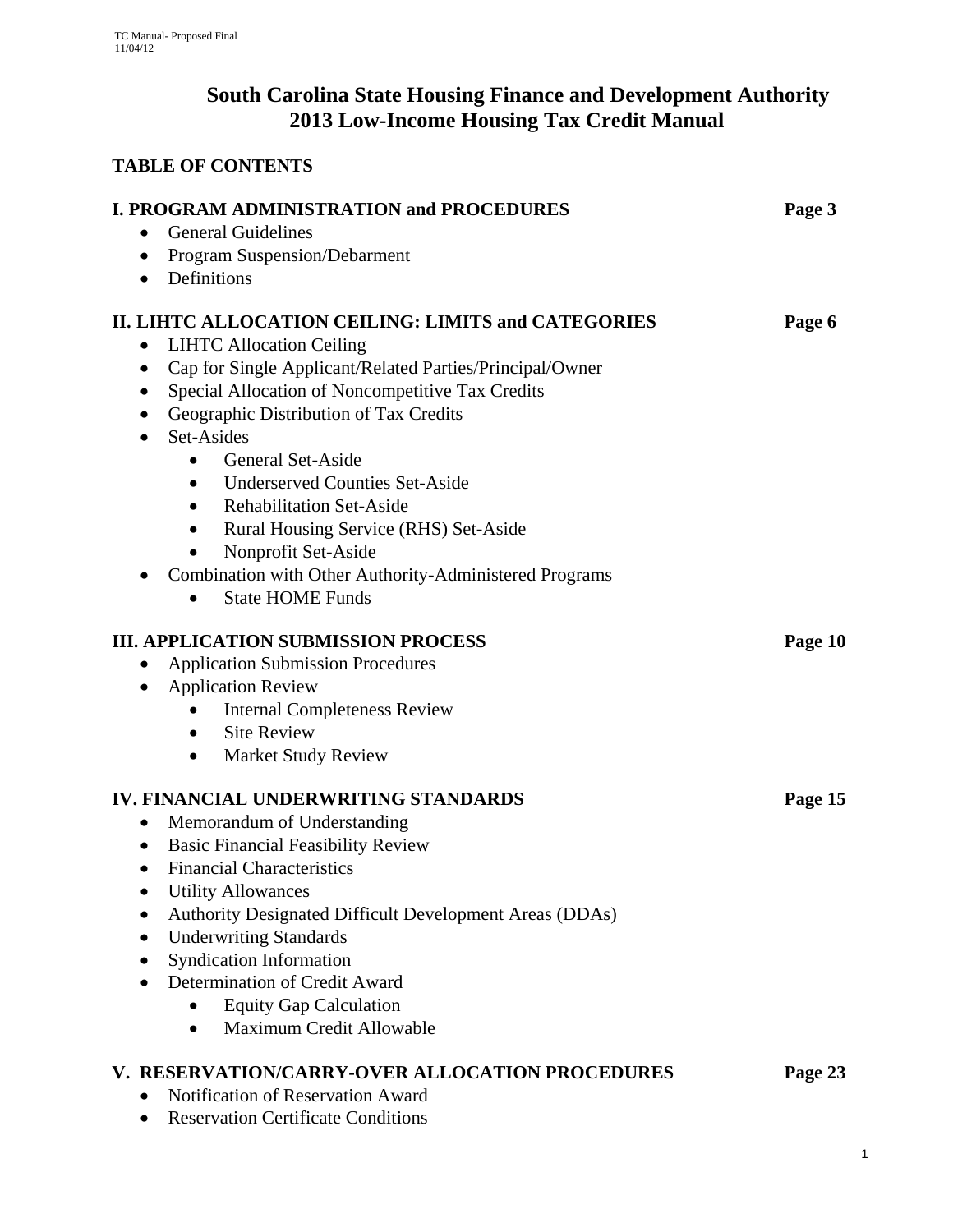# **South Carolina State Housing Finance and Development Authority 2013 Low-Income Housing Tax Credit Manual**

# **TABLE OF CONTENTS**

| <b>I. PROGRAM ADMINISTRATION and PROCEDURES</b><br><b>General Guidelines</b><br>$\bullet$                                                                                                                                                                                                                                                                                                                                                                                                                                                                                                                                                        | Page 3  |
|--------------------------------------------------------------------------------------------------------------------------------------------------------------------------------------------------------------------------------------------------------------------------------------------------------------------------------------------------------------------------------------------------------------------------------------------------------------------------------------------------------------------------------------------------------------------------------------------------------------------------------------------------|---------|
| • Program Suspension/Debarment                                                                                                                                                                                                                                                                                                                                                                                                                                                                                                                                                                                                                   |         |
| • Definitions                                                                                                                                                                                                                                                                                                                                                                                                                                                                                                                                                                                                                                    |         |
| II. LIHTC ALLOCATION CEILING: LIMITS and CATEGORIES<br><b>LIHTC Allocation Ceiling</b><br>$\bullet$<br>Cap for Single Applicant/Related Parties/Principal/Owner<br>$\bullet$<br>Special Allocation of Noncompetitive Tax Credits<br>$\bullet$<br>Geographic Distribution of Tax Credits<br>$\bullet$<br>Set-Asides<br>$\bullet$<br><b>General Set-Aside</b><br><b>Underserved Counties Set-Aside</b><br>$\bullet$<br><b>Rehabilitation Set-Aside</b><br>$\bullet$<br>Rural Housing Service (RHS) Set-Aside<br>Nonprofit Set-Aside<br>$\bullet$<br>Combination with Other Authority-Administered Programs<br><b>State HOME Funds</b><br>$\bullet$ | Page 6  |
| <b>III. APPLICATION SUBMISSION PROCESS</b><br><b>Application Submission Procedures</b><br><b>Application Review</b><br>$\bullet$<br><b>Internal Completeness Review</b><br><b>Site Review</b><br>$\bullet$<br><b>Market Study Review</b><br>$\bullet$                                                                                                                                                                                                                                                                                                                                                                                            | Page 10 |
| <b>IV. FINANCIAL UNDERWRITING STANDARDS</b><br>Memorandum of Understanding<br>$\bullet$<br><b>Basic Financial Feasibility Review</b><br>$\bullet$<br><b>Financial Characteristics</b><br>$\bullet$<br><b>Utility Allowances</b><br><b>Authority Designated Difficult Development Areas (DDAs)</b><br><b>Underwriting Standards</b><br><b>Syndication Information</b><br>Determination of Credit Award<br><b>Equity Gap Calculation</b><br>Maximum Credit Allowable<br>$\bullet$                                                                                                                                                                  | Page 15 |
| V. RESERVATION/CARRY-OVER ALLOCATION PROCEDURES<br>Notification of Reservation Award<br><b>Reservation Certificate Conditions</b>                                                                                                                                                                                                                                                                                                                                                                                                                                                                                                                | Page 23 |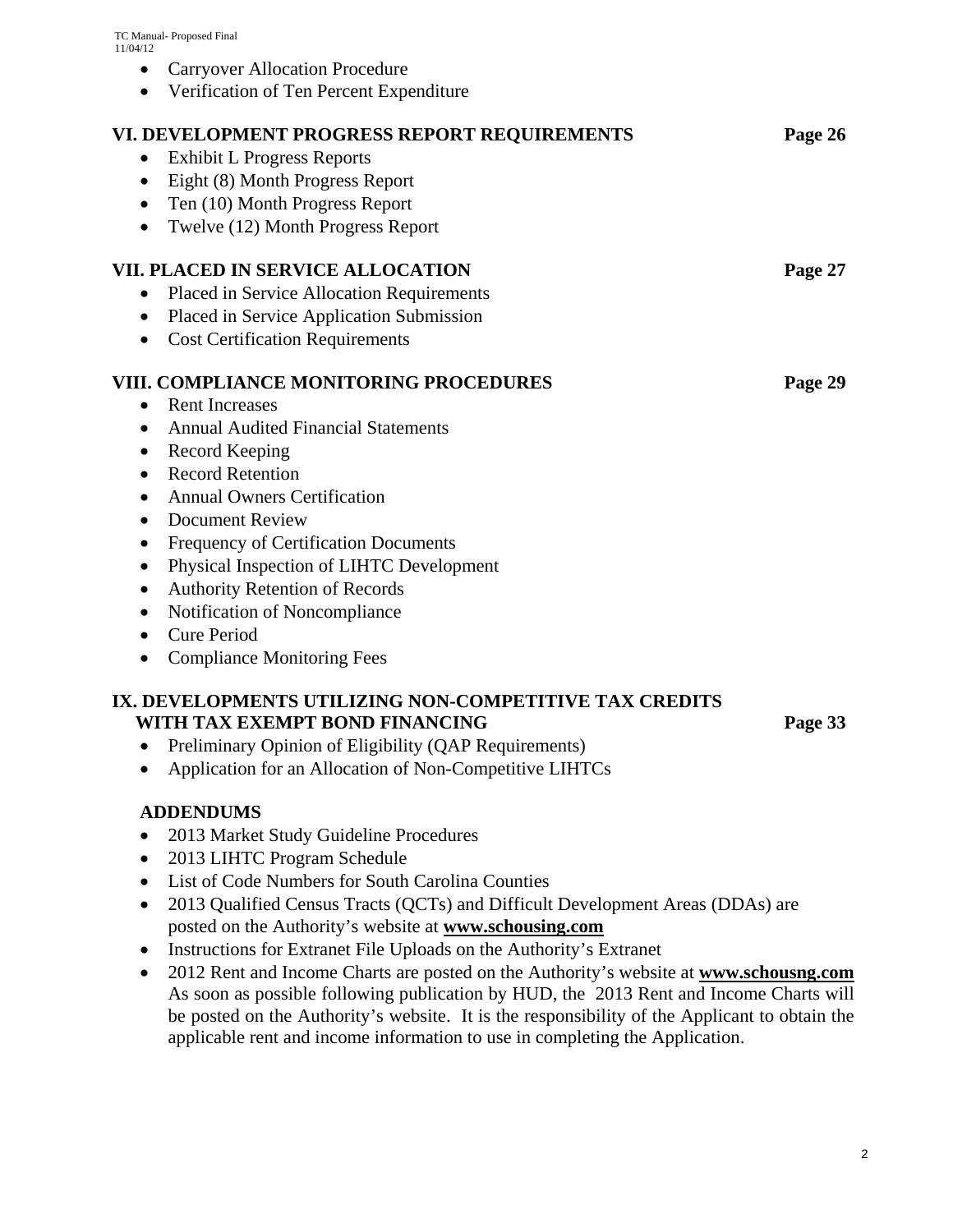- Carryover Allocation Procedure
- Verification of Ten Percent Expenditure

| VI. DEVELOPMENT PROGRESS REPORT REQUIREMENTS<br><b>Exhibit L Progress Reports</b><br>٠<br>Eight (8) Month Progress Report<br>$\bullet$<br>Ten (10) Month Progress Report<br>$\bullet$<br>Twelve (12) Month Progress Report                                                                                                                                                                                                                                                                                            | Page 26 |
|-----------------------------------------------------------------------------------------------------------------------------------------------------------------------------------------------------------------------------------------------------------------------------------------------------------------------------------------------------------------------------------------------------------------------------------------------------------------------------------------------------------------------|---------|
| <b>VII. PLACED IN SERVICE ALLOCATION</b><br>Placed in Service Allocation Requirements<br>$\bullet$<br>Placed in Service Application Submission<br>$\bullet$<br><b>Cost Certification Requirements</b><br>$\bullet$                                                                                                                                                                                                                                                                                                    | Page 27 |
| <b>VIII. COMPLIANCE MONITORING PROCEDURES</b><br><b>Rent Increases</b><br>$\bullet$<br><b>Annual Audited Financial Statements</b><br>$\bullet$<br>Record Keeping<br>$\bullet$<br><b>Record Retention</b><br>$\bullet$<br><b>Annual Owners Certification</b><br>$\bullet$<br><b>Document Review</b><br>$\bullet$<br>Frequency of Certification Documents<br>٠<br>Physical Inspection of LIHTC Development<br>$\bullet$<br><b>Authority Retention of Records</b><br>Notification of Noncompliance<br><b>Cure Period</b> | Page 29 |

## **IX. DEVELOPMENTS UTILIZING NON-COMPETITIVE TAX CREDITS WITH TAX EXEMPT BOND FINANCING PAGE 33**

- Preliminary Opinion of Eligibility (QAP Requirements)
- Application for an Allocation of Non-Competitive LIHTCs

## **ADDENDUMS**

- 2013 Market Study Guideline Procedures
- 2013 LIHTC Program Schedule
- List of Code Numbers for South Carolina Counties
- 2013 Qualified Census Tracts (QCTs) and Difficult Development Areas (DDAs) are posted on the Authority's website at **www.schousing.com**
- Instructions for Extranet File Uploads on the Authority's Extranet
- 2012 Rent and Income Charts are posted on the Authority's website at **www.schousng.com** As soon as possible following publication by HUD, the 2013 Rent and Income Charts will be posted on the Authority's website. It is the responsibility of the Applicant to obtain the applicable rent and income information to use in completing the Application.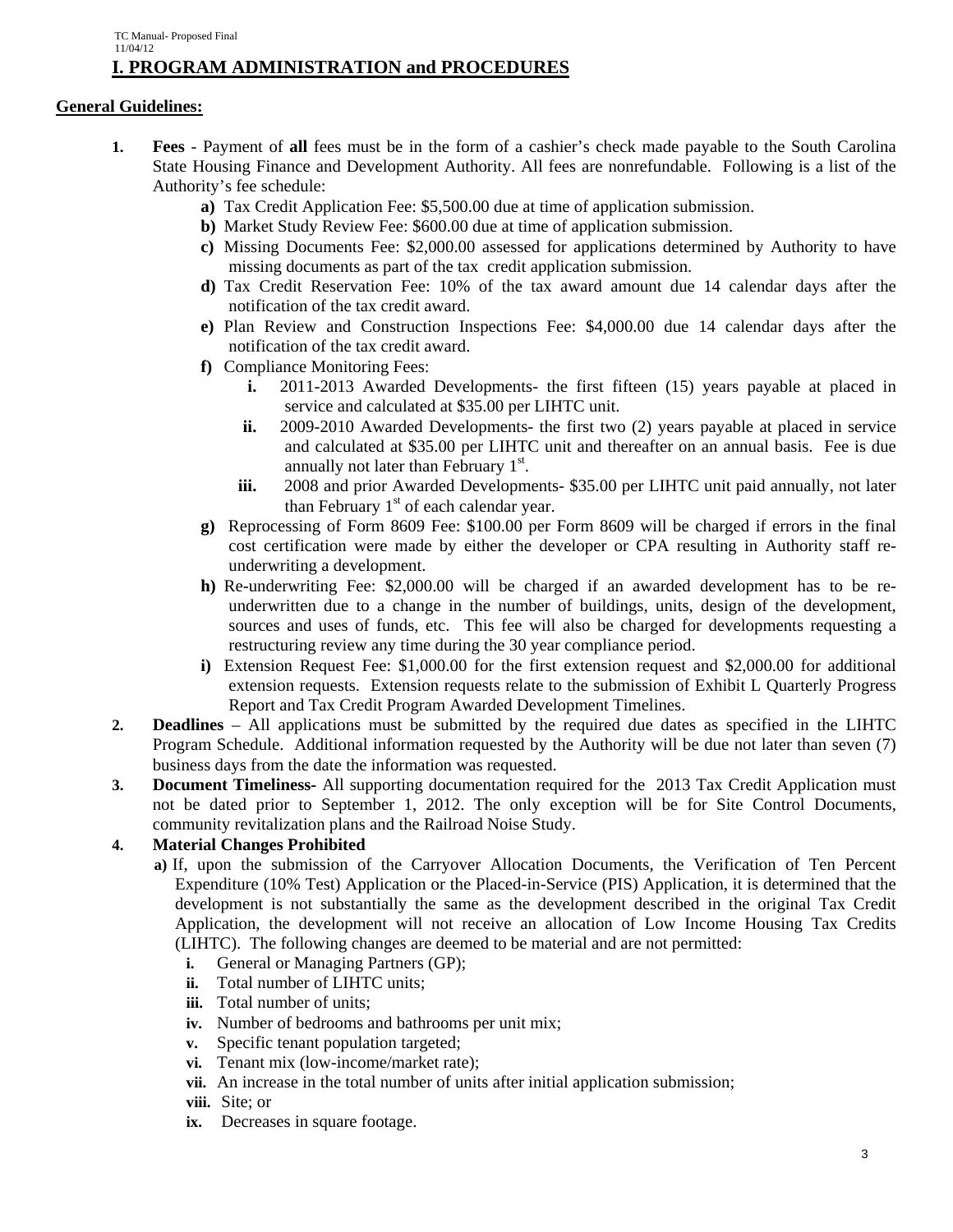## **General Guidelines:**

- **1. Fees** Payment of **all** fees must be in the form of a cashier's check made payable to the South Carolina State Housing Finance and Development Authority. All fees are nonrefundable. Following is a list of the Authority's fee schedule:
	- **a)** Tax Credit Application Fee: \$5,500.00 due at time of application submission.
	- **b)** Market Study Review Fee: \$600.00 due at time of application submission.
	- **c)** Missing Documents Fee: \$2,000.00 assessed for applications determined by Authority to have missing documents as part of the tax credit application submission.
	- **d)** Tax Credit Reservation Fee: 10% of the tax award amount due 14 calendar days after the notification of the tax credit award.
	- **e)** Plan Review and Construction Inspections Fee: \$4,000.00 due 14 calendar days after the notification of the tax credit award.
	- **f)** Compliance Monitoring Fees:
		- **i.** 2011-2013 Awarded Developments- the first fifteen (15) years payable at placed in service and calculated at \$35.00 per LIHTC unit.
		- **ii.** 2009-2010 Awarded Developments- the first two (2) years payable at placed in service and calculated at \$35.00 per LIHTC unit and thereafter on an annual basis. Fee is due annually not later than February 1<sup>st</sup>.
		- **iii.** 2008 and prior Awarded Developments- \$35.00 per LIHTC unit paid annually, not later than February  $1<sup>st</sup>$  of each calendar year.
	- **g)** Reprocessing of Form 8609 Fee: \$100.00 per Form 8609 will be charged if errors in the final cost certification were made by either the developer or CPA resulting in Authority staff reunderwriting a development.
	- **h)** Re-underwriting Fee: \$2,000.00 will be charged if an awarded development has to be reunderwritten due to a change in the number of buildings, units, design of the development, sources and uses of funds, etc. This fee will also be charged for developments requesting a restructuring review any time during the 30 year compliance period.
	- **i)** Extension Request Fee: \$1,000.00 for the first extension request and \$2,000.00 for additional extension requests. Extension requests relate to the submission of Exhibit L Quarterly Progress Report and Tax Credit Program Awarded Development Timelines.
- **2. Deadlines** All applications must be submitted by the required due dates as specified in the LIHTC Program Schedule. Additional information requested by the Authority will be due not later than seven (7) business days from the date the information was requested.
- **3. Document Timeliness-** All supporting documentation required for the 2013 Tax Credit Application must not be dated prior to September 1, 2012. The only exception will be for Site Control Documents, community revitalization plans and the Railroad Noise Study.

## **4. Material Changes Prohibited**

- **a)** If, upon the submission of the Carryover Allocation Documents, the Verification of Ten Percent Expenditure (10% Test) Application or the Placed-in-Service (PIS) Application, it is determined that the development is not substantially the same as the development described in the original Tax Credit Application, the development will not receive an allocation of Low Income Housing Tax Credits (LIHTC). The following changes are deemed to be material and are not permitted:
	- **i.** General or Managing Partners (GP);
	- **ii.** Total number of LIHTC units;
	- **iii.** Total number of units;
	- **iv.** Number of bedrooms and bathrooms per unit mix;
	- **v.** Specific tenant population targeted;
	- **vi.** Tenant mix (low-income/market rate);
	- **vii.** An increase in the total number of units after initial application submission;
	- **viii.** Site; or
	- **ix.** Decreases in square footage.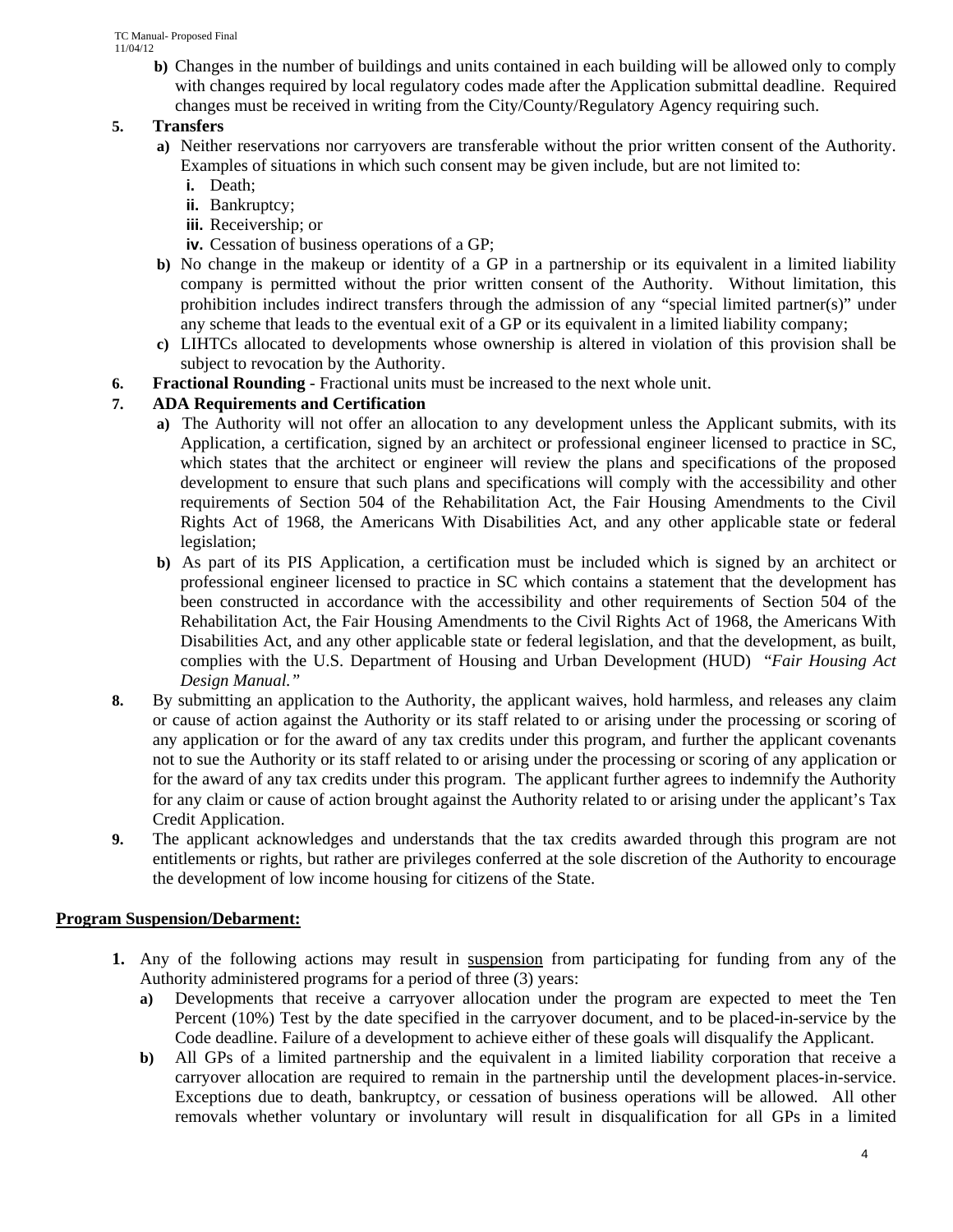**b)** Changes in the number of buildings and units contained in each building will be allowed only to comply with changes required by local regulatory codes made after the Application submittal deadline. Required changes must be received in writing from the City/County/Regulatory Agency requiring such.

## **5. Transfers**

- **a)** Neither reservations nor carryovers are transferable without the prior written consent of the Authority. Examples of situations in which such consent may be given include, but are not limited to:
	- **i.** Death;
	- **ii.** Bankruptcy;
	- **iii.** Receivership; or
	- **iv.** Cessation of business operations of a GP;
- **b)** No change in the makeup or identity of a GP in a partnership or its equivalent in a limited liability company is permitted without the prior written consent of the Authority. Without limitation, this prohibition includes indirect transfers through the admission of any "special limited partner(s)" under any scheme that leads to the eventual exit of a GP or its equivalent in a limited liability company;
- **c)** LIHTCs allocated to developments whose ownership is altered in violation of this provision shall be subject to revocation by the Authority.
- **6. Fractional Rounding** Fractional units must be increased to the next whole unit.

## **7. ADA Requirements and Certification**

- **a)** The Authority will not offer an allocation to any development unless the Applicant submits, with its Application, a certification, signed by an architect or professional engineer licensed to practice in SC, which states that the architect or engineer will review the plans and specifications of the proposed development to ensure that such plans and specifications will comply with the accessibility and other requirements of Section 504 of the Rehabilitation Act, the Fair Housing Amendments to the Civil Rights Act of 1968, the Americans With Disabilities Act, and any other applicable state or federal legislation;
- **b)** As part of its PIS Application, a certification must be included which is signed by an architect or professional engineer licensed to practice in SC which contains a statement that the development has been constructed in accordance with the accessibility and other requirements of Section 504 of the Rehabilitation Act, the Fair Housing Amendments to the Civil Rights Act of 1968, the Americans With Disabilities Act, and any other applicable state or federal legislation, and that the development, as built, complies with the U.S. Department of Housing and Urban Development (HUD) "*Fair Housing Act Design Manual."*
- **8.** By submitting an application to the Authority, the applicant waives, hold harmless, and releases any claim or cause of action against the Authority or its staff related to or arising under the processing or scoring of any application or for the award of any tax credits under this program, and further the applicant covenants not to sue the Authority or its staff related to or arising under the processing or scoring of any application or for the award of any tax credits under this program. The applicant further agrees to indemnify the Authority for any claim or cause of action brought against the Authority related to or arising under the applicant's Tax Credit Application.
- **9.** The applicant acknowledges and understands that the tax credits awarded through this program are not entitlements or rights, but rather are privileges conferred at the sole discretion of the Authority to encourage the development of low income housing for citizens of the State.

## **Program Suspension/Debarment:**

- **1.** Any of the following actions may result in suspension from participating for funding from any of the Authority administered programs for a period of three (3) years:
	- **a)** Developments that receive a carryover allocation under the program are expected to meet the Ten Percent (10%) Test by the date specified in the carryover document, and to be placed-in-service by the Code deadline. Failure of a development to achieve either of these goals will disqualify the Applicant.
	- **b)** All GPs of a limited partnership and the equivalent in a limited liability corporation that receive a carryover allocation are required to remain in the partnership until the development places-in-service. Exceptions due to death, bankruptcy, or cessation of business operations will be allowed. All other removals whether voluntary or involuntary will result in disqualification for all GPs in a limited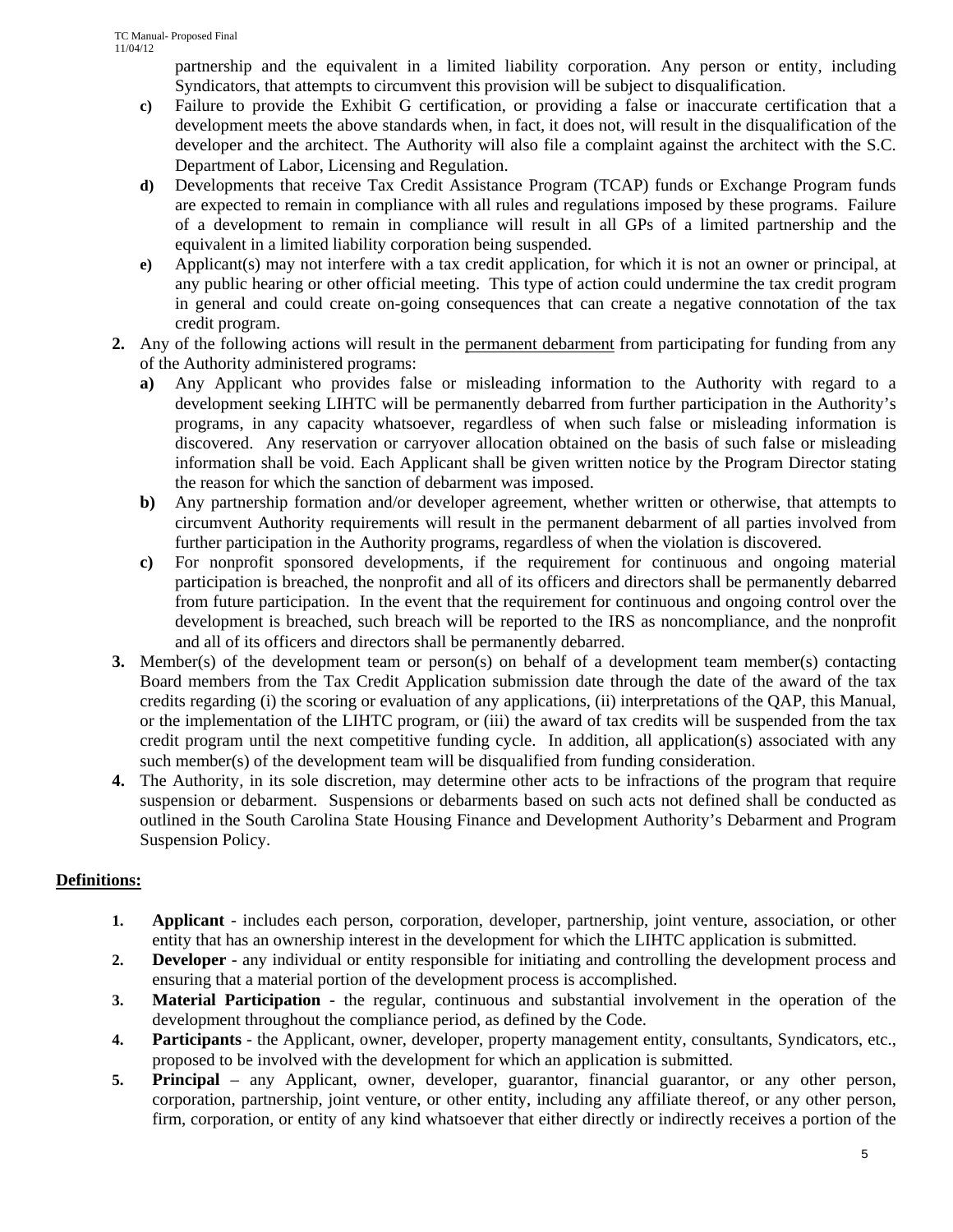partnership and the equivalent in a limited liability corporation. Any person or entity, including Syndicators, that attempts to circumvent this provision will be subject to disqualification.

- **c)** Failure to provide the Exhibit G certification, or providing a false or inaccurate certification that a development meets the above standards when, in fact, it does not, will result in the disqualification of the developer and the architect. The Authority will also file a complaint against the architect with the S.C. Department of Labor, Licensing and Regulation.
- **d)** Developments that receive Tax Credit Assistance Program (TCAP) funds or Exchange Program funds are expected to remain in compliance with all rules and regulations imposed by these programs. Failure of a development to remain in compliance will result in all GPs of a limited partnership and the equivalent in a limited liability corporation being suspended.
- **e)** Applicant(s) may not interfere with a tax credit application, for which it is not an owner or principal, at any public hearing or other official meeting. This type of action could undermine the tax credit program in general and could create on-going consequences that can create a negative connotation of the tax credit program.
- **2.** Any of the following actions will result in the permanent debarment from participating for funding from any of the Authority administered programs:
	- **a)** Any Applicant who provides false or misleading information to the Authority with regard to a development seeking LIHTC will be permanently debarred from further participation in the Authority's programs, in any capacity whatsoever, regardless of when such false or misleading information is discovered. Any reservation or carryover allocation obtained on the basis of such false or misleading information shall be void. Each Applicant shall be given written notice by the Program Director stating the reason for which the sanction of debarment was imposed.
	- **b)** Any partnership formation and/or developer agreement, whether written or otherwise, that attempts to circumvent Authority requirements will result in the permanent debarment of all parties involved from further participation in the Authority programs, regardless of when the violation is discovered.
	- **c)** For nonprofit sponsored developments, if the requirement for continuous and ongoing material participation is breached, the nonprofit and all of its officers and directors shall be permanently debarred from future participation. In the event that the requirement for continuous and ongoing control over the development is breached, such breach will be reported to the IRS as noncompliance, and the nonprofit and all of its officers and directors shall be permanently debarred.
- **3.** Member(s) of the development team or person(s) on behalf of a development team member(s) contacting Board members from the Tax Credit Application submission date through the date of the award of the tax credits regarding (i) the scoring or evaluation of any applications, (ii) interpretations of the QAP, this Manual, or the implementation of the LIHTC program, or (iii) the award of tax credits will be suspended from the tax credit program until the next competitive funding cycle. In addition, all application(s) associated with any such member(s) of the development team will be disqualified from funding consideration.
- **4.** The Authority, in its sole discretion, may determine other acts to be infractions of the program that require suspension or debarment. Suspensions or debarments based on such acts not defined shall be conducted as outlined in the South Carolina State Housing Finance and Development Authority's Debarment and Program Suspension Policy.

## **Definitions:**

- **1. Applicant** includes each person, corporation, developer, partnership, joint venture, association, or other entity that has an ownership interest in the development for which the LIHTC application is submitted.
- **2. Developer** any individual or entity responsible for initiating and controlling the development process and ensuring that a material portion of the development process is accomplished.
- **3. Material Participation**  the regular, continuous and substantial involvement in the operation of the development throughout the compliance period, as defined by the Code.
- **4. Participants** the Applicant, owner, developer, property management entity, consultants, Syndicators, etc., proposed to be involved with the development for which an application is submitted.
- **5. Principal** any Applicant, owner, developer, guarantor, financial guarantor, or any other person, corporation, partnership, joint venture, or other entity, including any affiliate thereof, or any other person, firm, corporation, or entity of any kind whatsoever that either directly or indirectly receives a portion of the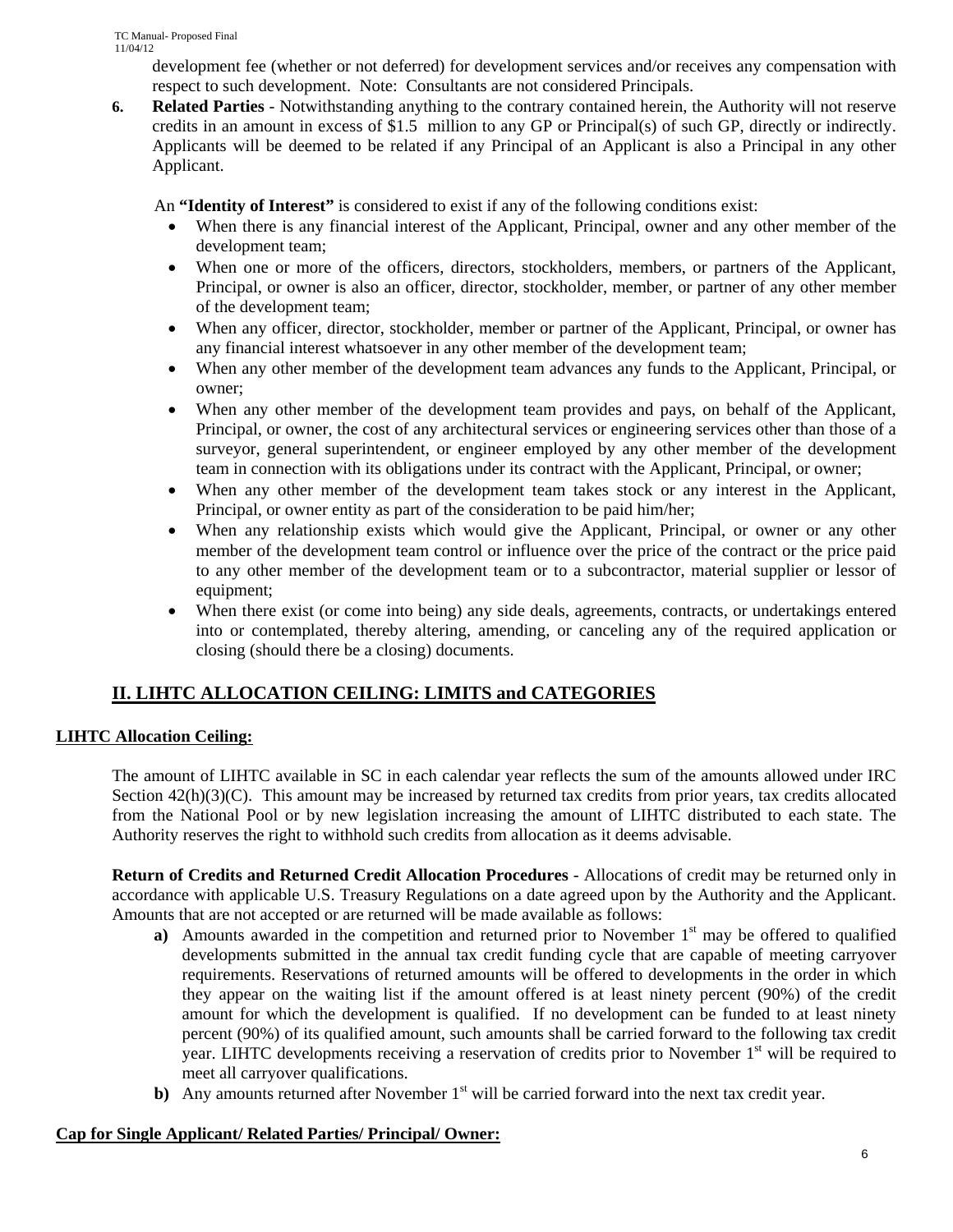development fee (whether or not deferred) for development services and/or receives any compensation with respect to such development. Note: Consultants are not considered Principals.

**6. Related Parties** - Notwithstanding anything to the contrary contained herein, the Authority will not reserve credits in an amount in excess of \$1.5 million to any GP or Principal(s) of such GP, directly or indirectly. Applicants will be deemed to be related if any Principal of an Applicant is also a Principal in any other Applicant.

An **"Identity of Interest"** is considered to exist if any of the following conditions exist:

- When there is any financial interest of the Applicant, Principal, owner and any other member of the development team;
- When one or more of the officers, directors, stockholders, members, or partners of the Applicant, Principal, or owner is also an officer, director, stockholder, member, or partner of any other member of the development team;
- When any officer, director, stockholder, member or partner of the Applicant, Principal, or owner has any financial interest whatsoever in any other member of the development team;
- When any other member of the development team advances any funds to the Applicant, Principal, or owner;
- When any other member of the development team provides and pays, on behalf of the Applicant, Principal, or owner, the cost of any architectural services or engineering services other than those of a surveyor, general superintendent, or engineer employed by any other member of the development team in connection with its obligations under its contract with the Applicant, Principal, or owner;
- When any other member of the development team takes stock or any interest in the Applicant, Principal, or owner entity as part of the consideration to be paid him/her;
- When any relationship exists which would give the Applicant, Principal, or owner or any other member of the development team control or influence over the price of the contract or the price paid to any other member of the development team or to a subcontractor, material supplier or lessor of equipment;
- When there exist (or come into being) any side deals, agreements, contracts, or undertakings entered into or contemplated, thereby altering, amending, or canceling any of the required application or closing (should there be a closing) documents.

## **II. LIHTC ALLOCATION CEILING: LIMITS and CATEGORIES**

## **LIHTC Allocation Ceiling:**

The amount of LIHTC available in SC in each calendar year reflects the sum of the amounts allowed under IRC Section  $42(h)(3)(C)$ . This amount may be increased by returned tax credits from prior years, tax credits allocated from the National Pool or by new legislation increasing the amount of LIHTC distributed to each state. The Authority reserves the right to withhold such credits from allocation as it deems advisable.

**Return of Credits and Returned Credit Allocation Procedures** - Allocations of credit may be returned only in accordance with applicable U.S. Treasury Regulations on a date agreed upon by the Authority and the Applicant. Amounts that are not accepted or are returned will be made available as follows:

- **a**) Amounts awarded in the competition and returned prior to November  $1<sup>st</sup>$  may be offered to qualified developments submitted in the annual tax credit funding cycle that are capable of meeting carryover requirements. Reservations of returned amounts will be offered to developments in the order in which they appear on the waiting list if the amount offered is at least ninety percent (90%) of the credit amount for which the development is qualified. If no development can be funded to at least ninety percent (90%) of its qualified amount, such amounts shall be carried forward to the following tax credit year. LIHTC developments receiving a reservation of credits prior to November 1<sup>st</sup> will be required to meet all carryover qualifications.
- **b**) Any amounts returned after November 1<sup>st</sup> will be carried forward into the next tax credit year.

## **Cap for Single Applicant/ Related Parties/ Principal/ Owner:**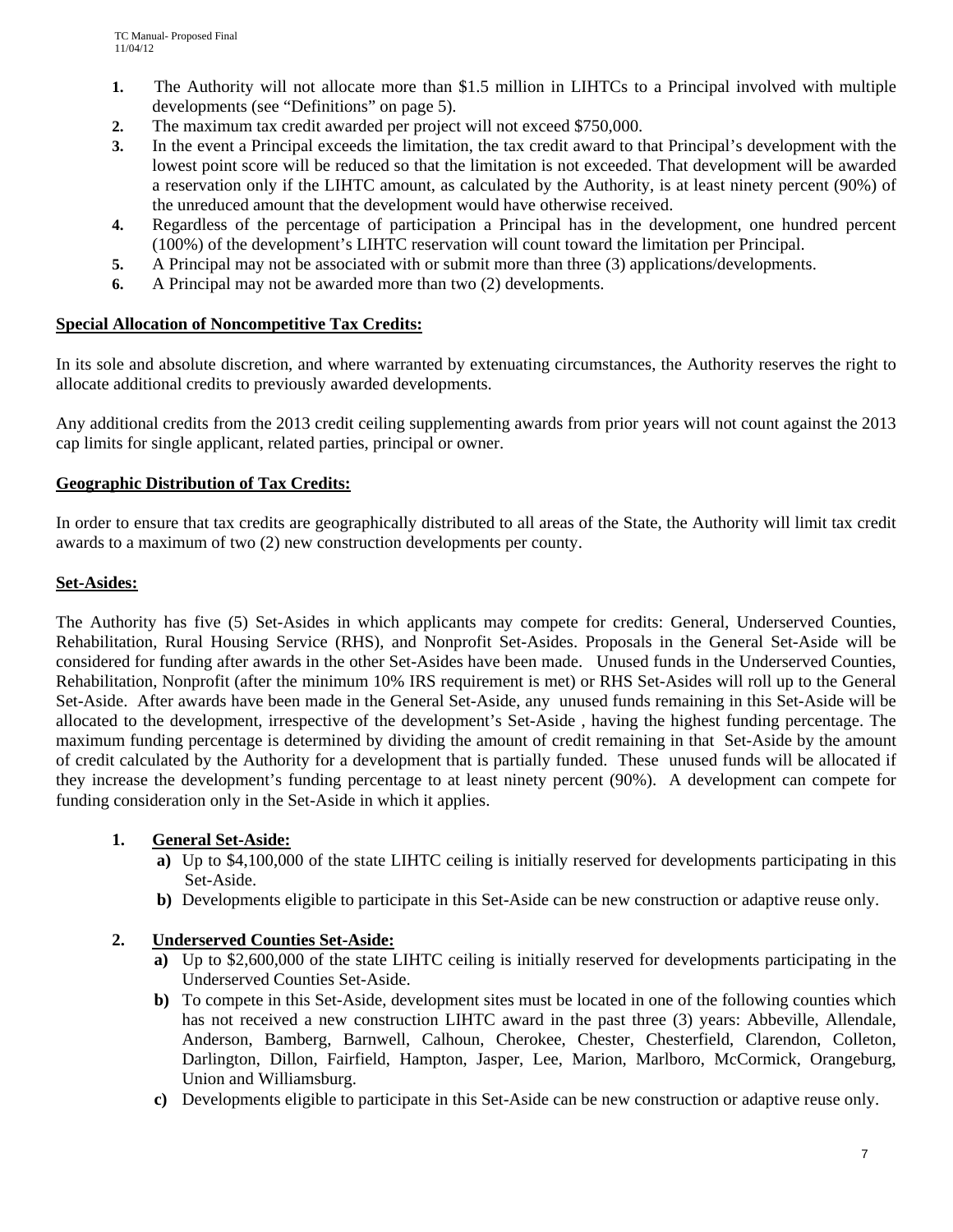- **1.** The Authority will not allocate more than \$1.5 million in LIHTCs to a Principal involved with multiple developments (see "Definitions" on page 5).
- **2.** The maximum tax credit awarded per project will not exceed \$750,000.
- **3.** In the event a Principal exceeds the limitation, the tax credit award to that Principal's development with the lowest point score will be reduced so that the limitation is not exceeded. That development will be awarded a reservation only if the LIHTC amount, as calculated by the Authority, is at least ninety percent (90%) of the unreduced amount that the development would have otherwise received.
- **4.** Regardless of the percentage of participation a Principal has in the development, one hundred percent (100%) of the development's LIHTC reservation will count toward the limitation per Principal.
- **5.** A Principal may not be associated with or submit more than three (3) applications/developments.
- **6.** A Principal may not be awarded more than two (2) developments.

### **Special Allocation of Noncompetitive Tax Credits:**

In its sole and absolute discretion, and where warranted by extenuating circumstances, the Authority reserves the right to allocate additional credits to previously awarded developments.

Any additional credits from the 2013 credit ceiling supplementing awards from prior years will not count against the 2013 cap limits for single applicant, related parties, principal or owner.

## **Geographic Distribution of Tax Credits:**

In order to ensure that tax credits are geographically distributed to all areas of the State, the Authority will limit tax credit awards to a maximum of two (2) new construction developments per county.

#### **Set-Asides:**

The Authority has five (5) Set-Asides in which applicants may compete for credits: General, Underserved Counties, Rehabilitation, Rural Housing Service (RHS), and Nonprofit Set-Asides. Proposals in the General Set-Aside will be considered for funding after awards in the other Set-Asides have been made. Unused funds in the Underserved Counties, Rehabilitation, Nonprofit (after the minimum 10% IRS requirement is met) or RHS Set-Asides will roll up to the General Set-Aside. After awards have been made in the General Set-Aside, any unused funds remaining in this Set-Aside will be allocated to the development, irrespective of the development's Set-Aside , having the highest funding percentage. The maximum funding percentage is determined by dividing the amount of credit remaining in that Set-Aside by the amount of credit calculated by the Authority for a development that is partially funded. These unused funds will be allocated if they increase the development's funding percentage to at least ninety percent (90%). A development can compete for funding consideration only in the Set-Aside in which it applies.

#### **1. General Set-Aside:**

- **a)** Up to \$4,100,000 of the state LIHTC ceiling is initially reserved for developments participating in this Set-Aside.
- **b)** Developments eligible to participate in this Set-Aside can be new construction or adaptive reuse only.

## **2. Underserved Counties Set-Aside:**

- **a)** Up to \$2,600,000 of the state LIHTC ceiling is initially reserved for developments participating in the Underserved Counties Set-Aside.
- **b)** To compete in this Set-Aside, development sites must be located in one of the following counties which has not received a new construction LIHTC award in the past three (3) years: Abbeville, Allendale, Anderson, Bamberg, Barnwell, Calhoun, Cherokee, Chester, Chesterfield, Clarendon, Colleton, Darlington, Dillon, Fairfield, Hampton, Jasper, Lee, Marion, Marlboro, McCormick, Orangeburg, Union and Williamsburg.
- **c)** Developments eligible to participate in this Set-Aside can be new construction or adaptive reuse only.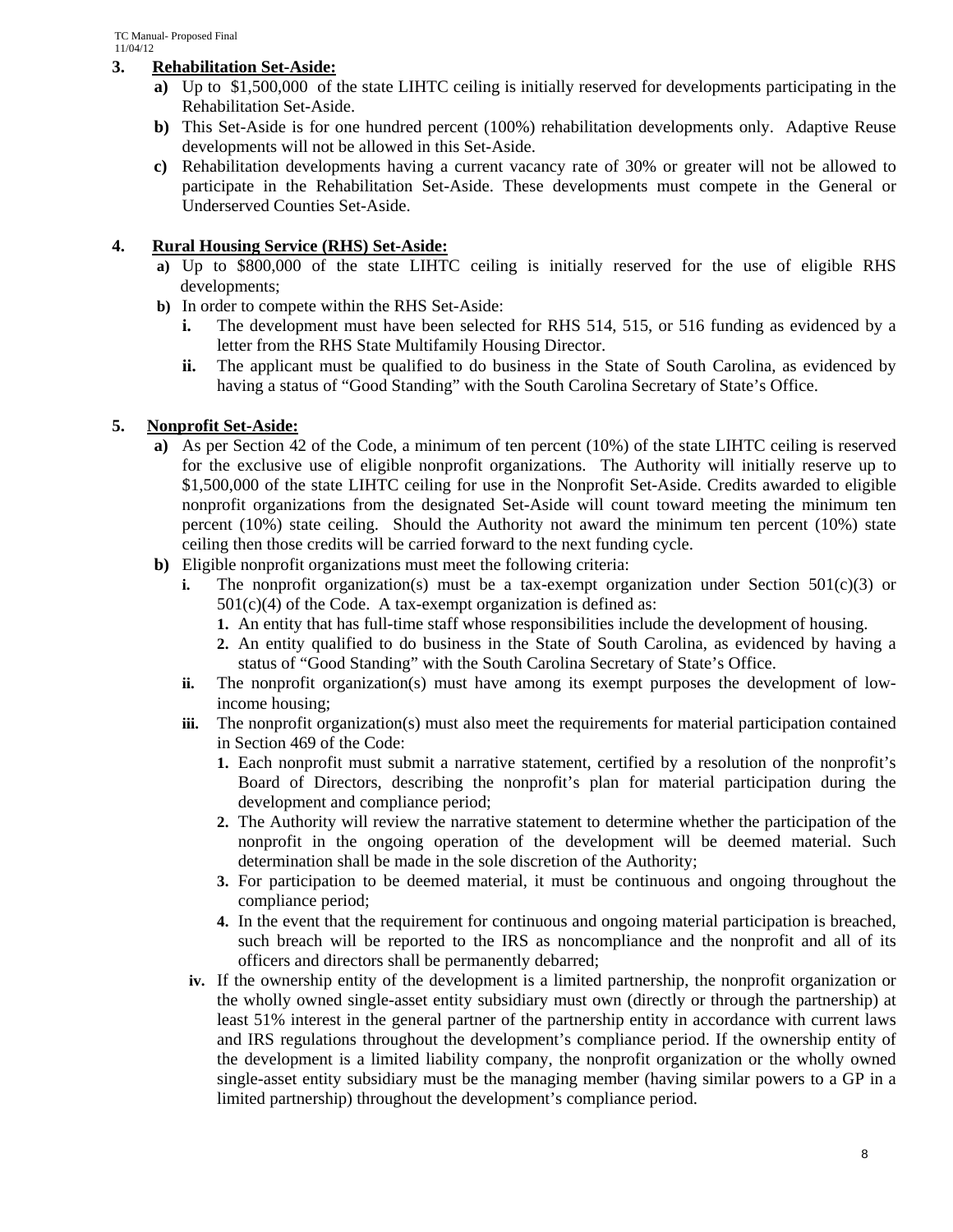### **3. Rehabilitation Set-Aside:**

- **a)** Up to \$1,500,000 of the state LIHTC ceiling is initially reserved for developments participating in the Rehabilitation Set-Aside.
- **b)** This Set-Aside is for one hundred percent (100%) rehabilitation developments only. Adaptive Reuse developments will not be allowed in this Set-Aside.
- **c)** Rehabilitation developments having a current vacancy rate of 30% or greater will not be allowed to participate in the Rehabilitation Set-Aside. These developments must compete in the General or Underserved Counties Set-Aside.

### **4. Rural Housing Service (RHS) Set-Aside:**

- **a)** Up to \$800,000 of the state LIHTC ceiling is initially reserved for the use of eligible RHS developments;
- **b)** In order to compete within the RHS Set-Aside:
	- **i.** The development must have been selected for RHS 514, 515, or 516 funding as evidenced by a letter from the RHS State Multifamily Housing Director.
	- **ii.** The applicant must be qualified to do business in the State of South Carolina, as evidenced by having a status of "Good Standing" with the South Carolina Secretary of State's Office.

### **5. Nonprofit Set-Aside:**

- **a)** As per Section 42 of the Code, a minimum of ten percent (10%) of the state LIHTC ceiling is reserved for the exclusive use of eligible nonprofit organizations. The Authority will initially reserve up to \$1,500,000 of the state LIHTC ceiling for use in the Nonprofit Set-Aside. Credits awarded to eligible nonprofit organizations from the designated Set-Aside will count toward meeting the minimum ten percent (10%) state ceiling. Should the Authority not award the minimum ten percent (10%) state ceiling then those credits will be carried forward to the next funding cycle.
- **b)** Eligible nonprofit organizations must meet the following criteria:
	- **i.** The nonprofit organization(s) must be a tax-exempt organization under Section  $501(c)(3)$  or  $501(c)(4)$  of the Code. A tax-exempt organization is defined as:
		- **1.** An entity that has full-time staff whose responsibilities include the development of housing.
		- **2.** An entity qualified to do business in the State of South Carolina, as evidenced by having a status of "Good Standing" with the South Carolina Secretary of State's Office.
	- **ii.** The nonprofit organization(s) must have among its exempt purposes the development of lowincome housing;
	- **iii.** The nonprofit organization(s) must also meet the requirements for material participation contained in Section 469 of the Code:
		- **1.** Each nonprofit must submit a narrative statement, certified by a resolution of the nonprofit's Board of Directors, describing the nonprofit's plan for material participation during the development and compliance period;
		- **2.** The Authority will review the narrative statement to determine whether the participation of the nonprofit in the ongoing operation of the development will be deemed material. Such determination shall be made in the sole discretion of the Authority;
		- **3.** For participation to be deemed material, it must be continuous and ongoing throughout the compliance period;
		- **4.** In the event that the requirement for continuous and ongoing material participation is breached, such breach will be reported to the IRS as noncompliance and the nonprofit and all of its officers and directors shall be permanently debarred;
	- **iv.** If the ownership entity of the development is a limited partnership, the nonprofit organization or the wholly owned single-asset entity subsidiary must own (directly or through the partnership) at least 51% interest in the general partner of the partnership entity in accordance with current laws and IRS regulations throughout the development's compliance period. If the ownership entity of the development is a limited liability company, the nonprofit organization or the wholly owned single-asset entity subsidiary must be the managing member (having similar powers to a GP in a limited partnership) throughout the development's compliance period.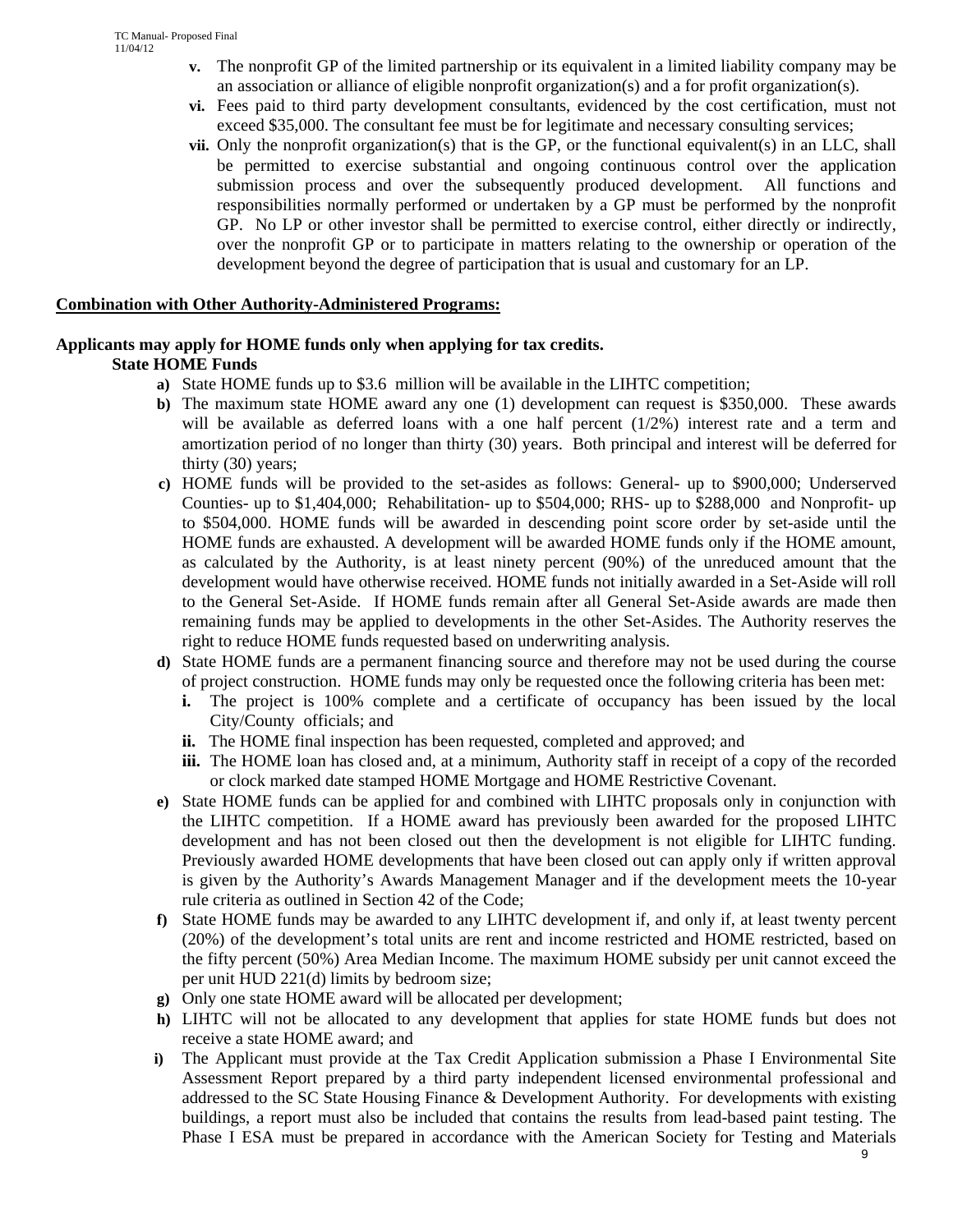- **v.** The nonprofit GP of the limited partnership or its equivalent in a limited liability company may be an association or alliance of eligible nonprofit organization(s) and a for profit organization(s).
- **vi.** Fees paid to third party development consultants, evidenced by the cost certification, must not exceed \$35,000. The consultant fee must be for legitimate and necessary consulting services;
- **vii.** Only the nonprofit organization(s) that is the GP, or the functional equivalent(s) in an LLC, shall be permitted to exercise substantial and ongoing continuous control over the application submission process and over the subsequently produced development. All functions and responsibilities normally performed or undertaken by a GP must be performed by the nonprofit GP. No LP or other investor shall be permitted to exercise control, either directly or indirectly, over the nonprofit GP or to participate in matters relating to the ownership or operation of the development beyond the degree of participation that is usual and customary for an LP.

#### **Combination with Other Authority-Administered Programs:**

#### **Applicants may apply for HOME funds only when applying for tax credits. State HOME Funds**

- **a)** State HOME funds up to \$3.6 million will be available in the LIHTC competition;
- **b)** The maximum state HOME award any one (1) development can request is \$350,000. These awards will be available as deferred loans with a one half percent  $(1/2%)$  interest rate and a term and amortization period of no longer than thirty (30) years. Both principal and interest will be deferred for thirty (30) years;
- **c)** HOME funds will be provided to the set-asides as follows: General- up to \$900,000; Underserved Counties- up to \$1,404,000; Rehabilitation- up to \$504,000; RHS- up to \$288,000 and Nonprofit- up to \$504,000. HOME funds will be awarded in descending point score order by set-aside until the HOME funds are exhausted. A development will be awarded HOME funds only if the HOME amount, as calculated by the Authority, is at least ninety percent (90%) of the unreduced amount that the development would have otherwise received. HOME funds not initially awarded in a Set-Aside will roll to the General Set-Aside. If HOME funds remain after all General Set-Aside awards are made then remaining funds may be applied to developments in the other Set-Asides. The Authority reserves the right to reduce HOME funds requested based on underwriting analysis.
- **d)** State HOME funds are a permanent financing source and therefore may not be used during the course of project construction. HOME funds may only be requested once the following criteria has been met:
	- **i.** The project is 100% complete and a certificate of occupancy has been issued by the local City/County officials; and
	- **ii.** The HOME final inspection has been requested, completed and approved; and
	- **iii.** The HOME loan has closed and, at a minimum, Authority staff in receipt of a copy of the recorded or clock marked date stamped HOME Mortgage and HOME Restrictive Covenant.
- **e)** State HOME funds can be applied for and combined with LIHTC proposals only in conjunction with the LIHTC competition. If a HOME award has previously been awarded for the proposed LIHTC development and has not been closed out then the development is not eligible for LIHTC funding. Previously awarded HOME developments that have been closed out can apply only if written approval is given by the Authority's Awards Management Manager and if the development meets the 10-year rule criteria as outlined in Section 42 of the Code;
- **f)** State HOME funds may be awarded to any LIHTC development if, and only if, at least twenty percent (20%) of the development's total units are rent and income restricted and HOME restricted, based on the fifty percent (50%) Area Median Income. The maximum HOME subsidy per unit cannot exceed the per unit HUD 221(d) limits by bedroom size;
- **g)** Only one state HOME award will be allocated per development;
- **h)** LIHTC will not be allocated to any development that applies for state HOME funds but does not receive a state HOME award; and
- **i)** The Applicant must provide at the Tax Credit Application submission a Phase I Environmental Site Assessment Report prepared by a third party independent licensed environmental professional and addressed to the SC State Housing Finance & Development Authority. For developments with existing buildings, a report must also be included that contains the results from lead-based paint testing. The Phase I ESA must be prepared in accordance with the American Society for Testing and Materials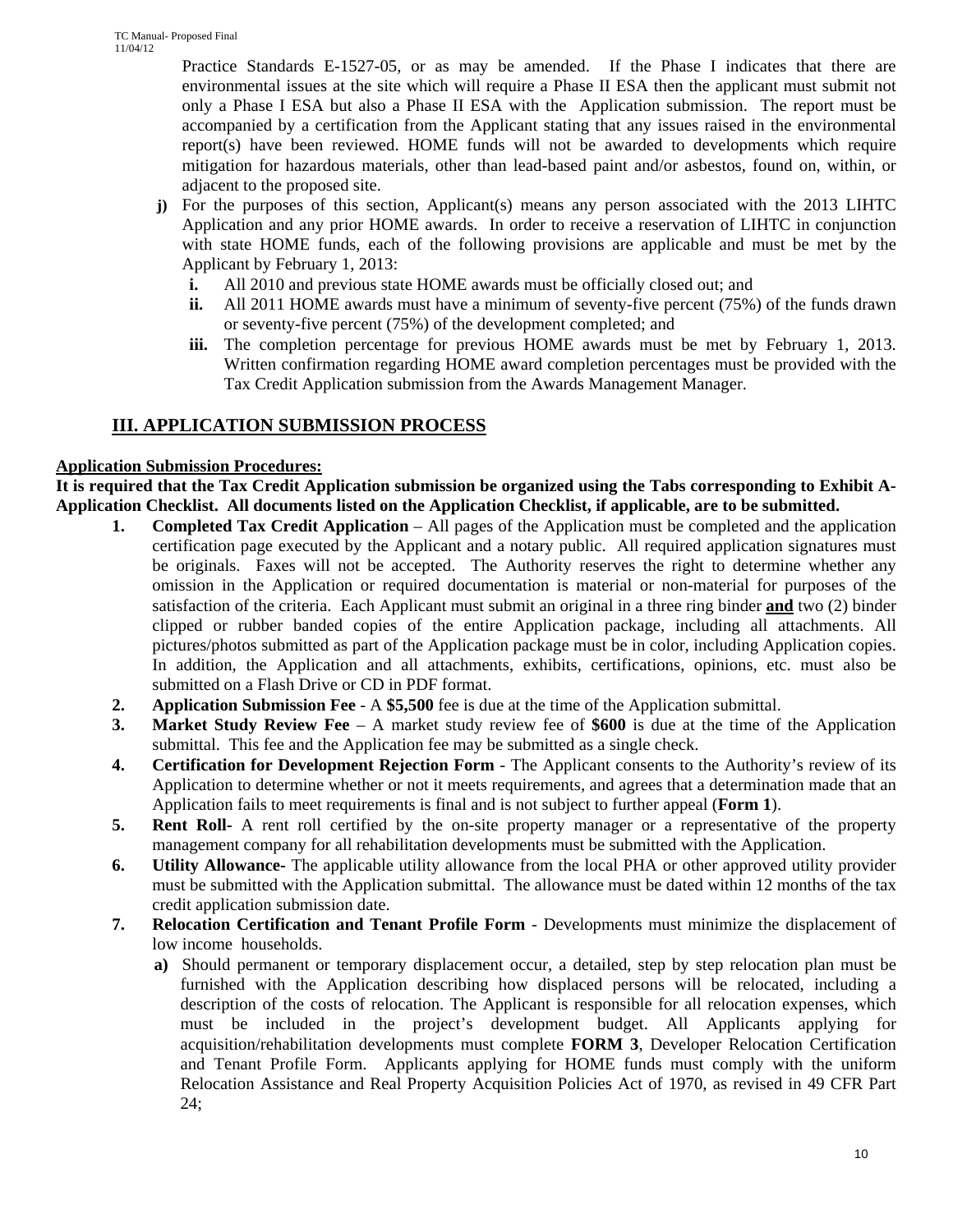Practice Standards E-1527-05, or as may be amended. If the Phase I indicates that there are environmental issues at the site which will require a Phase II ESA then the applicant must submit not only a Phase I ESA but also a Phase II ESA with the Application submission. The report must be accompanied by a certification from the Applicant stating that any issues raised in the environmental report(s) have been reviewed. HOME funds will not be awarded to developments which require mitigation for hazardous materials, other than lead-based paint and/or asbestos, found on, within, or adjacent to the proposed site.

- **j**) For the purposes of this section, Applicant(s) means any person associated with the 2013 LIHTC Application and any prior HOME awards. In order to receive a reservation of LIHTC in conjunction with state HOME funds, each of the following provisions are applicable and must be met by the Applicant by February 1, 2013:
	- **i.** All 2010 and previous state HOME awards must be officially closed out; and
	- **ii.** All 2011 HOME awards must have a minimum of seventy-five percent (75%) of the funds drawn or seventy-five percent (75%) of the development completed; and
	- **iii.** The completion percentage for previous HOME awards must be met by February 1, 2013. Written confirmation regarding HOME award completion percentages must be provided with the Tax Credit Application submission from the Awards Management Manager.

# **III. APPLICATION SUBMISSION PROCESS**

## **Application Submission Procedures:**

**It is required that the Tax Credit Application submission be organized using the Tabs corresponding to Exhibit A-Application Checklist. All documents listed on the Application Checklist, if applicable, are to be submitted.** 

- **1. Completed Tax Credit Application** All pages of the Application must be completed and the application certification page executed by the Applicant and a notary public. All required application signatures must be originals. Faxes will not be accepted. The Authority reserves the right to determine whether any omission in the Application or required documentation is material or non-material for purposes of the satisfaction of the criteria. Each Applicant must submit an original in a three ring binder **and** two (2) binder clipped or rubber banded copies of the entire Application package, including all attachments. All pictures/photos submitted as part of the Application package must be in color, including Application copies. In addition, the Application and all attachments, exhibits, certifications, opinions, etc. must also be submitted on a Flash Drive or CD in PDF format.
- **2. Application Submission Fee**  A **\$5,500** fee is due at the time of the Application submittal.
- **3. Market Study Review Fee** A market study review fee of **\$600** is due at the time of the Application submittal. This fee and the Application fee may be submitted as a single check.
- **4. Certification for Development Rejection Form** The Applicant consents to the Authority's review of its Application to determine whether or not it meets requirements, and agrees that a determination made that an Application fails to meet requirements is final and is not subject to further appeal (**Form 1**).
- **5. Rent Roll-** A rent roll certified by the on-site property manager or a representative of the property management company for all rehabilitation developments must be submitted with the Application.
- **6. Utility Allowance-** The applicable utility allowance from the local PHA or other approved utility provider must be submitted with the Application submittal. The allowance must be dated within 12 months of the tax credit application submission date.
- **7. Relocation Certification and Tenant Profile Form** Developments must minimize the displacement of low income households.
	- **a**) Should permanent or temporary displacement occur, a detailed, step by step relocation plan must be furnished with the Application describing how displaced persons will be relocated, including a description of the costs of relocation. The Applicant is responsible for all relocation expenses, which must be included in the project's development budget. All Applicants applying for acquisition/rehabilitation developments must complete **FORM 3**, Developer Relocation Certification and Tenant Profile Form. Applicants applying for HOME funds must comply with the uniform Relocation Assistance and Real Property Acquisition Policies Act of 1970, as revised in 49 CFR Part 24;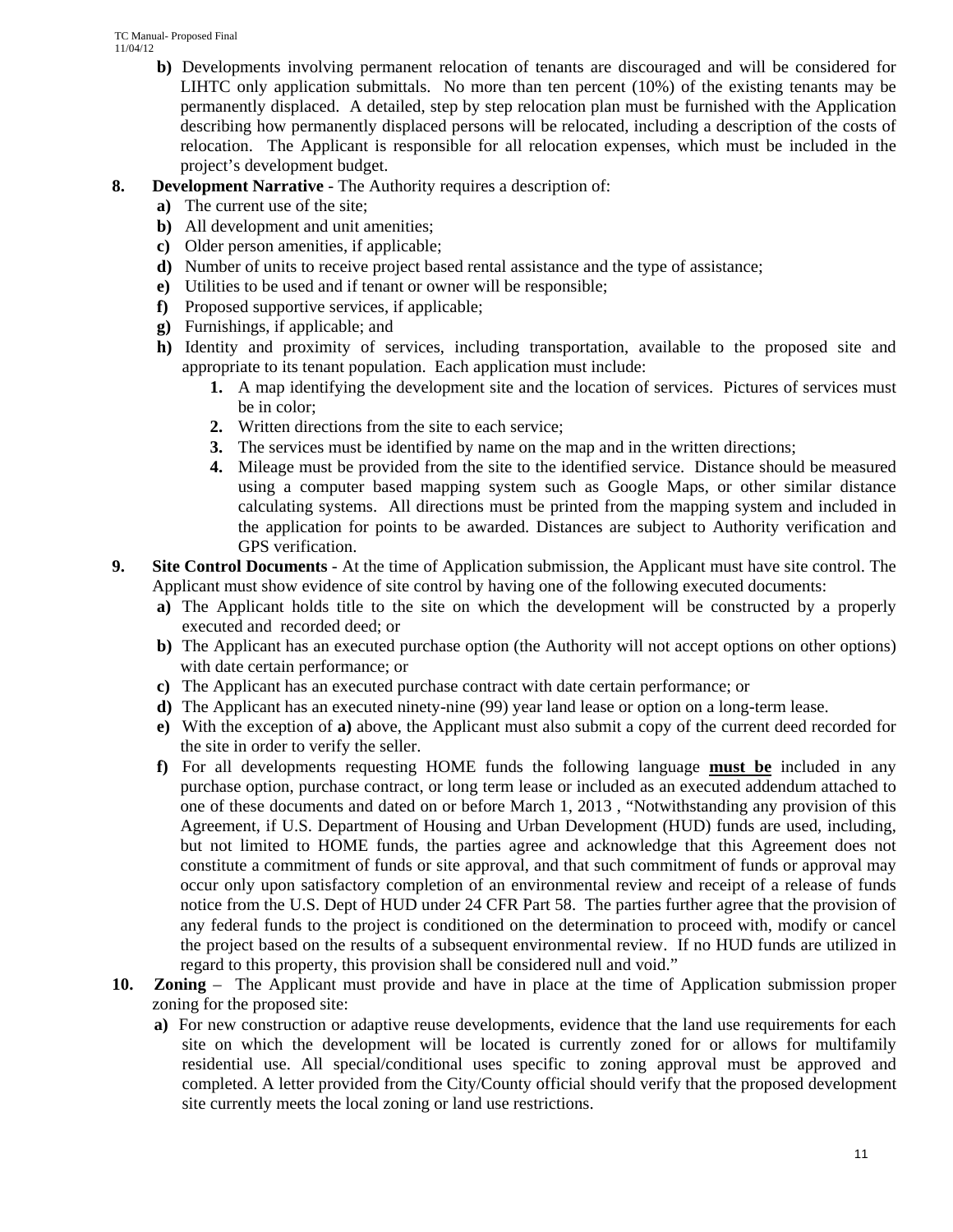- **b)** Developments involving permanent relocation of tenants are discouraged and will be considered for LIHTC only application submittals. No more than ten percent (10%) of the existing tenants may be permanently displaced. A detailed, step by step relocation plan must be furnished with the Application describing how permanently displaced persons will be relocated, including a description of the costs of relocation. The Applicant is responsible for all relocation expenses, which must be included in the project's development budget.
- **8. Development Narrative** The Authority requires a description of:
	- **a)** The current use of the site;
	- **b)** All development and unit amenities;
	- **c)** Older person amenities, if applicable;
	- **d)** Number of units to receive project based rental assistance and the type of assistance;
	- **e)** Utilities to be used and if tenant or owner will be responsible;
	- **f)** Proposed supportive services, if applicable;
	- **g)** Furnishings, if applicable; and
	- **h)** Identity and proximity of services, including transportation, available to the proposed site and appropriate to its tenant population. Each application must include:
		- **1.** A map identifying the development site and the location of services. Pictures of services must be in color;
		- **2.** Written directions from the site to each service;
		- **3.** The services must be identified by name on the map and in the written directions;
		- **4.** Mileage must be provided from the site to the identified service. Distance should be measured using a computer based mapping system such as Google Maps, or other similar distance calculating systems. All directions must be printed from the mapping system and included in the application for points to be awarded. Distances are subject to Authority verification and GPS verification.
- **9. Site Control Documents** At the time of Application submission, the Applicant must have site control. The Applicant must show evidence of site control by having one of the following executed documents:
	- **a)** The Applicant holds title to the site on which the development will be constructed by a properly executed and recorded deed; or
	- **b**) The Applicant has an executed purchase option (the Authority will not accept options on other options) with date certain performance; or
	- **c)** The Applicant has an executed purchase contract with date certain performance; or
	- **d)** The Applicant has an executed ninety-nine (99) year land lease or option on a long-term lease.
	- **e)** With the exception of **a)** above, the Applicant must also submit a copy of the current deed recorded for the site in order to verify the seller.
	- **f)** For all developments requesting HOME funds the following language **must be** included in any purchase option, purchase contract, or long term lease or included as an executed addendum attached to one of these documents and dated on or before March 1, 2013 , "Notwithstanding any provision of this Agreement, if U.S. Department of Housing and Urban Development (HUD) funds are used, including, but not limited to HOME funds, the parties agree and acknowledge that this Agreement does not constitute a commitment of funds or site approval, and that such commitment of funds or approval may occur only upon satisfactory completion of an environmental review and receipt of a release of funds notice from the U.S. Dept of HUD under 24 CFR Part 58. The parties further agree that the provision of any federal funds to the project is conditioned on the determination to proceed with, modify or cancel the project based on the results of a subsequent environmental review. If no HUD funds are utilized in regard to this property, this provision shall be considered null and void."
- **10. Zoning**  The Applicant must provide and have in place at the time of Application submission proper zoning for the proposed site:
	- **a)** For new construction or adaptive reuse developments, evidence that the land use requirements for each site on which the development will be located is currently zoned for or allows for multifamily residential use. All special/conditional uses specific to zoning approval must be approved and completed. A letter provided from the City/County official should verify that the proposed development site currently meets the local zoning or land use restrictions.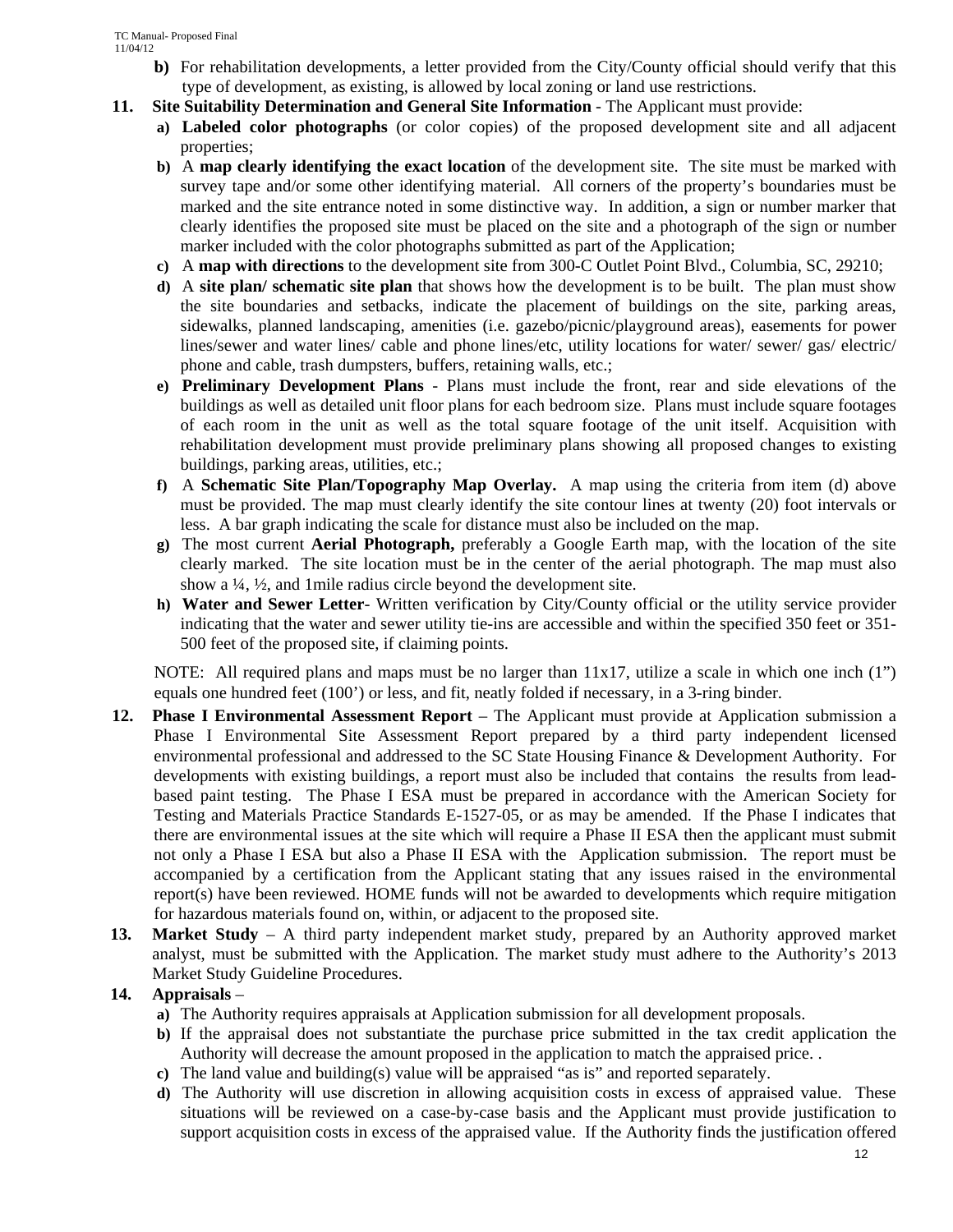- **b**) For rehabilitation developments, a letter provided from the City/County official should verify that this type of development, as existing, is allowed by local zoning or land use restrictions.
- **11. Site Suitability Determination and General Site Information** The Applicant must provide:
	- **a) Labeled color photographs** (or color copies) of the proposed development site and all adjacent properties;
	- **b)** A **map clearly identifying the exact location** of the development site. The site must be marked with survey tape and/or some other identifying material. All corners of the property's boundaries must be marked and the site entrance noted in some distinctive way. In addition, a sign or number marker that clearly identifies the proposed site must be placed on the site and a photograph of the sign or number marker included with the color photographs submitted as part of the Application;
	- **c)** A **map with directions** to the development site from 300-C Outlet Point Blvd., Columbia, SC, 29210;
	- **d)** A **site plan/ schematic site plan** that shows how the development is to be built. The plan must show the site boundaries and setbacks, indicate the placement of buildings on the site, parking areas, sidewalks, planned landscaping, amenities (i.e. gazebo/picnic/playground areas), easements for power lines/sewer and water lines/ cable and phone lines/etc, utility locations for water/ sewer/ gas/ electric/ phone and cable, trash dumpsters, buffers, retaining walls, etc.;
	- **e) Preliminary Development Plans** Plans must include the front, rear and side elevations of the buildings as well as detailed unit floor plans for each bedroom size. Plans must include square footages of each room in the unit as well as the total square footage of the unit itself. Acquisition with rehabilitation development must provide preliminary plans showing all proposed changes to existing buildings, parking areas, utilities, etc.;
	- **f)** A **Schematic Site Plan/Topography Map Overlay.** A map using the criteria from item (d) above must be provided. The map must clearly identify the site contour lines at twenty (20) foot intervals or less. A bar graph indicating the scale for distance must also be included on the map.
	- **g)** The most current **Aerial Photograph,** preferably a Google Earth map, with the location of the site clearly marked. The site location must be in the center of the aerial photograph. The map must also show a ¼, ½, and 1mile radius circle beyond the development site.
	- **h) Water and Sewer Letter** Written verification by City/County official or the utility service provider indicating that the water and sewer utility tie-ins are accessible and within the specified 350 feet or 351- 500 feet of the proposed site, if claiming points.

NOTE: All required plans and maps must be no larger than  $11x17$ , utilize a scale in which one inch  $(1")$ equals one hundred feet (100') or less, and fit, neatly folded if necessary, in a 3-ring binder.

- **12. Phase I Environmental Assessment Report**  The Applicant must provide at Application submission a Phase I Environmental Site Assessment Report prepared by a third party independent licensed environmental professional and addressed to the SC State Housing Finance & Development Authority. For developments with existing buildings, a report must also be included that contains the results from leadbased paint testing. The Phase I ESA must be prepared in accordance with the American Society for Testing and Materials Practice Standards E-1527-05, or as may be amended. If the Phase I indicates that there are environmental issues at the site which will require a Phase II ESA then the applicant must submit not only a Phase I ESA but also a Phase II ESA with the Application submission. The report must be accompanied by a certification from the Applicant stating that any issues raised in the environmental report(s) have been reviewed. HOME funds will not be awarded to developments which require mitigation for hazardous materials found on, within, or adjacent to the proposed site.
- **13. Market Study**  A third party independent market study, prepared by an Authority approved market analyst, must be submitted with the Application. The market study must adhere to the Authority's 2013 Market Study Guideline Procedures.

## **14. Appraisals** –

- **a)** The Authority requires appraisals at Application submission for all development proposals.
- **b)** If the appraisal does not substantiate the purchase price submitted in the tax credit application the Authority will decrease the amount proposed in the application to match the appraised price. .
- **c)** The land value and building(s) value will be appraised "as is" and reported separately.
- **d)** The Authority will use discretion in allowing acquisition costs in excess of appraised value. These situations will be reviewed on a case-by-case basis and the Applicant must provide justification to support acquisition costs in excess of the appraised value. If the Authority finds the justification offered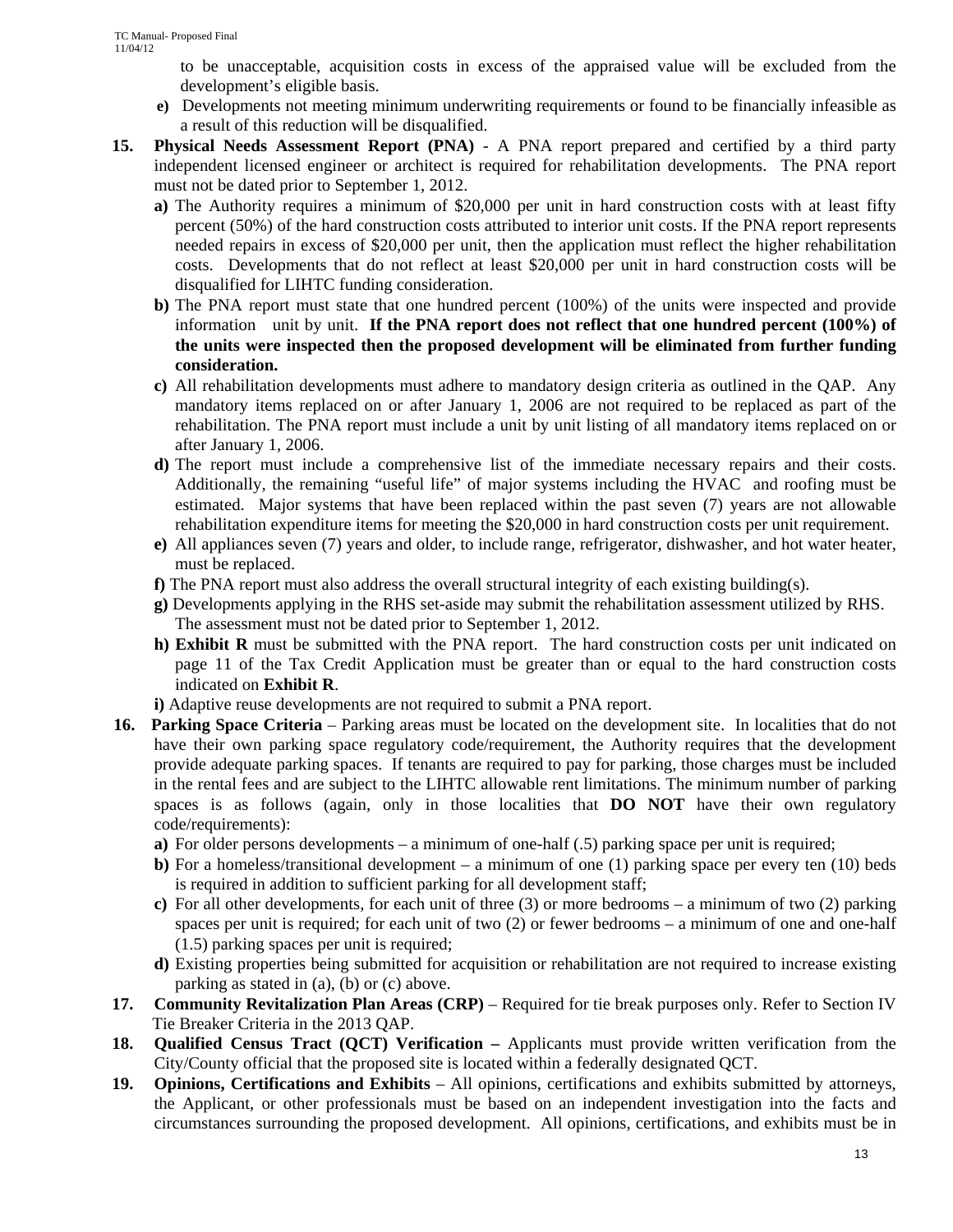to be unacceptable, acquisition costs in excess of the appraised value will be excluded from the development's eligible basis.

- **e)** Developments not meeting minimum underwriting requirements or found to be financially infeasible as a result of this reduction will be disqualified.
- **15. Physical Needs Assessment Report (PNA)** A PNA report prepared and certified by a third party independent licensed engineer or architect is required for rehabilitation developments. The PNA report must not be dated prior to September 1, 2012.
	- **a)** The Authority requires a minimum of \$20,000 per unit in hard construction costs with at least fifty percent (50%) of the hard construction costs attributed to interior unit costs. If the PNA report represents needed repairs in excess of \$20,000 per unit, then the application must reflect the higher rehabilitation costs. Developments that do not reflect at least \$20,000 per unit in hard construction costs will be disqualified for LIHTC funding consideration.
	- **b)** The PNA report must state that one hundred percent (100%) of the units were inspected and provide information unit by unit. **If the PNA report does not reflect that one hundred percent (100%) of the units were inspected then the proposed development will be eliminated from further funding consideration.**
	- **c)** All rehabilitation developments must adhere to mandatory design criteria as outlined in the QAP. Any mandatory items replaced on or after January 1, 2006 are not required to be replaced as part of the rehabilitation. The PNA report must include a unit by unit listing of all mandatory items replaced on or after January 1, 2006.
	- **d)** The report must include a comprehensive list of the immediate necessary repairs and their costs. Additionally, the remaining "useful life" of major systems including the HVAC and roofing must be estimated. Major systems that have been replaced within the past seven (7) years are not allowable rehabilitation expenditure items for meeting the \$20,000 in hard construction costs per unit requirement.
	- **e)** All appliances seven (7) years and older, to include range, refrigerator, dishwasher, and hot water heater, must be replaced.
	- **f)** The PNA report must also address the overall structural integrity of each existing building(s).
	- **g)** Developments applying in the RHS set-aside may submit the rehabilitation assessment utilized by RHS. The assessment must not be dated prior to September 1, 2012.
	- **h) Exhibit R** must be submitted with the PNA report. The hard construction costs per unit indicated on page 11 of the Tax Credit Application must be greater than or equal to the hard construction costs indicated on **Exhibit R**.
	- **i)** Adaptive reuse developments are not required to submit a PNA report.
- **16. Parking Space Criteria**  Parking areas must be located on the development site. In localities that do not have their own parking space regulatory code/requirement, the Authority requires that the development provide adequate parking spaces. If tenants are required to pay for parking, those charges must be included in the rental fees and are subject to the LIHTC allowable rent limitations. The minimum number of parking spaces is as follows (again, only in those localities that **DO NOT** have their own regulatory code/requirements):
	- **a)** For older persons developments a minimum of one-half (.5) parking space per unit is required;
	- **b**) For a homeless/transitional development a minimum of one (1) parking space per every ten (10) beds is required in addition to sufficient parking for all development staff;
	- **c)** For all other developments, for each unit of three (3) or more bedrooms a minimum of two (2) parking spaces per unit is required; for each unit of two (2) or fewer bedrooms – a minimum of one and one-half (1.5) parking spaces per unit is required;
	- **d)** Existing properties being submitted for acquisition or rehabilitation are not required to increase existing parking as stated in (a), (b) or (c) above.
- **17. Community Revitalization Plan Areas (CRP)** Required for tie break purposes only. Refer to Section IV Tie Breaker Criteria in the 2013 QAP.
- **18. Qualified Census Tract (QCT) Verification** Applicants must provide written verification from the City/County official that the proposed site is located within a federally designated QCT.
- **19. Opinions, Certifications and Exhibits** All opinions, certifications and exhibits submitted by attorneys, the Applicant, or other professionals must be based on an independent investigation into the facts and circumstances surrounding the proposed development. All opinions, certifications, and exhibits must be in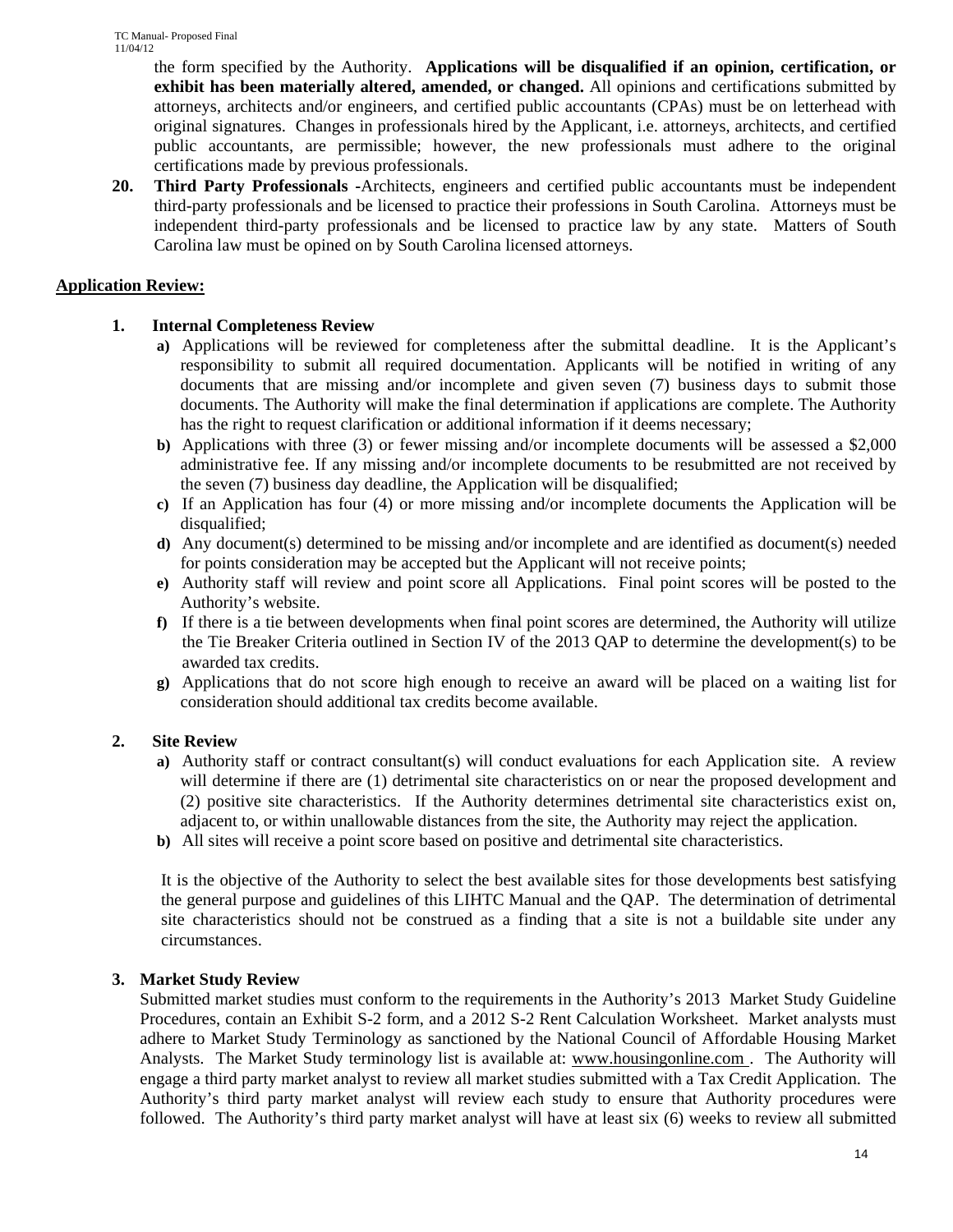the form specified by the Authority. **Applications will be disqualified if an opinion, certification, or exhibit has been materially altered, amended, or changed.** All opinions and certifications submitted by attorneys, architects and/or engineers, and certified public accountants (CPAs) must be on letterhead with original signatures. Changes in professionals hired by the Applicant, i.e. attorneys, architects, and certified public accountants, are permissible; however, the new professionals must adhere to the original certifications made by previous professionals.

**20. Third Party Professionals -**Architects, engineers and certified public accountants must be independent third-party professionals and be licensed to practice their professions in South Carolina. Attorneys must be independent third-party professionals and be licensed to practice law by any state. Matters of South Carolina law must be opined on by South Carolina licensed attorneys.

## **Application Review:**

## **1. Internal Completeness Review**

- **a)** Applications will be reviewed for completeness after the submittal deadline. It is the Applicant's responsibility to submit all required documentation. Applicants will be notified in writing of any documents that are missing and/or incomplete and given seven (7) business days to submit those documents. The Authority will make the final determination if applications are complete. The Authority has the right to request clarification or additional information if it deems necessary;
- **b)** Applications with three (3) or fewer missing and/or incomplete documents will be assessed a \$2,000 administrative fee. If any missing and/or incomplete documents to be resubmitted are not received by the seven (7) business day deadline, the Application will be disqualified;
- **c)** If an Application has four (4) or more missing and/or incomplete documents the Application will be disqualified;
- **d)** Any document(s) determined to be missing and/or incomplete and are identified as document(s) needed for points consideration may be accepted but the Applicant will not receive points;
- **e)** Authority staff will review and point score all Applications. Final point scores will be posted to the Authority's website.
- **f)** If there is a tie between developments when final point scores are determined, the Authority will utilize the Tie Breaker Criteria outlined in Section IV of the 2013 QAP to determine the development(s) to be awarded tax credits.
- **g)** Applications that do not score high enough to receive an award will be placed on a waiting list for consideration should additional tax credits become available.

## **2. Site Review**

- **a)** Authority staff or contract consultant(s) will conduct evaluations for each Application site. A review will determine if there are (1) detrimental site characteristics on or near the proposed development and (2) positive site characteristics. If the Authority determines detrimental site characteristics exist on, adjacent to, or within unallowable distances from the site, the Authority may reject the application.
- **b)** All sites will receive a point score based on positive and detrimental site characteristics.

It is the objective of the Authority to select the best available sites for those developments best satisfying the general purpose and guidelines of this LIHTC Manual and the QAP. The determination of detrimental site characteristics should not be construed as a finding that a site is not a buildable site under any circumstances.

## **3. Market Study Review**

Submitted market studies must conform to the requirements in the Authority's 2013 Market Study Guideline Procedures, contain an Exhibit S-2 form, and a 2012 S-2 Rent Calculation Worksheet. Market analysts must adhere to Market Study Terminology as sanctioned by the National Council of Affordable Housing Market Analysts. The Market Study terminology list is available at: www.housingonline.com . The Authority will engage a third party market analyst to review all market studies submitted with a Tax Credit Application. The Authority's third party market analyst will review each study to ensure that Authority procedures were followed. The Authority's third party market analyst will have at least six (6) weeks to review all submitted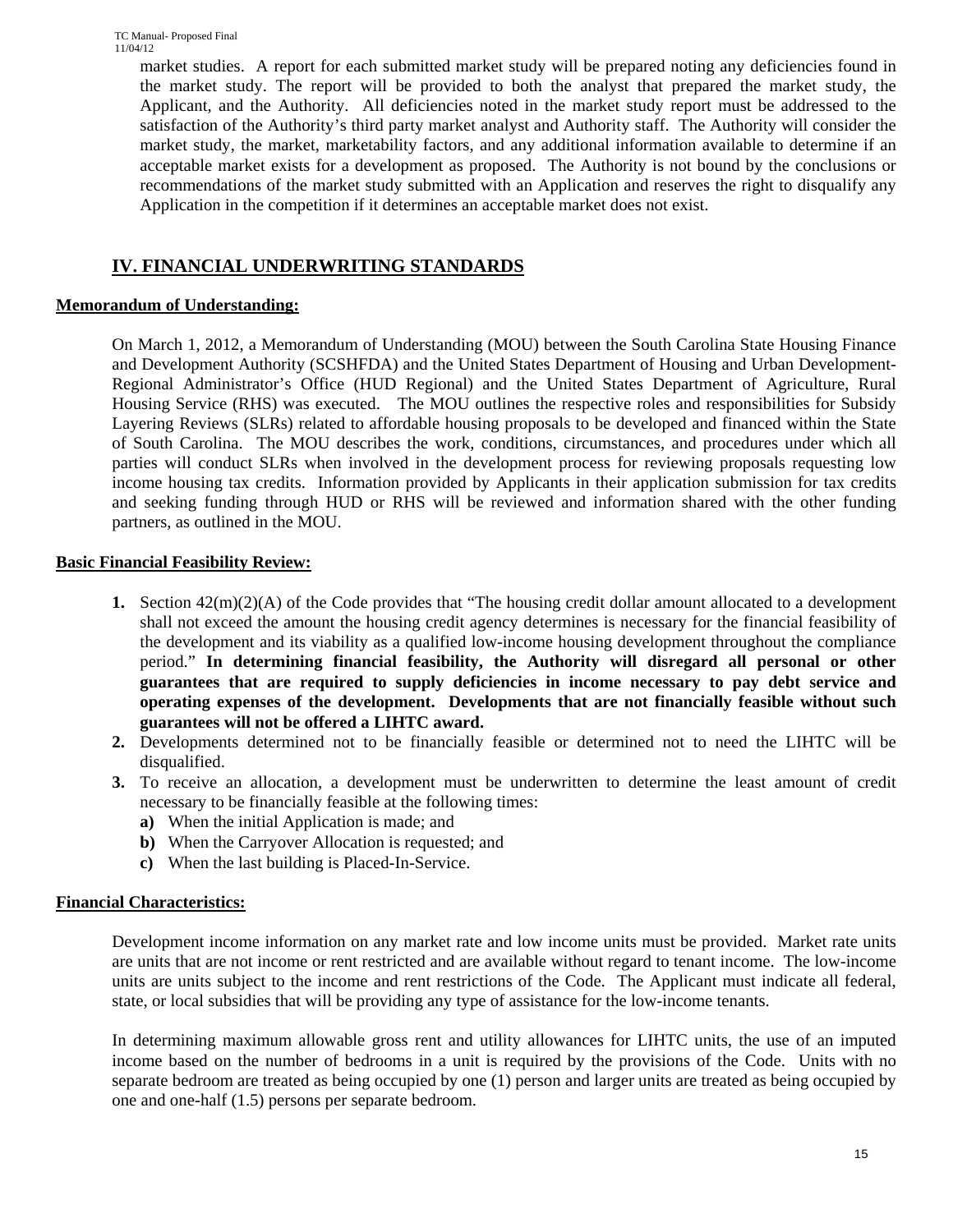market studies. A report for each submitted market study will be prepared noting any deficiencies found in the market study. The report will be provided to both the analyst that prepared the market study, the Applicant, and the Authority. All deficiencies noted in the market study report must be addressed to the satisfaction of the Authority's third party market analyst and Authority staff. The Authority will consider the market study, the market, marketability factors, and any additional information available to determine if an acceptable market exists for a development as proposed. The Authority is not bound by the conclusions or recommendations of the market study submitted with an Application and reserves the right to disqualify any Application in the competition if it determines an acceptable market does not exist.

## **IV. FINANCIAL UNDERWRITING STANDARDS**

## **Memorandum of Understanding:**

On March 1, 2012, a Memorandum of Understanding (MOU) between the South Carolina State Housing Finance and Development Authority (SCSHFDA) and the United States Department of Housing and Urban Development-Regional Administrator's Office (HUD Regional) and the United States Department of Agriculture, Rural Housing Service (RHS) was executed. The MOU outlines the respective roles and responsibilities for Subsidy Layering Reviews (SLRs) related to affordable housing proposals to be developed and financed within the State of South Carolina. The MOU describes the work, conditions, circumstances, and procedures under which all parties will conduct SLRs when involved in the development process for reviewing proposals requesting low income housing tax credits. Information provided by Applicants in their application submission for tax credits and seeking funding through HUD or RHS will be reviewed and information shared with the other funding partners, as outlined in the MOU.

## **Basic Financial Feasibility Review:**

- **1.** Section 42(m)(2)(A) of the Code provides that "The housing credit dollar amount allocated to a development shall not exceed the amount the housing credit agency determines is necessary for the financial feasibility of the development and its viability as a qualified low-income housing development throughout the compliance period." **In determining financial feasibility, the Authority will disregard all personal or other guarantees that are required to supply deficiencies in income necessary to pay debt service and operating expenses of the development. Developments that are not financially feasible without such guarantees will not be offered a LIHTC award.**
- **2.** Developments determined not to be financially feasible or determined not to need the LIHTC will be disqualified.
- **3.** To receive an allocation, a development must be underwritten to determine the least amount of credit necessary to be financially feasible at the following times:
	- **a)** When the initial Application is made; and
	- **b)** When the Carryover Allocation is requested; and
	- **c)** When the last building is Placed-In-Service.

## **Financial Characteristics:**

Development income information on any market rate and low income units must be provided. Market rate units are units that are not income or rent restricted and are available without regard to tenant income. The low-income units are units subject to the income and rent restrictions of the Code. The Applicant must indicate all federal, state, or local subsidies that will be providing any type of assistance for the low-income tenants.

In determining maximum allowable gross rent and utility allowances for LIHTC units, the use of an imputed income based on the number of bedrooms in a unit is required by the provisions of the Code. Units with no separate bedroom are treated as being occupied by one (1) person and larger units are treated as being occupied by one and one-half (1.5) persons per separate bedroom.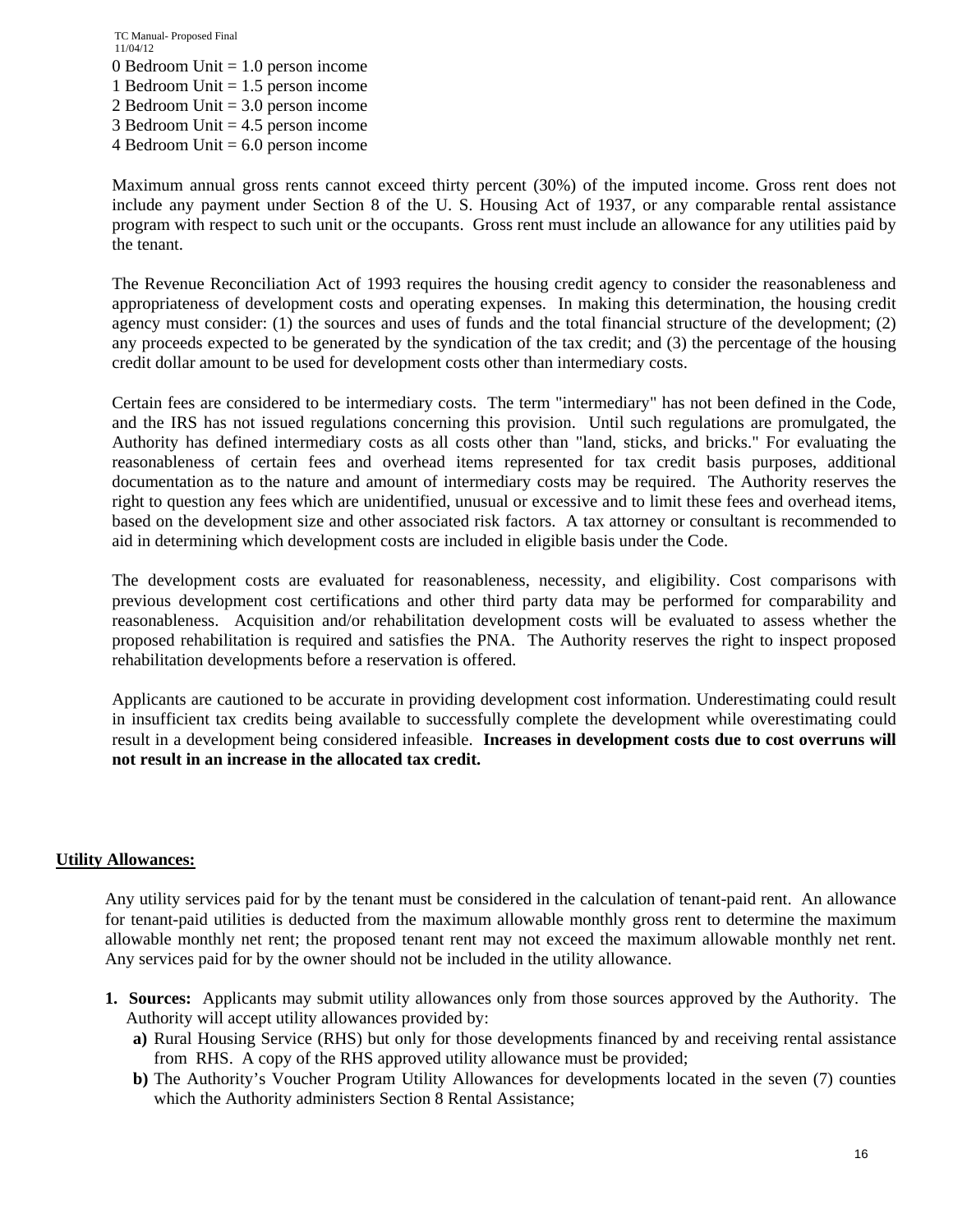TC Manual- Proposed Final 11/04/12 0 Bedroom Unit = 1.0 person income 1 Bedroom Unit = 1.5 person income 2 Bedroom Unit = 3.0 person income 3 Bedroom Unit = 4.5 person income 4 Bedroom Unit  $= 6.0$  person income

Maximum annual gross rents cannot exceed thirty percent (30%) of the imputed income. Gross rent does not include any payment under Section 8 of the U. S. Housing Act of 1937, or any comparable rental assistance program with respect to such unit or the occupants. Gross rent must include an allowance for any utilities paid by the tenant.

The Revenue Reconciliation Act of 1993 requires the housing credit agency to consider the reasonableness and appropriateness of development costs and operating expenses. In making this determination, the housing credit agency must consider: (1) the sources and uses of funds and the total financial structure of the development; (2) any proceeds expected to be generated by the syndication of the tax credit; and (3) the percentage of the housing credit dollar amount to be used for development costs other than intermediary costs.

Certain fees are considered to be intermediary costs. The term "intermediary" has not been defined in the Code, and the IRS has not issued regulations concerning this provision. Until such regulations are promulgated, the Authority has defined intermediary costs as all costs other than "land, sticks, and bricks." For evaluating the reasonableness of certain fees and overhead items represented for tax credit basis purposes, additional documentation as to the nature and amount of intermediary costs may be required. The Authority reserves the right to question any fees which are unidentified, unusual or excessive and to limit these fees and overhead items, based on the development size and other associated risk factors. A tax attorney or consultant is recommended to aid in determining which development costs are included in eligible basis under the Code.

The development costs are evaluated for reasonableness, necessity, and eligibility. Cost comparisons with previous development cost certifications and other third party data may be performed for comparability and reasonableness. Acquisition and/or rehabilitation development costs will be evaluated to assess whether the proposed rehabilitation is required and satisfies the PNA. The Authority reserves the right to inspect proposed rehabilitation developments before a reservation is offered.

Applicants are cautioned to be accurate in providing development cost information. Underestimating could result in insufficient tax credits being available to successfully complete the development while overestimating could result in a development being considered infeasible. **Increases in development costs due to cost overruns will not result in an increase in the allocated tax credit.** 

#### **Utility Allowances:**

Any utility services paid for by the tenant must be considered in the calculation of tenant-paid rent. An allowance for tenant-paid utilities is deducted from the maximum allowable monthly gross rent to determine the maximum allowable monthly net rent; the proposed tenant rent may not exceed the maximum allowable monthly net rent. Any services paid for by the owner should not be included in the utility allowance.

- **1. Sources:** Applicants may submit utility allowances only from those sources approved by the Authority. The Authority will accept utility allowances provided by:
	- **a)** Rural Housing Service (RHS) but only for those developments financed by and receiving rental assistance from RHS. A copy of the RHS approved utility allowance must be provided;
	- **b**) The Authority's Voucher Program Utility Allowances for developments located in the seven (7) counties which the Authority administers Section 8 Rental Assistance;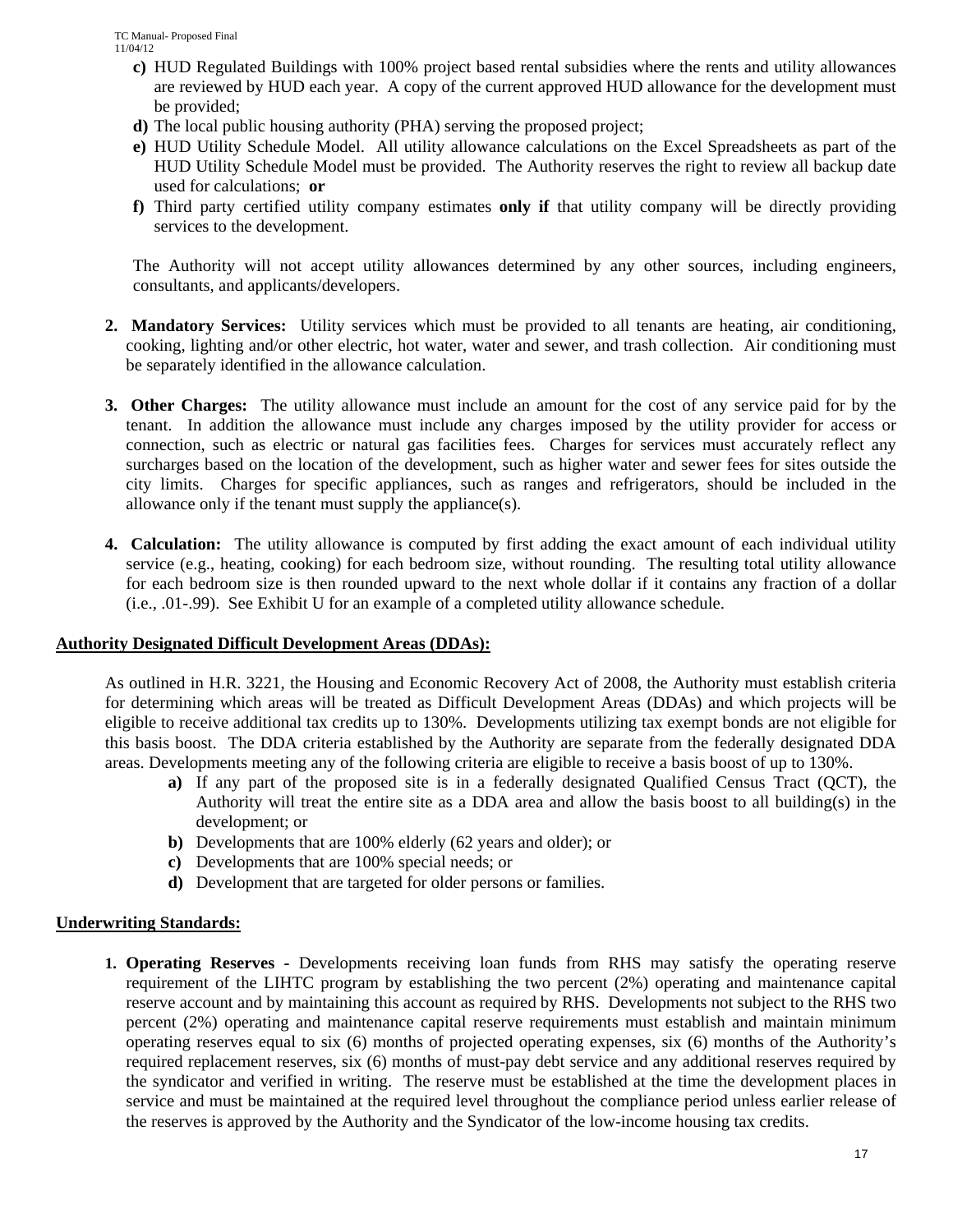- **c)** HUD Regulated Buildings with 100% project based rental subsidies where the rents and utility allowances are reviewed by HUD each year. A copy of the current approved HUD allowance for the development must be provided;
- **d)** The local public housing authority (PHA) serving the proposed project;
- **e)** HUD Utility Schedule Model. All utility allowance calculations on the Excel Spreadsheets as part of the HUD Utility Schedule Model must be provided. The Authority reserves the right to review all backup date used for calculations; **or**
- **f)** Third party certified utility company estimates **only if** that utility company will be directly providing services to the development.

The Authority will not accept utility allowances determined by any other sources, including engineers, consultants, and applicants/developers.

- **2. Mandatory Services:** Utility services which must be provided to all tenants are heating, air conditioning, cooking, lighting and/or other electric, hot water, water and sewer, and trash collection. Air conditioning must be separately identified in the allowance calculation.
- **3. Other Charges:** The utility allowance must include an amount for the cost of any service paid for by the tenant. In addition the allowance must include any charges imposed by the utility provider for access or connection, such as electric or natural gas facilities fees. Charges for services must accurately reflect any surcharges based on the location of the development, such as higher water and sewer fees for sites outside the city limits. Charges for specific appliances, such as ranges and refrigerators, should be included in the allowance only if the tenant must supply the appliance(s).
- **4. Calculation:** The utility allowance is computed by first adding the exact amount of each individual utility service (e.g., heating, cooking) for each bedroom size, without rounding. The resulting total utility allowance for each bedroom size is then rounded upward to the next whole dollar if it contains any fraction of a dollar (i.e., .01-.99). See Exhibit U for an example of a completed utility allowance schedule.

#### **Authority Designated Difficult Development Areas (DDAs):**

 As outlined in H.R. 3221, the Housing and Economic Recovery Act of 2008, the Authority must establish criteria for determining which areas will be treated as Difficult Development Areas (DDAs) and which projects will be eligible to receive additional tax credits up to 130%. Developments utilizing tax exempt bonds are not eligible for this basis boost. The DDA criteria established by the Authority are separate from the federally designated DDA areas. Developments meeting any of the following criteria are eligible to receive a basis boost of up to 130%.

- **a)** If any part of the proposed site is in a federally designated Qualified Census Tract (QCT), the Authority will treat the entire site as a DDA area and allow the basis boost to all building(s) in the development; or
- **b)** Developments that are 100% elderly (62 years and older); or
- **c)** Developments that are 100% special needs; or
- **d)** Development that are targeted for older persons or families.

## **Underwriting Standards:**

**1. Operating Reserves -** Developments receiving loan funds from RHS may satisfy the operating reserve requirement of the LIHTC program by establishing the two percent (2%) operating and maintenance capital reserve account and by maintaining this account as required by RHS. Developments not subject to the RHS two percent (2%) operating and maintenance capital reserve requirements must establish and maintain minimum operating reserves equal to six (6) months of projected operating expenses, six (6) months of the Authority's required replacement reserves, six (6) months of must-pay debt service and any additional reserves required by the syndicator and verified in writing. The reserve must be established at the time the development places in service and must be maintained at the required level throughout the compliance period unless earlier release of the reserves is approved by the Authority and the Syndicator of the low-income housing tax credits.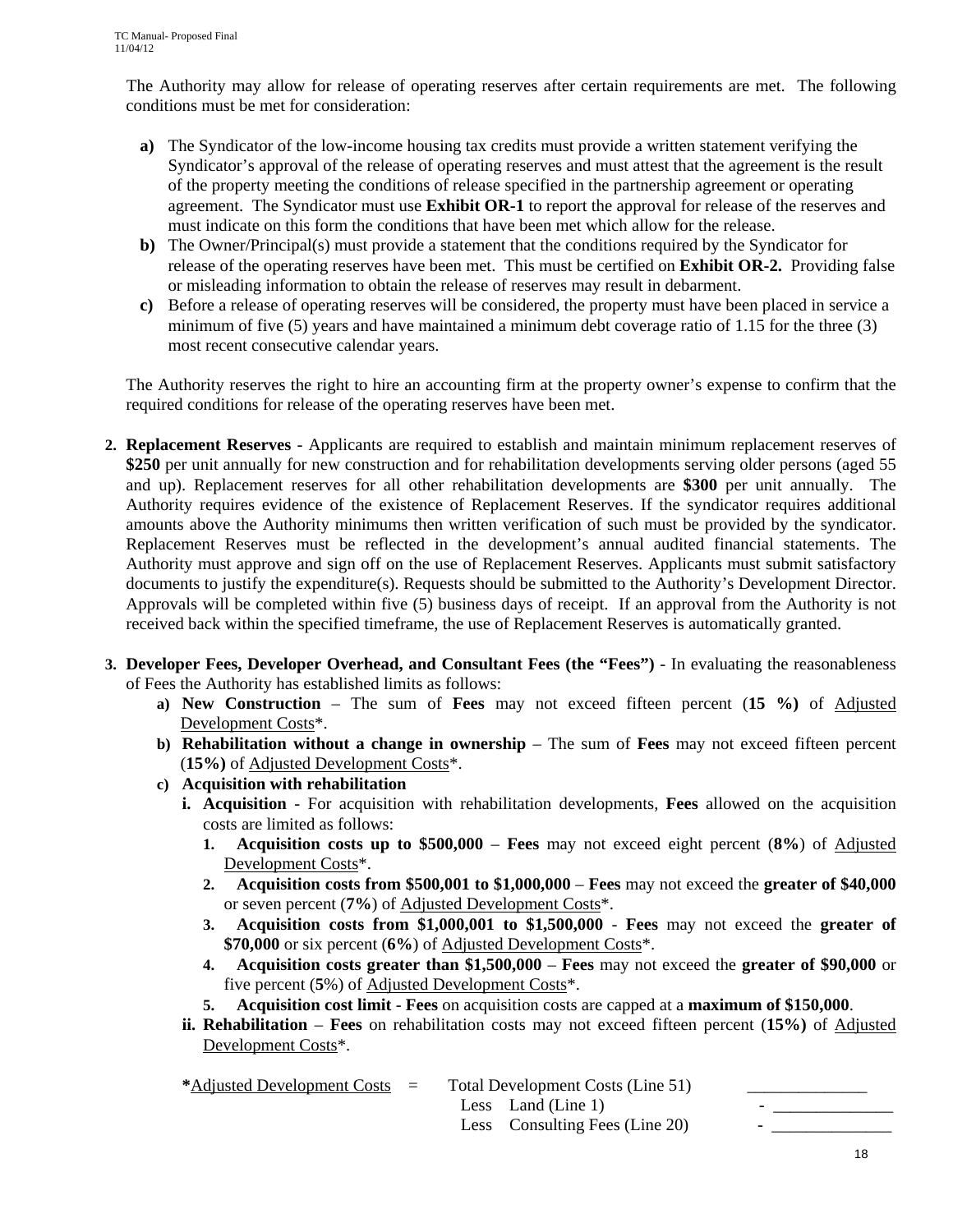The Authority may allow for release of operating reserves after certain requirements are met. The following conditions must be met for consideration:

- **a)** The Syndicator of the low-income housing tax credits must provide a written statement verifying the Syndicator's approval of the release of operating reserves and must attest that the agreement is the result of the property meeting the conditions of release specified in the partnership agreement or operating agreement. The Syndicator must use **Exhibit OR-1** to report the approval for release of the reserves and must indicate on this form the conditions that have been met which allow for the release.
- **b)** The Owner/Principal(s) must provide a statement that the conditions required by the Syndicator for release of the operating reserves have been met. This must be certified on **Exhibit OR-2.** Providing false or misleading information to obtain the release of reserves may result in debarment.
- **c)** Before a release of operating reserves will be considered, the property must have been placed in service a minimum of five (5) years and have maintained a minimum debt coverage ratio of 1.15 for the three (3) most recent consecutive calendar years.

The Authority reserves the right to hire an accounting firm at the property owner's expense to confirm that the required conditions for release of the operating reserves have been met.

- **2. Replacement Reserves** Applicants are required to establish and maintain minimum replacement reserves of **\$250** per unit annually for new construction and for rehabilitation developments serving older persons (aged 55 and up). Replacement reserves for all other rehabilitation developments are **\$300** per unit annually. The Authority requires evidence of the existence of Replacement Reserves. If the syndicator requires additional amounts above the Authority minimums then written verification of such must be provided by the syndicator. Replacement Reserves must be reflected in the development's annual audited financial statements. The Authority must approve and sign off on the use of Replacement Reserves. Applicants must submit satisfactory documents to justify the expenditure(s). Requests should be submitted to the Authority's Development Director. Approvals will be completed within five (5) business days of receipt. If an approval from the Authority is not received back within the specified timeframe, the use of Replacement Reserves is automatically granted.
- **3. Developer Fees, Developer Overhead, and Consultant Fees (the "Fees")**  In evaluating the reasonableness of Fees the Authority has established limits as follows:
	- **a) New Construction** The sum of **Fees** may not exceed fifteen percent (**15 %)** of Adjusted Development Costs\*.
	- **b) Rehabilitation without a change in ownership** The sum of **Fees** may not exceed fifteen percent (**15%)** of Adjusted Development Costs\*.
	- **c) Acquisition with rehabilitation** 
		- **i. Acquisition** For acquisition with rehabilitation developments, **Fees** allowed on the acquisition costs are limited as follows:
			- **1. Acquisition costs up to \$500,000 Fees** may not exceed eight percent (**8%**) of Adjusted Development Costs\*.
			- **2. Acquisition costs from \$500,001 to \$1,000,000** – **Fees** may not exceed the **greater of \$40,000** or seven percent (**7%**) of Adjusted Development Costs\*.
			- **3. Acquisition costs from \$1,000,001 to \$1,500,000 Fees** may not exceed the **greater of \$70,000** or six percent (**6%**) of Adjusted Development Costs\*.
			- **4. Acquisition costs greater than \$1,500,000 Fees** may not exceed the **greater of \$90,000** or five percent (**5**%) of Adjusted Development Costs\*.
			- **5. Acquisition cost limit Fees** on acquisition costs are capped at a **maximum of \$150,000**.
		- **ii. Rehabilitation Fees** on rehabilitation costs may not exceed fifteen percent (**15%)** of Adjusted Development Costs\*.

| *Adjusted Development Costs $=$ |  | Total Development Costs (Line 51) |                          |  |
|---------------------------------|--|-----------------------------------|--------------------------|--|
|                                 |  | Less Land (Line 1)                | $\overline{\phantom{0}}$ |  |
|                                 |  | Less Consulting Fees (Line 20)    | -                        |  |
|                                 |  |                                   |                          |  |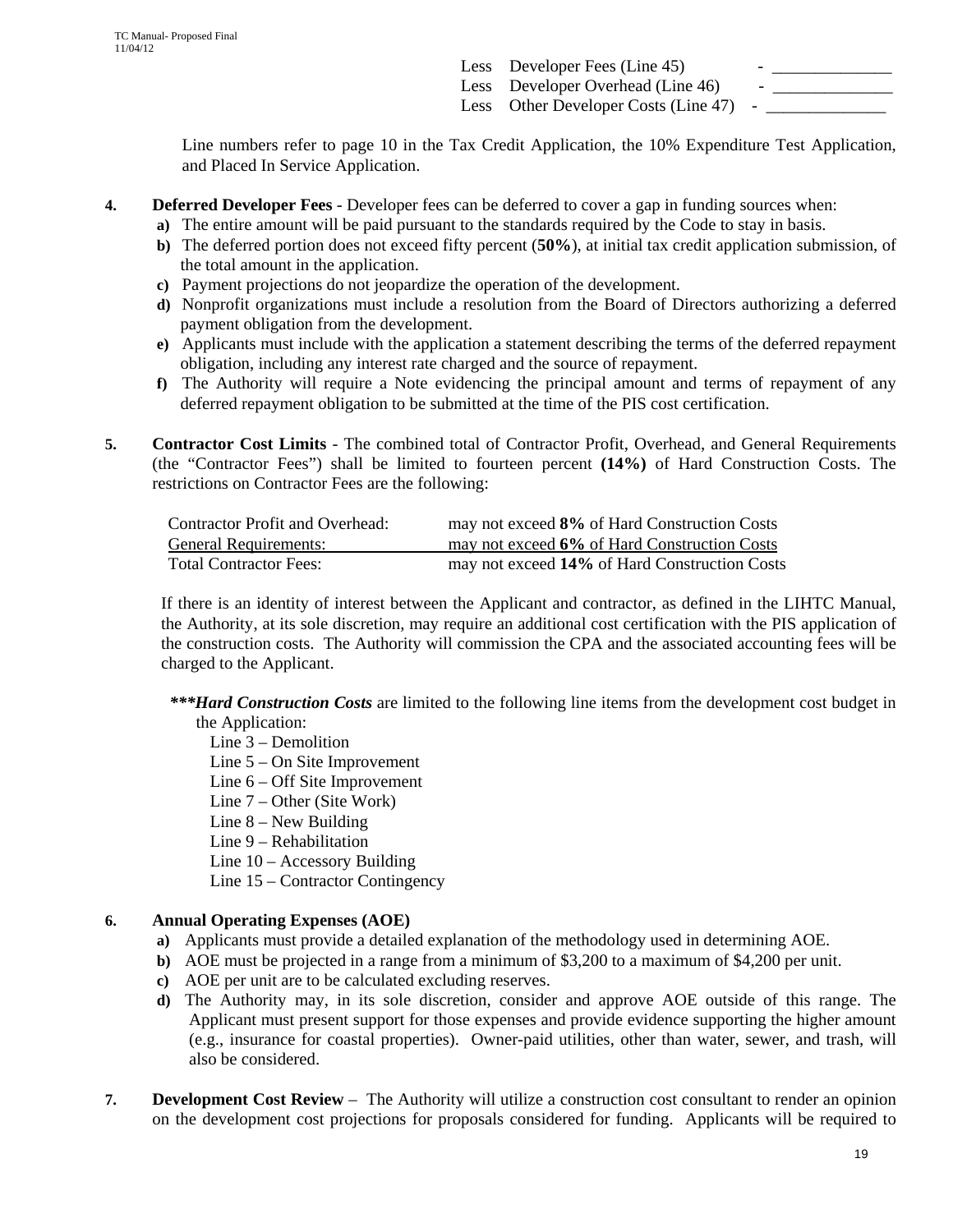Less Developer Fees (Line 45) Less Developer Overhead (Line 46) Less Other Developer Costs (Line 47)

Line numbers refer to page 10 in the Tax Credit Application, the 10% Expenditure Test Application, and Placed In Service Application.

- **4. Deferred Developer Fees** Developer fees can be deferred to cover a gap in funding sources when:
	- **a)** The entire amount will be paid pursuant to the standards required by the Code to stay in basis.
	- **b)** The deferred portion does not exceed fifty percent (**50%**), at initial tax credit application submission, of the total amount in the application.
	- **c)** Payment projections do not jeopardize the operation of the development.
	- **d)** Nonprofit organizations must include a resolution from the Board of Directors authorizing a deferred payment obligation from the development.
	- **e)** Applicants must include with the application a statement describing the terms of the deferred repayment obligation, including any interest rate charged and the source of repayment.
	- **f)** The Authority will require a Note evidencing the principal amount and terms of repayment of any deferred repayment obligation to be submitted at the time of the PIS cost certification.
- **5. Contractor Cost Limits** The combined total of Contractor Profit, Overhead, and General Requirements (the "Contractor Fees") shall be limited to fourteen percent **(14%)** of Hard Construction Costs. The restrictions on Contractor Fees are the following:

| <b>Contractor Profit and Overhead:</b> | may not exceed 8% of Hard Construction Costs  |
|----------------------------------------|-----------------------------------------------|
| <b>General Requirements:</b>           | may not exceed 6% of Hard Construction Costs  |
| <b>Total Contractor Fees:</b>          | may not exceed 14% of Hard Construction Costs |

If there is an identity of interest between the Applicant and contractor, as defined in the LIHTC Manual, the Authority, at its sole discretion, may require an additional cost certification with the PIS application of the construction costs. The Authority will commission the CPA and the associated accounting fees will be charged to the Applicant.

 *\*\*\*Hard Construction Costs* are limited to the following line items from the development cost budget in the Application:

Line 3 – Demolition

- Line 5 On Site Improvement
- Line 6 Off Site Improvement
- Line 7 Other (Site Work)
- Line 8 New Building
- Line 9 Rehabilitation
- Line 10 Accessory Building
- Line 15 Contractor Contingency

## **6. Annual Operating Expenses (AOE)**

- **a)** Applicants must provide a detailed explanation of the methodology used in determining AOE.
- **b**) AOE must be projected in a range from a minimum of \$3,200 to a maximum of \$4,200 per unit.
- **c)** AOE per unit are to be calculated excluding reserves.
- **d)** The Authority may, in its sole discretion, consider and approve AOE outside of this range. The Applicant must present support for those expenses and provide evidence supporting the higher amount (e.g., insurance for coastal properties). Owner-paid utilities, other than water, sewer, and trash, will also be considered.
- **7. Development Cost Review** The Authority will utilize a construction cost consultant to render an opinion on the development cost projections for proposals considered for funding. Applicants will be required to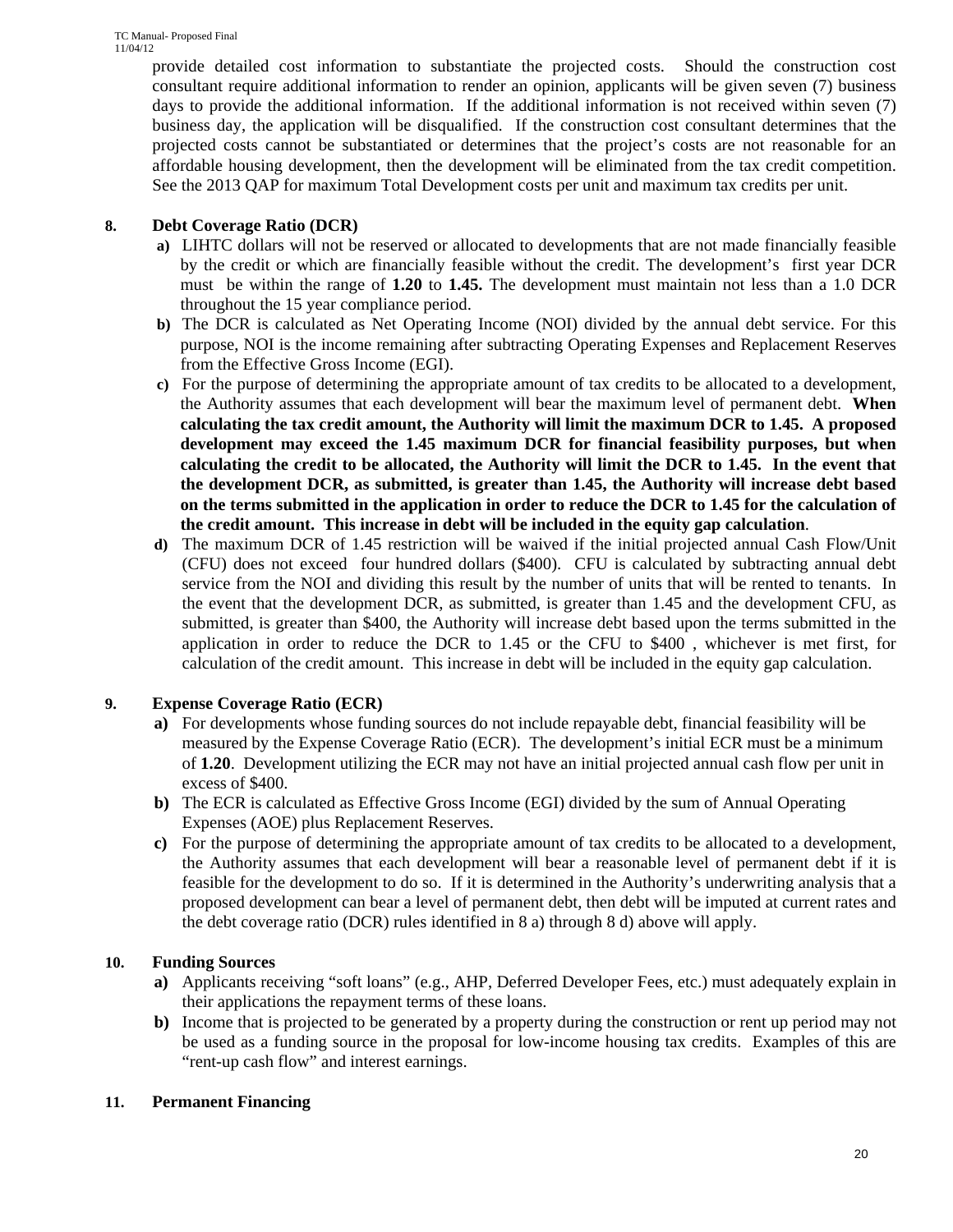provide detailed cost information to substantiate the projected costs. Should the construction cost consultant require additional information to render an opinion, applicants will be given seven (7) business days to provide the additional information. If the additional information is not received within seven (7) business day, the application will be disqualified. If the construction cost consultant determines that the projected costs cannot be substantiated or determines that the project's costs are not reasonable for an affordable housing development, then the development will be eliminated from the tax credit competition. See the 2013 QAP for maximum Total Development costs per unit and maximum tax credits per unit.

## **8. Debt Coverage Ratio (DCR)**

- **a)** LIHTC dollars will not be reserved or allocated to developments that are not made financially feasible by the credit or which are financially feasible without the credit. The development's first year DCR must be within the range of **1.20** to **1.45.** The development must maintain not less than a 1.0 DCR throughout the 15 year compliance period.
- **b)** The DCR is calculated as Net Operating Income (NOI) divided by the annual debt service. For this purpose, NOI is the income remaining after subtracting Operating Expenses and Replacement Reserves from the Effective Gross Income (EGI).
- **c)** For the purpose of determining the appropriate amount of tax credits to be allocated to a development, the Authority assumes that each development will bear the maximum level of permanent debt. **When calculating the tax credit amount, the Authority will limit the maximum DCR to 1.45. A proposed development may exceed the 1.45 maximum DCR for financial feasibility purposes, but when calculating the credit to be allocated, the Authority will limit the DCR to 1.45. In the event that the development DCR, as submitted, is greater than 1.45, the Authority will increase debt based on the terms submitted in the application in order to reduce the DCR to 1.45 for the calculation of the credit amount. This increase in debt will be included in the equity gap calculation**.
- **d)** The maximum DCR of 1.45 restriction will be waived if the initial projected annual Cash Flow/Unit (CFU) does not exceed four hundred dollars (\$400). CFU is calculated by subtracting annual debt service from the NOI and dividing this result by the number of units that will be rented to tenants. In the event that the development DCR, as submitted, is greater than 1.45 and the development CFU, as submitted, is greater than \$400, the Authority will increase debt based upon the terms submitted in the application in order to reduce the DCR to 1.45 or the CFU to \$400 , whichever is met first, for calculation of the credit amount. This increase in debt will be included in the equity gap calculation.

## **9. Expense Coverage Ratio (ECR)**

- **a)** For developments whose funding sources do not include repayable debt, financial feasibility will be measured by the Expense Coverage Ratio (ECR). The development's initial ECR must be a minimum of **1.20**. Development utilizing the ECR may not have an initial projected annual cash flow per unit in excess of \$400.
- **b)** The ECR is calculated as Effective Gross Income (EGI) divided by the sum of Annual Operating Expenses (AOE) plus Replacement Reserves.
- **c)** For the purpose of determining the appropriate amount of tax credits to be allocated to a development, the Authority assumes that each development will bear a reasonable level of permanent debt if it is feasible for the development to do so. If it is determined in the Authority's underwriting analysis that a proposed development can bear a level of permanent debt, then debt will be imputed at current rates and the debt coverage ratio (DCR) rules identified in 8 a) through 8 d) above will apply.

## **10. Funding Sources**

- **a)** Applicants receiving "soft loans" (e.g., AHP, Deferred Developer Fees, etc.) must adequately explain in their applications the repayment terms of these loans.
- **b)** Income that is projected to be generated by a property during the construction or rent up period may not be used as a funding source in the proposal for low-income housing tax credits. Examples of this are "rent-up cash flow" and interest earnings.

## **11. Permanent Financing**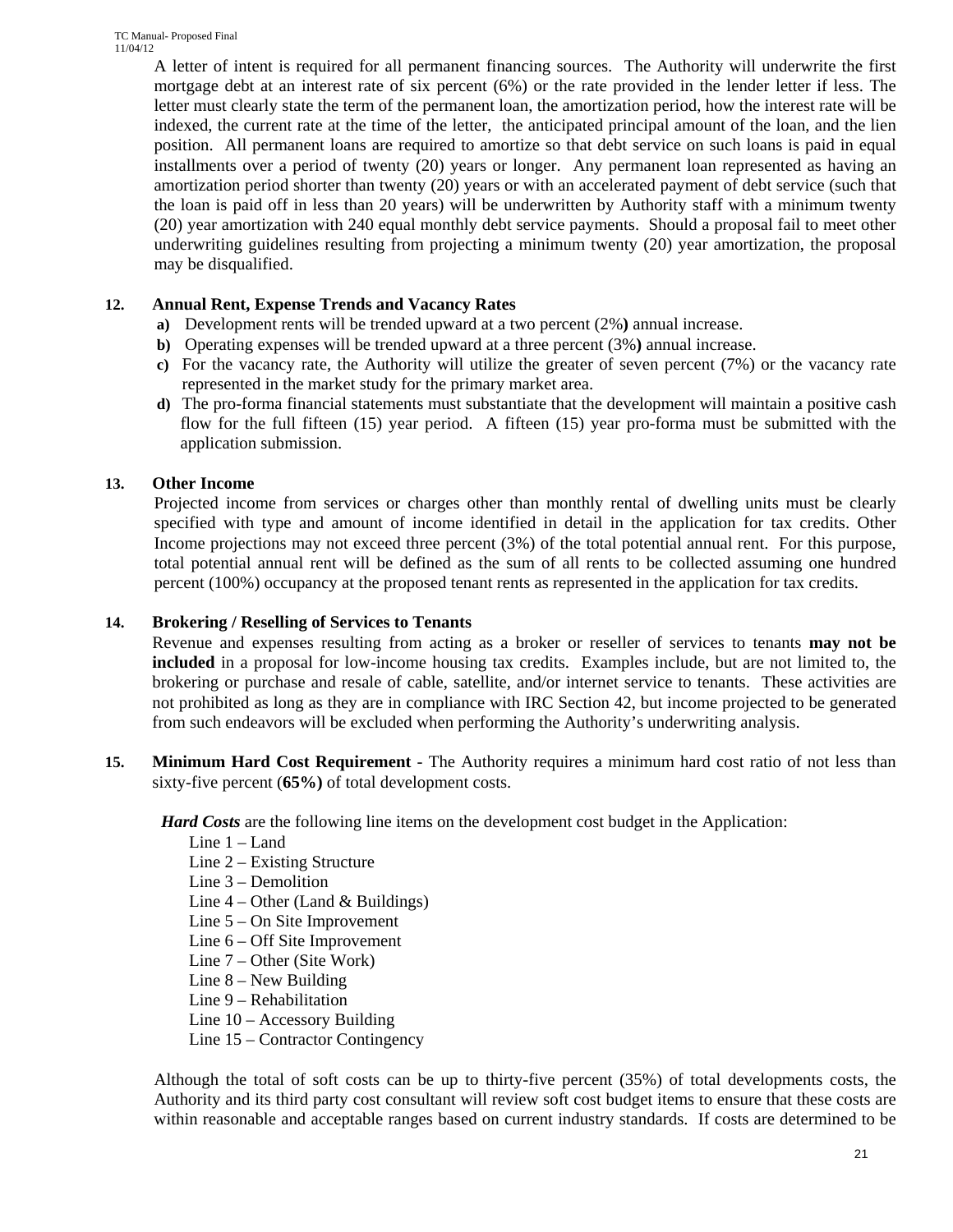A letter of intent is required for all permanent financing sources. The Authority will underwrite the first mortgage debt at an interest rate of six percent (6%) or the rate provided in the lender letter if less. The letter must clearly state the term of the permanent loan, the amortization period, how the interest rate will be indexed, the current rate at the time of the letter, the anticipated principal amount of the loan, and the lien position. All permanent loans are required to amortize so that debt service on such loans is paid in equal installments over a period of twenty (20) years or longer. Any permanent loan represented as having an amortization period shorter than twenty (20) years or with an accelerated payment of debt service (such that the loan is paid off in less than 20 years) will be underwritten by Authority staff with a minimum twenty (20) year amortization with 240 equal monthly debt service payments. Should a proposal fail to meet other underwriting guidelines resulting from projecting a minimum twenty (20) year amortization, the proposal may be disqualified.

### **12. Annual Rent, Expense Trends and Vacancy Rates**

- **a)** Development rents will be trended upward at a two percent (2%**)** annual increase.
- **b)** Operating expenses will be trended upward at a three percent (3%**)** annual increase.
- **c)** For the vacancy rate, the Authority will utilize the greater of seven percent (7%) or the vacancy rate represented in the market study for the primary market area.
- **d)** The pro-forma financial statements must substantiate that the development will maintain a positive cash flow for the full fifteen (15) year period. A fifteen (15) year pro-forma must be submitted with the application submission.

## **13. Other Income**

Projected income from services or charges other than monthly rental of dwelling units must be clearly specified with type and amount of income identified in detail in the application for tax credits. Other Income projections may not exceed three percent (3%) of the total potential annual rent. For this purpose, total potential annual rent will be defined as the sum of all rents to be collected assuming one hundred percent (100%) occupancy at the proposed tenant rents as represented in the application for tax credits.

### **14. Brokering / Reselling of Services to Tenants**

Revenue and expenses resulting from acting as a broker or reseller of services to tenants **may not be included** in a proposal for low-income housing tax credits. Examples include, but are not limited to, the brokering or purchase and resale of cable, satellite, and/or internet service to tenants. These activities are not prohibited as long as they are in compliance with IRC Section 42, but income projected to be generated from such endeavors will be excluded when performing the Authority's underwriting analysis.

**15. Minimum Hard Cost Requirement** - The Authority requires a minimum hard cost ratio of not less than sixty-five percent (**65%)** of total development costs.

*Hard Costs* are the following line items on the development cost budget in the Application:

- Line 1 Land
- Line 2 Existing Structure
- Line 3 Demolition
- Line  $4$  Other (Land & Buildings)
- Line 5 On Site Improvement
- Line 6 Off Site Improvement
- Line 7 Other (Site Work)
- Line 8 New Building
- Line 9 Rehabilitation
- Line 10 Accessory Building
- Line 15 Contractor Contingency

Although the total of soft costs can be up to thirty-five percent (35%) of total developments costs, the Authority and its third party cost consultant will review soft cost budget items to ensure that these costs are within reasonable and acceptable ranges based on current industry standards. If costs are determined to be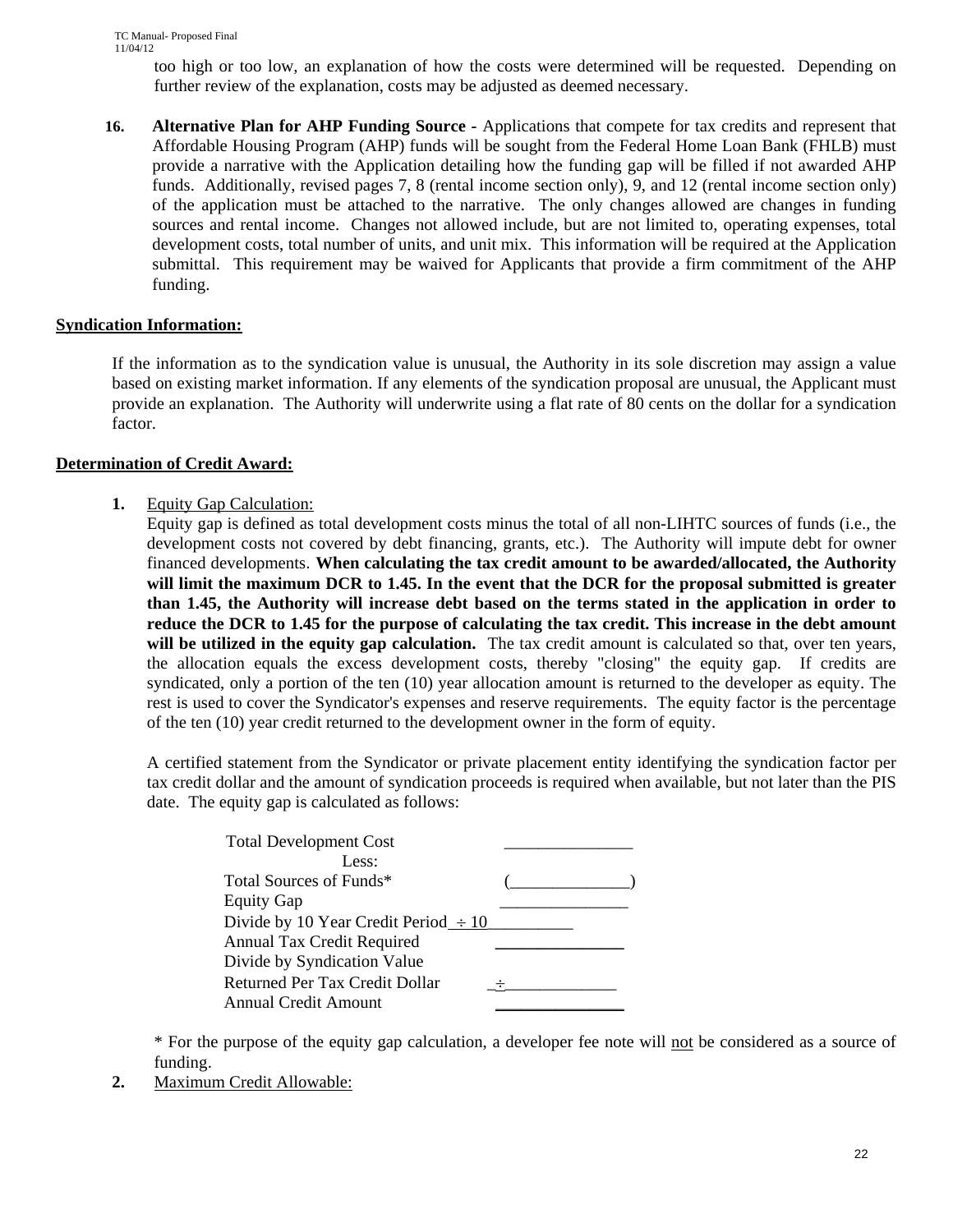too high or too low, an explanation of how the costs were determined will be requested. Depending on further review of the explanation, costs may be adjusted as deemed necessary.

**16. Alternative Plan for AHP Funding Source -** Applications that compete for tax credits and represent that Affordable Housing Program (AHP) funds will be sought from the Federal Home Loan Bank (FHLB) must provide a narrative with the Application detailing how the funding gap will be filled if not awarded AHP funds. Additionally, revised pages 7, 8 (rental income section only), 9, and 12 (rental income section only) of the application must be attached to the narrative. The only changes allowed are changes in funding sources and rental income. Changes not allowed include, but are not limited to, operating expenses, total development costs, total number of units, and unit mix. This information will be required at the Application submittal. This requirement may be waived for Applicants that provide a firm commitment of the AHP funding.

### **Syndication Information:**

If the information as to the syndication value is unusual, the Authority in its sole discretion may assign a value based on existing market information. If any elements of the syndication proposal are unusual, the Applicant must provide an explanation. The Authority will underwrite using a flat rate of 80 cents on the dollar for a syndication factor.

### **Determination of Credit Award:**

**1.** Equity Gap Calculation:

Equity gap is defined as total development costs minus the total of all non-LIHTC sources of funds (i.e., the development costs not covered by debt financing, grants, etc.). The Authority will impute debt for owner financed developments. **When calculating the tax credit amount to be awarded/allocated, the Authority will limit the maximum DCR to 1.45. In the event that the DCR for the proposal submitted is greater than 1.45, the Authority will increase debt based on the terms stated in the application in order to reduce the DCR to 1.45 for the purpose of calculating the tax credit. This increase in the debt amount**  will be utilized in the equity gap calculation. The tax credit amount is calculated so that, over ten years, the allocation equals the excess development costs, thereby "closing" the equity gap. If credits are syndicated, only a portion of the ten (10) year allocation amount is returned to the developer as equity. The rest is used to cover the Syndicator's expenses and reserve requirements. The equity factor is the percentage of the ten (10) year credit returned to the development owner in the form of equity.

A certified statement from the Syndicator or private placement entity identifying the syndication factor per tax credit dollar and the amount of syndication proceeds is required when available, but not later than the PIS date. The equity gap is calculated as follows:

| <b>Total Development Cost</b>             |  |
|-------------------------------------------|--|
| Less:                                     |  |
| Total Sources of Funds*                   |  |
| <b>Equity Gap</b>                         |  |
| Divide by 10 Year Credit Period $\div 10$ |  |
| Annual Tax Credit Required                |  |
| Divide by Syndication Value               |  |
| Returned Per Tax Credit Dollar            |  |
| Annual Credit Amount                      |  |

\* For the purpose of the equity gap calculation, a developer fee note will not be considered as a source of funding.

**2.** Maximum Credit Allowable: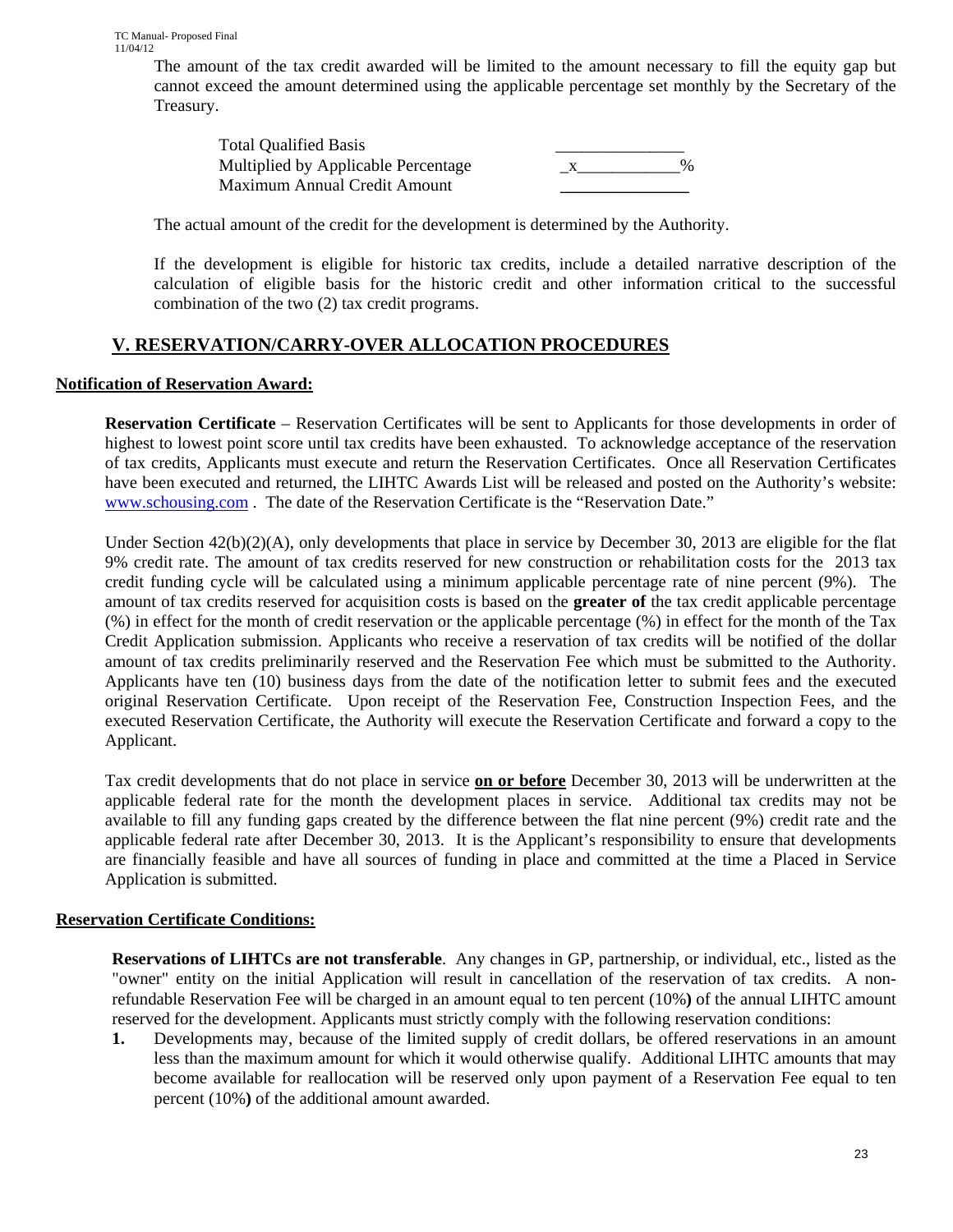The amount of the tax credit awarded will be limited to the amount necessary to fill the equity gap but cannot exceed the amount determined using the applicable percentage set monthly by the Secretary of the Treasury.

 Total Qualified Basis \_\_\_\_\_\_\_\_\_\_\_\_\_\_\_ Multiplied by Applicable Percentage  $\frac{1}{x}$ Maximum Annual Credit Amount

The actual amount of the credit for the development is determined by the Authority.

If the development is eligible for historic tax credits, include a detailed narrative description of the calculation of eligible basis for the historic credit and other information critical to the successful combination of the two (2) tax credit programs.

## **V. RESERVATION/CARRY-OVER ALLOCATION PROCEDURES**

### **Notification of Reservation Award:**

**Reservation Certificate** – Reservation Certificates will be sent to Applicants for those developments in order of highest to lowest point score until tax credits have been exhausted. To acknowledge acceptance of the reservation of tax credits, Applicants must execute and return the Reservation Certificates. Once all Reservation Certificates have been executed and returned, the LIHTC Awards List will be released and posted on the Authority's website: www.schousing.com . The date of the Reservation Certificate is the "Reservation Date."

Under Section  $42(b)(2)(A)$ , only developments that place in service by December 30, 2013 are eligible for the flat 9% credit rate. The amount of tax credits reserved for new construction or rehabilitation costs for the 2013 tax credit funding cycle will be calculated using a minimum applicable percentage rate of nine percent (9%). The amount of tax credits reserved for acquisition costs is based on the **greater of** the tax credit applicable percentage (%) in effect for the month of credit reservation or the applicable percentage (%) in effect for the month of the Tax Credit Application submission. Applicants who receive a reservation of tax credits will be notified of the dollar amount of tax credits preliminarily reserved and the Reservation Fee which must be submitted to the Authority. Applicants have ten (10) business days from the date of the notification letter to submit fees and the executed original Reservation Certificate. Upon receipt of the Reservation Fee, Construction Inspection Fees, and the executed Reservation Certificate, the Authority will execute the Reservation Certificate and forward a copy to the Applicant.

Tax credit developments that do not place in service **on or before** December 30, 2013 will be underwritten at the applicable federal rate for the month the development places in service. Additional tax credits may not be available to fill any funding gaps created by the difference between the flat nine percent (9%) credit rate and the applicable federal rate after December 30, 2013. It is the Applicant's responsibility to ensure that developments are financially feasible and have all sources of funding in place and committed at the time a Placed in Service Application is submitted.

## **Reservation Certificate Conditions:**

**Reservations of LIHTCs are not transferable**. Any changes in GP, partnership, or individual, etc., listed as the "owner" entity on the initial Application will result in cancellation of the reservation of tax credits. A nonrefundable Reservation Fee will be charged in an amount equal to ten percent (10%**)** of the annual LIHTC amount reserved for the development. Applicants must strictly comply with the following reservation conditions:

**1.** Developments may, because of the limited supply of credit dollars, be offered reservations in an amount less than the maximum amount for which it would otherwise qualify. Additional LIHTC amounts that may become available for reallocation will be reserved only upon payment of a Reservation Fee equal to ten percent (10%**)** of the additional amount awarded.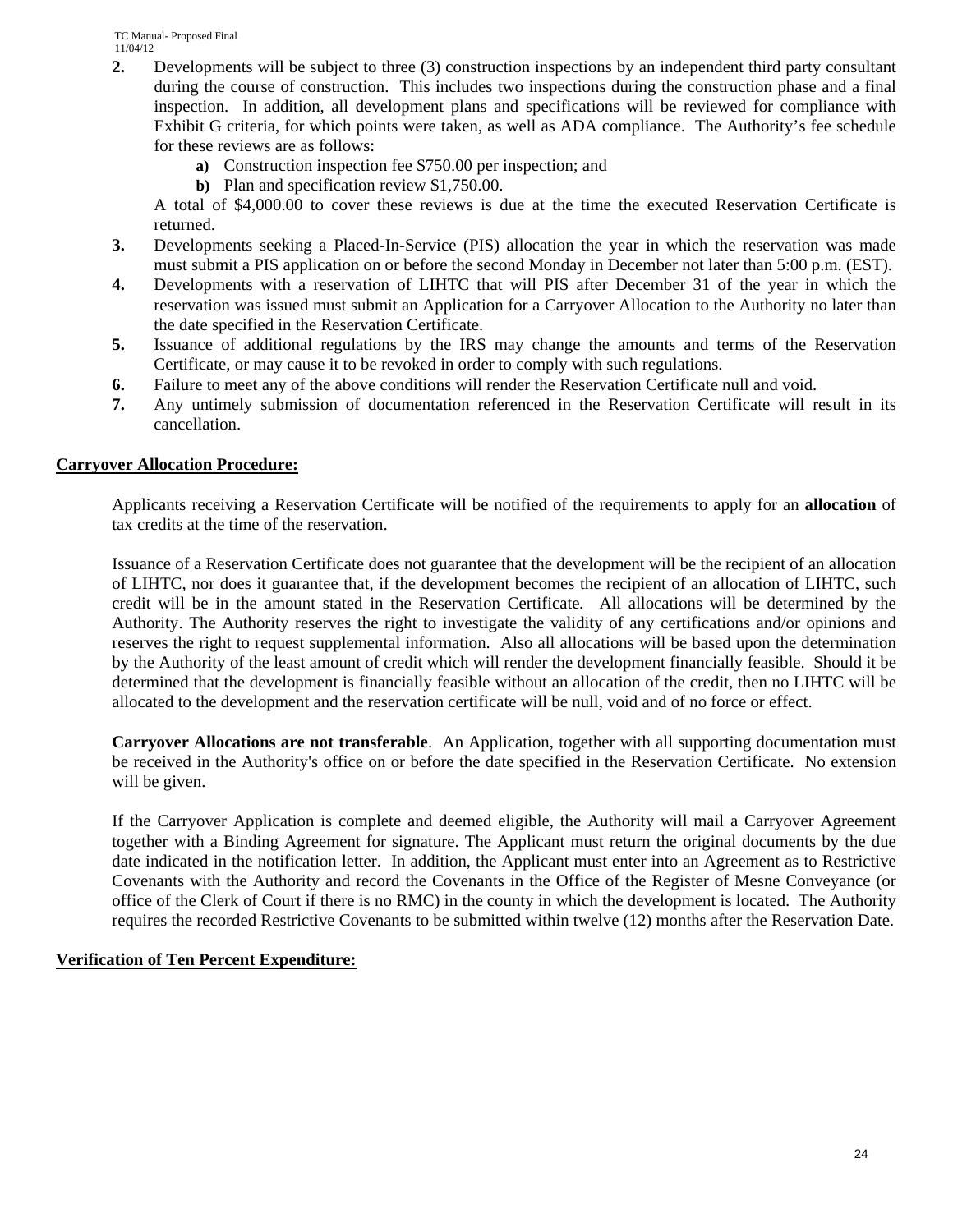- **2.** Developments will be subject to three (3) construction inspections by an independent third party consultant during the course of construction. This includes two inspections during the construction phase and a final inspection. In addition, all development plans and specifications will be reviewed for compliance with Exhibit G criteria, for which points were taken, as well as ADA compliance. The Authority's fee schedule for these reviews are as follows:
	- **a)** Construction inspection fee \$750.00 per inspection; and
	- **b)** Plan and specification review \$1,750.00.

A total of \$4,000.00 to cover these reviews is due at the time the executed Reservation Certificate is returned.

- **3.** Developments seeking a Placed-In-Service (PIS) allocation the year in which the reservation was made must submit a PIS application on or before the second Monday in December not later than 5:00 p.m. (EST).
- **4.** Developments with a reservation of LIHTC that will PIS after December 31 of the year in which the reservation was issued must submit an Application for a Carryover Allocation to the Authority no later than the date specified in the Reservation Certificate.
- **5.** Issuance of additional regulations by the IRS may change the amounts and terms of the Reservation Certificate, or may cause it to be revoked in order to comply with such regulations.
- **6.** Failure to meet any of the above conditions will render the Reservation Certificate null and void.
- **7.** Any untimely submission of documentation referenced in the Reservation Certificate will result in its cancellation.

#### **Carryover Allocation Procedure:**

Applicants receiving a Reservation Certificate will be notified of the requirements to apply for an **allocation** of tax credits at the time of the reservation.

Issuance of a Reservation Certificate does not guarantee that the development will be the recipient of an allocation of LIHTC, nor does it guarantee that, if the development becomes the recipient of an allocation of LIHTC, such credit will be in the amount stated in the Reservation Certificate*.* All allocations will be determined by the Authority. The Authority reserves the right to investigate the validity of any certifications and/or opinions and reserves the right to request supplemental information. Also all allocations will be based upon the determination by the Authority of the least amount of credit which will render the development financially feasible. Should it be determined that the development is financially feasible without an allocation of the credit, then no LIHTC will be allocated to the development and the reservation certificate will be null, void and of no force or effect.

**Carryover Allocations are not transferable**. An Application, together with all supporting documentation must be received in the Authority's office on or before the date specified in the Reservation Certificate. No extension will be given.

If the Carryover Application is complete and deemed eligible, the Authority will mail a Carryover Agreement together with a Binding Agreement for signature. The Applicant must return the original documents by the due date indicated in the notification letter. In addition, the Applicant must enter into an Agreement as to Restrictive Covenants with the Authority and record the Covenants in the Office of the Register of Mesne Conveyance (or office of the Clerk of Court if there is no RMC) in the county in which the development is located. The Authority requires the recorded Restrictive Covenants to be submitted within twelve (12) months after the Reservation Date.

#### **Verification of Ten Percent Expenditure:**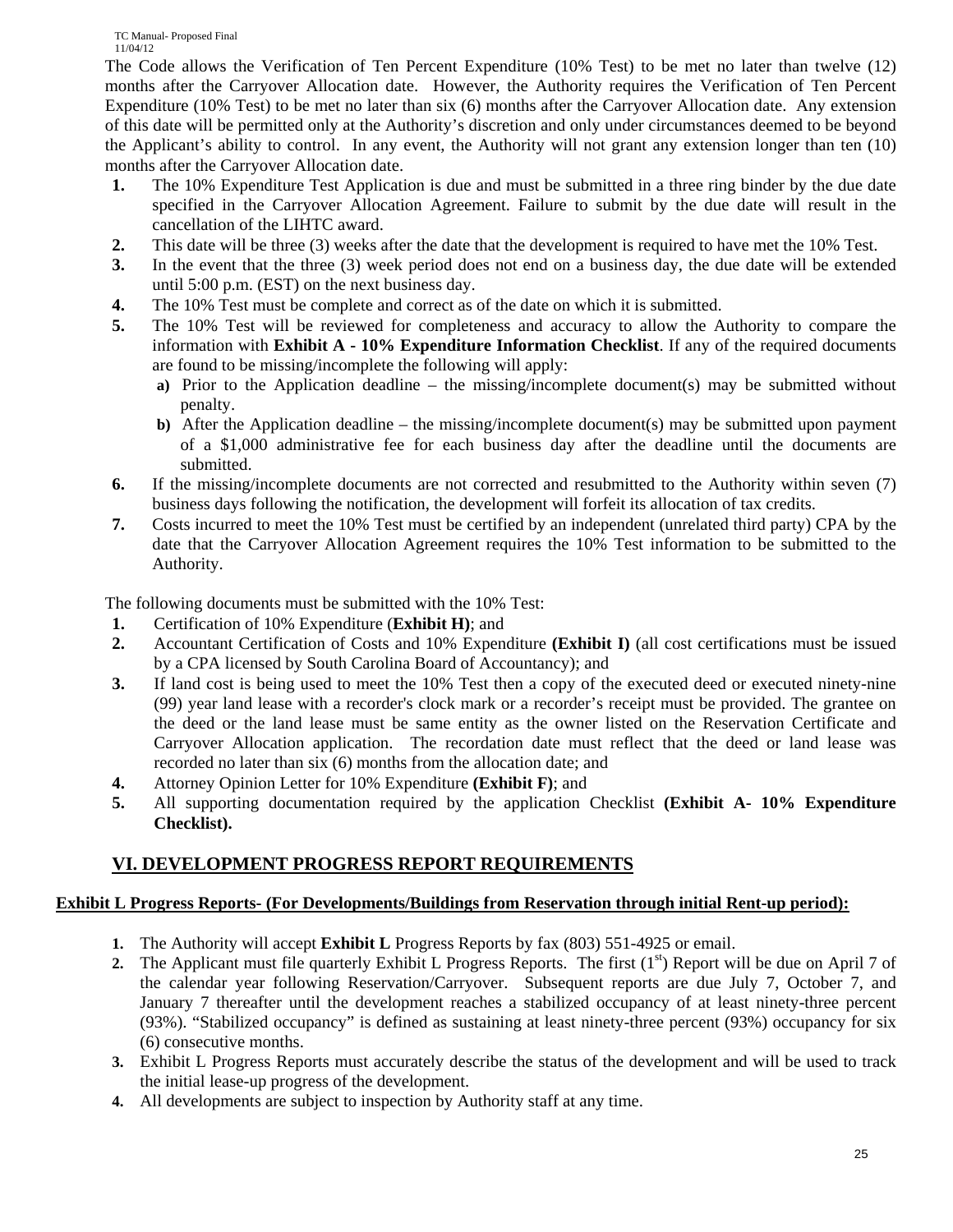The Code allows the Verification of Ten Percent Expenditure (10% Test) to be met no later than twelve (12) months after the Carryover Allocation date. However, the Authority requires the Verification of Ten Percent Expenditure (10% Test) to be met no later than six (6) months after the Carryover Allocation date.Any extension of this date will be permitted only at the Authority's discretion and only under circumstances deemed to be beyond the Applicant's ability to control. In any event, the Authority will not grant any extension longer than ten (10) months after the Carryover Allocation date.

- **1.** The 10% Expenditure Test Application is due and must be submitted in a three ring binder by the due date specified in the Carryover Allocation Agreement. Failure to submit by the due date will result in the cancellation of the LIHTC award.
- **2.** This date will be three (3) weeks after the date that the development is required to have met the 10% Test.
- **3.** In the event that the three (3) week period does not end on a business day, the due date will be extended until 5:00 p.m. (EST) on the next business day.
- **4.** The 10% Test must be complete and correct as of the date on which it is submitted.
- **5.** The 10% Test will be reviewed for completeness and accuracy to allow the Authority to compare the information with **Exhibit A - 10% Expenditure Information Checklist**. If any of the required documents are found to be missing/incomplete the following will apply:
	- **a)** Prior to the Application deadline the missing/incomplete document(s) may be submitted without penalty.
	- **b**) After the Application deadline the missing/incomplete document(s) may be submitted upon payment of a \$1,000 administrative fee for each business day after the deadline until the documents are submitted.
- **6.** If the missing/incomplete documents are not corrected and resubmitted to the Authority within seven (7) business days following the notification, the development will forfeit its allocation of tax credits.
- **7.** Costs incurred to meet the 10% Test must be certified by an independent (unrelated third party) CPA by the date that the Carryover Allocation Agreement requires the 10% Test information to be submitted to the Authority.

The following documents must be submitted with the 10% Test:

- **1.** Certification of 10% Expenditure (**Exhibit H)**; and
- **2.** Accountant Certification of Costs and 10% Expenditure **(Exhibit I)** (all cost certifications must be issued by a CPA licensed by South Carolina Board of Accountancy); and
- **3.** If land cost is being used to meet the 10% Test then a copy of the executed deed or executed ninety-nine (99) year land lease with a recorder's clock mark or a recorder's receipt must be provided. The grantee on the deed or the land lease must be same entity as the owner listed on the Reservation Certificate and Carryover Allocation application. The recordation date must reflect that the deed or land lease was recorded no later than six (6) months from the allocation date; and
- **4.** Attorney Opinion Letter for 10% Expenditure **(Exhibit F)**; and
- **5.** All supporting documentation required by the application Checklist **(Exhibit A- 10% Expenditure Checklist).**

## **VI. DEVELOPMENT PROGRESS REPORT REQUIREMENTS**

## **Exhibit L Progress Reports- (For Developments/Buildings from Reservation through initial Rent-up period):**

- **1.** The Authority will accept **Exhibit L** Progress Reports by fax (803) 551-4925 or email.
- **2.** The Applicant must file quarterly Exhibit L Progress Reports. The first  $(1<sup>st</sup>)$  Report will be due on April 7 of the calendar year following Reservation/Carryover. Subsequent reports are due July 7, October 7, and January 7 thereafter until the development reaches a stabilized occupancy of at least ninety-three percent (93%). "Stabilized occupancy" is defined as sustaining at least ninety-three percent (93%) occupancy for six (6) consecutive months.
- **3.** Exhibit L Progress Reports must accurately describe the status of the development and will be used to track the initial lease-up progress of the development.
- **4.** All developments are subject to inspection by Authority staff at any time.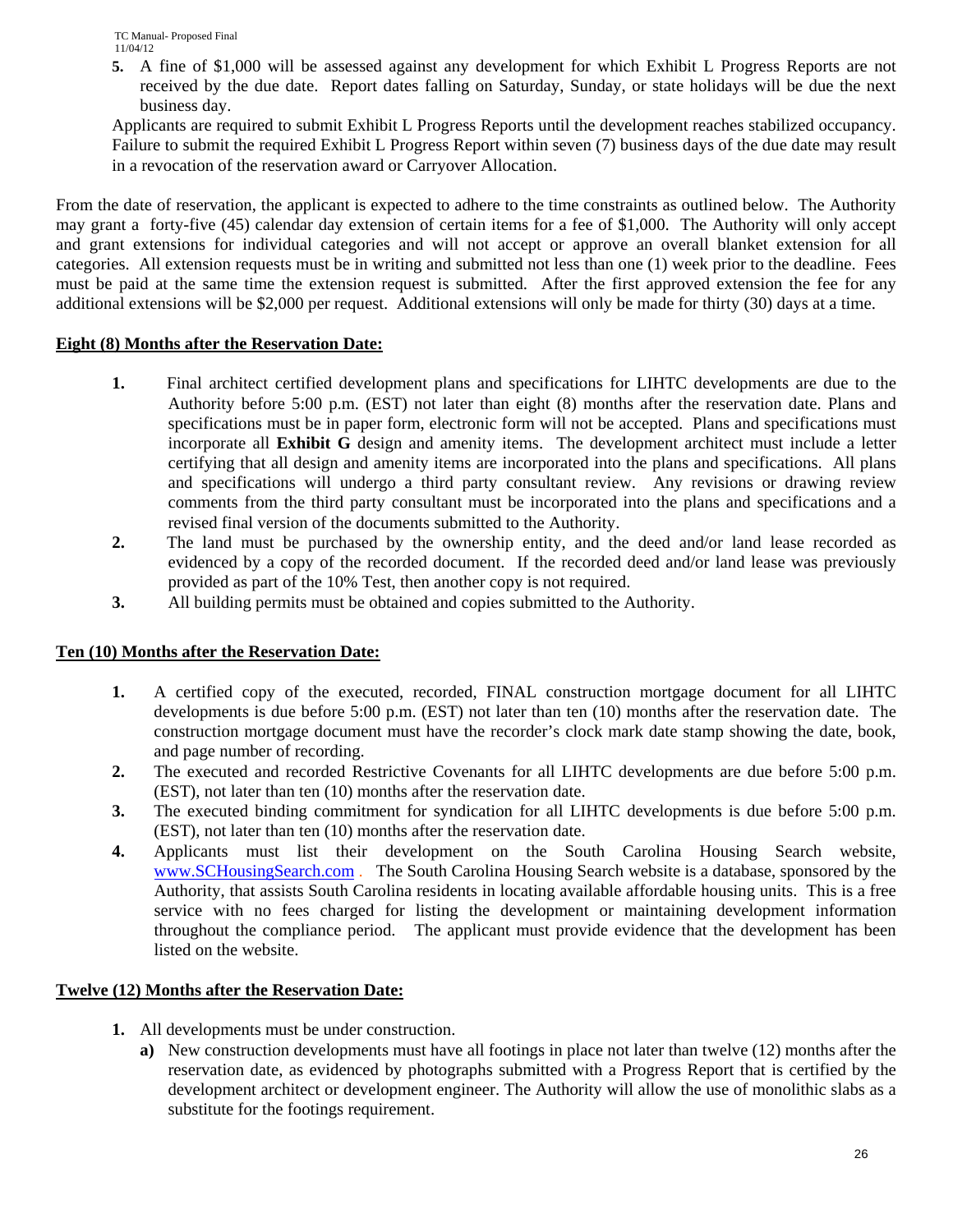**5.** A fine of \$1,000 will be assessed against any development for which Exhibit L Progress Reports are not received by the due date. Report dates falling on Saturday, Sunday, or state holidays will be due the next business day.

Applicants are required to submit Exhibit L Progress Reports until the development reaches stabilized occupancy. Failure to submit the required Exhibit L Progress Report within seven (7) business days of the due date may result in a revocation of the reservation award or Carryover Allocation.

From the date of reservation, the applicant is expected to adhere to the time constraints as outlined below. The Authority may grant a forty-five (45) calendar day extension of certain items for a fee of \$1,000. The Authority will only accept and grant extensions for individual categories and will not accept or approve an overall blanket extension for all categories. All extension requests must be in writing and submitted not less than one (1) week prior to the deadline. Fees must be paid at the same time the extension request is submitted. After the first approved extension the fee for any additional extensions will be \$2,000 per request. Additional extensions will only be made for thirty (30) days at a time.

#### **Eight (8) Months after the Reservation Date:**

- **1.** Final architect certified development plans and specifications for LIHTC developments are due to the Authority before 5:00 p.m. (EST) not later than eight (8) months after the reservation date. Plans and specifications must be in paper form, electronic form will not be accepted. Plans and specifications must incorporate all **Exhibit G** design and amenity items. The development architect must include a letter certifying that all design and amenity items are incorporated into the plans and specifications. All plans and specifications will undergo a third party consultant review. Any revisions or drawing review comments from the third party consultant must be incorporated into the plans and specifications and a revised final version of the documents submitted to the Authority.
- **2.** The land must be purchased by the ownership entity, and the deed and/or land lease recorded as evidenced by a copy of the recorded document. If the recorded deed and/or land lease was previously provided as part of the 10% Test, then another copy is not required.
- **3.** All building permits must be obtained and copies submitted to the Authority.

#### **Ten (10) Months after the Reservation Date:**

- **1.** A certified copy of the executed, recorded, FINAL construction mortgage document for all LIHTC developments is due before 5:00 p.m. (EST) not later than ten (10) months after the reservation date. The construction mortgage document must have the recorder's clock mark date stamp showing the date, book, and page number of recording.
- **2.** The executed and recorded Restrictive Covenants for all LIHTC developments are due before 5:00 p.m. (EST), not later than ten (10) months after the reservation date.
- **3.** The executed binding commitment for syndication for all LIHTC developments is due before 5:00 p.m. (EST), not later than ten (10) months after the reservation date.
- **4.** Applicants must list their development on the South Carolina Housing Search website, www.SCHousingSearch.com . The South Carolina Housing Search website is a database, sponsored by the Authority, that assists South Carolina residents in locating available affordable housing units. This is a free service with no fees charged for listing the development or maintaining development information throughout the compliance period. The applicant must provide evidence that the development has been listed on the website.

#### **Twelve (12) Months after the Reservation Date:**

- **1.** All developments must be under construction.
	- **a)** New construction developments must have all footings in place not later than twelve (12) months after the reservation date, as evidenced by photographs submitted with a Progress Report that is certified by the development architect or development engineer. The Authority will allow the use of monolithic slabs as a substitute for the footings requirement.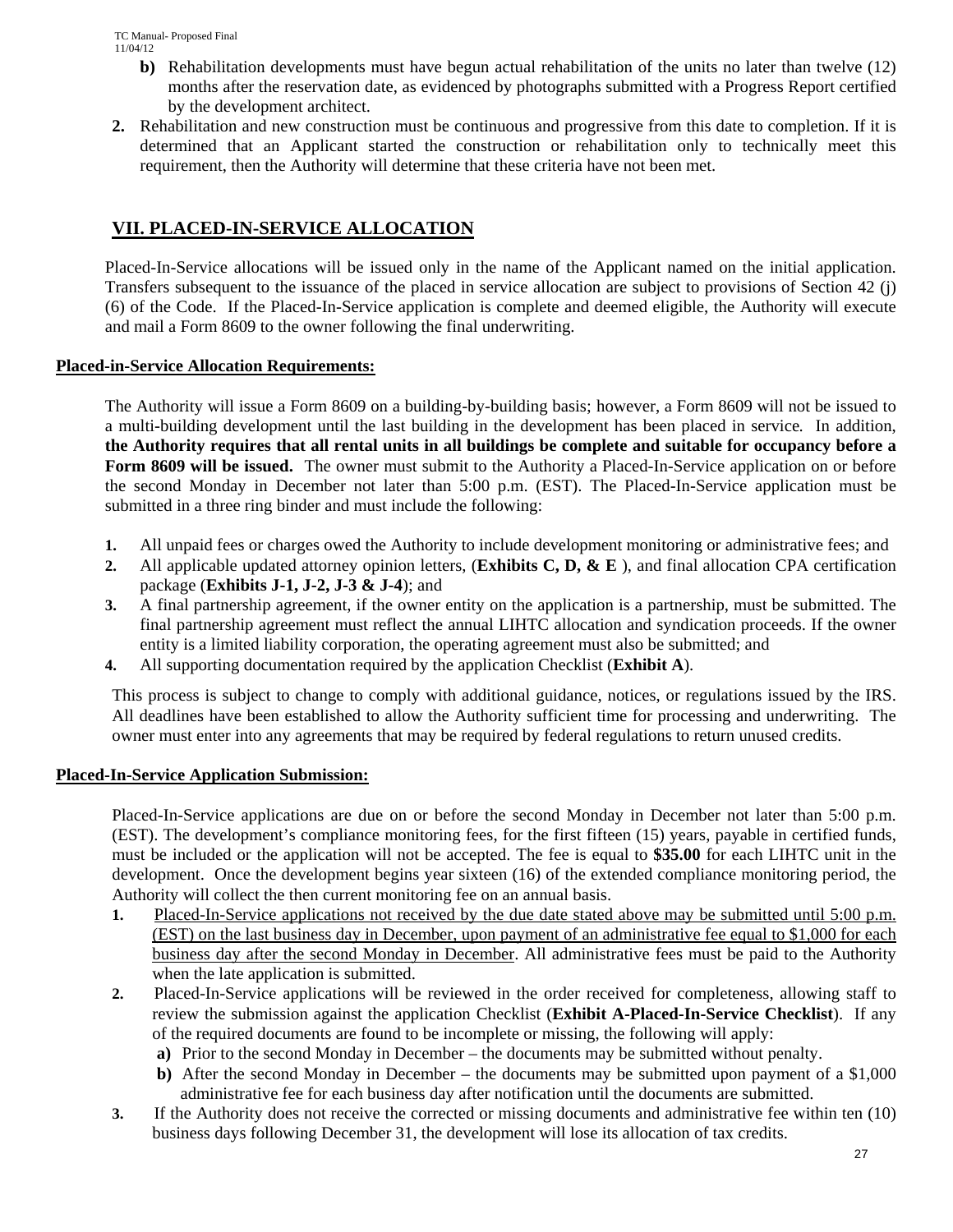- **b)** Rehabilitation developments must have begun actual rehabilitation of the units no later than twelve (12) months after the reservation date, as evidenced by photographs submitted with a Progress Report certified by the development architect.
- **2.** Rehabilitation and new construction must be continuous and progressive from this date to completion. If it is determined that an Applicant started the construction or rehabilitation only to technically meet this requirement, then the Authority will determine that these criteria have not been met.

## **VII. PLACED-IN-SERVICE ALLOCATION**

Placed-In-Service allocations will be issued only in the name of the Applicant named on the initial application. Transfers subsequent to the issuance of the placed in service allocation are subject to provisions of Section 42 (j) (6) of the Code. If the Placed-In-Service application is complete and deemed eligible, the Authority will execute and mail a Form 8609 to the owner following the final underwriting.

## **Placed-in-Service Allocation Requirements:**

The Authority will issue a Form 8609 on a building-by-building basis; however, a Form 8609 will not be issued to a multi-building development until the last building in the development has been placed in service*.* In addition, **the Authority requires that all rental units in all buildings be complete and suitable for occupancy before a Form 8609 will be issued.** The owner must submit to the Authority a Placed-In-Service application on or before the second Monday in December not later than 5:00 p.m. (EST). The Placed-In-Service application must be submitted in a three ring binder and must include the following:

- **1.** All unpaid fees or charges owed the Authority to include development monitoring or administrative fees; and
- **2.** All applicable updated attorney opinion letters, (**Exhibits C, D, & E** ), and final allocation CPA certification package (**Exhibits J-1, J-2, J-3 & J-4**); and
- **3.** A final partnership agreement, if the owner entity on the application is a partnership, must be submitted. The final partnership agreement must reflect the annual LIHTC allocation and syndication proceeds. If the owner entity is a limited liability corporation, the operating agreement must also be submitted; and
- **4.** All supporting documentation required by the application Checklist (**Exhibit A**).

This process is subject to change to comply with additional guidance, notices, or regulations issued by the IRS. All deadlines have been established to allow the Authority sufficient time for processing and underwriting. The owner must enter into any agreements that may be required by federal regulations to return unused credits.

## **Placed-In-Service Application Submission:**

Placed-In-Service applications are due on or before the second Monday in December not later than 5:00 p.m. (EST). The development's compliance monitoring fees, for the first fifteen (15) years, payable in certified funds, must be included or the application will not be accepted. The fee is equal to **\$35.00** for each LIHTC unit in the development. Once the development begins year sixteen (16) of the extended compliance monitoring period, the Authority will collect the then current monitoring fee on an annual basis.

- **1.** Placed-In-Service applications not received by the due date stated above may be submitted until 5:00 p.m. (EST) on the last business day in December, upon payment of an administrative fee equal to \$1,000 for each business day after the second Monday in December. All administrative fees must be paid to the Authority when the late application is submitted.
- **2.** Placed-In-Service applications will be reviewed in the order received for completeness, allowing staff to review the submission against the application Checklist (**Exhibit A-Placed-In-Service Checklist**). If any of the required documents are found to be incomplete or missing, the following will apply:
	- **a)** Prior to the second Monday in December the documents may be submitted without penalty.
	- **b**) After the second Monday in December the documents may be submitted upon payment of a \$1,000 administrative fee for each business day after notification until the documents are submitted.
- **3.** If the Authority does not receive the corrected or missing documents and administrative fee within ten (10) business days following December 31, the development will lose its allocation of tax credits.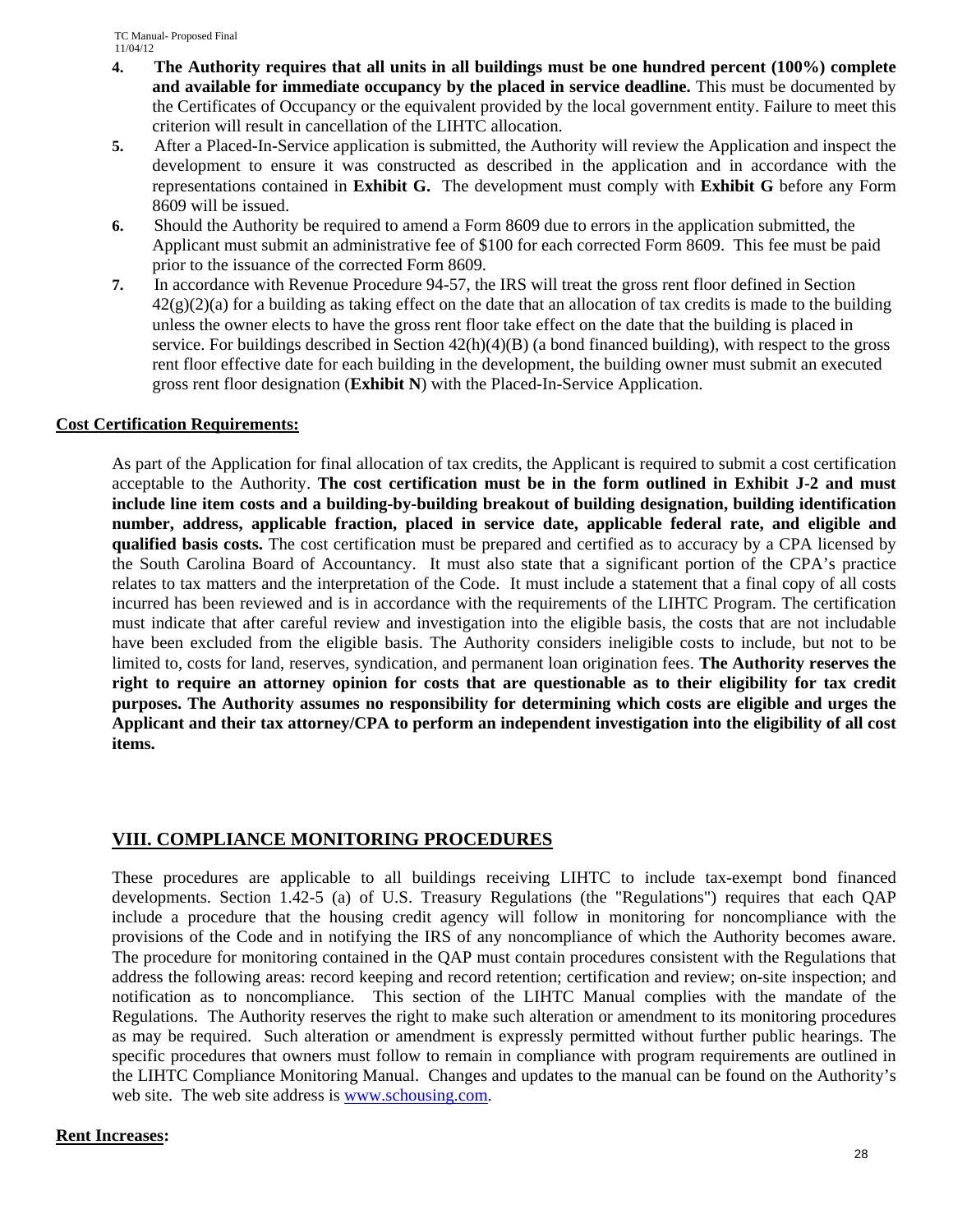- **4. The Authority requires that all units in all buildings must be one hundred percent (100%) complete and available for immediate occupancy by the placed in service deadline.** This must be documented by the Certificates of Occupancy or the equivalent provided by the local government entity. Failure to meet this criterion will result in cancellation of the LIHTC allocation.
- **5.** After a Placed-In-Service application is submitted, the Authority will review the Application and inspect the development to ensure it was constructed as described in the application and in accordance with the representations contained in **Exhibit G.** The development must comply with **Exhibit G** before any Form 8609 will be issued.
- **6.** Should the Authority be required to amend a Form 8609 due to errors in the application submitted, the Applicant must submit an administrative fee of \$100 for each corrected Form 8609. This fee must be paid prior to the issuance of the corrected Form 8609.
- **7.** In accordance with Revenue Procedure 94-57, the IRS will treat the gross rent floor defined in Section  $42(g)(2)(a)$  for a building as taking effect on the date that an allocation of tax credits is made to the building unless the owner elects to have the gross rent floor take effect on the date that the building is placed in service. For buildings described in Section 42(h)(4)(B) (a bond financed building), with respect to the gross rent floor effective date for each building in the development, the building owner must submit an executed gross rent floor designation (**Exhibit N**) with the Placed-In-Service Application.

### **Cost Certification Requirements:**

As part of the Application for final allocation of tax credits, the Applicant is required to submit a cost certification acceptable to the Authority. **The cost certification must be in the form outlined in Exhibit J-2 and must include line item costs and a building-by-building breakout of building designation, building identification number, address, applicable fraction, placed in service date, applicable federal rate, and eligible and qualified basis costs.** The cost certification must be prepared and certified as to accuracy by a CPA licensed by the South Carolina Board of Accountancy. It must also state that a significant portion of the CPA's practice relates to tax matters and the interpretation of the Code. It must include a statement that a final copy of all costs incurred has been reviewed and is in accordance with the requirements of the LIHTC Program. The certification must indicate that after careful review and investigation into the eligible basis, the costs that are not includable have been excluded from the eligible basis. The Authority considers ineligible costs to include, but not to be limited to, costs for land, reserves, syndication, and permanent loan origination fees. **The Authority reserves the right to require an attorney opinion for costs that are questionable as to their eligibility for tax credit purposes. The Authority assumes no responsibility for determining which costs are eligible and urges the Applicant and their tax attorney/CPA to perform an independent investigation into the eligibility of all cost items.** 

## **VIII. COMPLIANCE MONITORING PROCEDURES**

These procedures are applicable to all buildings receiving LIHTC to include tax-exempt bond financed developments. Section 1.42-5 (a) of U.S. Treasury Regulations (the "Regulations") requires that each QAP include a procedure that the housing credit agency will follow in monitoring for noncompliance with the provisions of the Code and in notifying the IRS of any noncompliance of which the Authority becomes aware. The procedure for monitoring contained in the QAP must contain procedures consistent with the Regulations that address the following areas: record keeping and record retention; certification and review; on-site inspection; and notification as to noncompliance. This section of the LIHTC Manual complies with the mandate of the Regulations. The Authority reserves the right to make such alteration or amendment to its monitoring procedures as may be required. Such alteration or amendment is expressly permitted without further public hearings. The specific procedures that owners must follow to remain in compliance with program requirements are outlined in the LIHTC Compliance Monitoring Manual. Changes and updates to the manual can be found on the Authority's web site. The web site address is www.schousing.com.

### **Rent Increases:**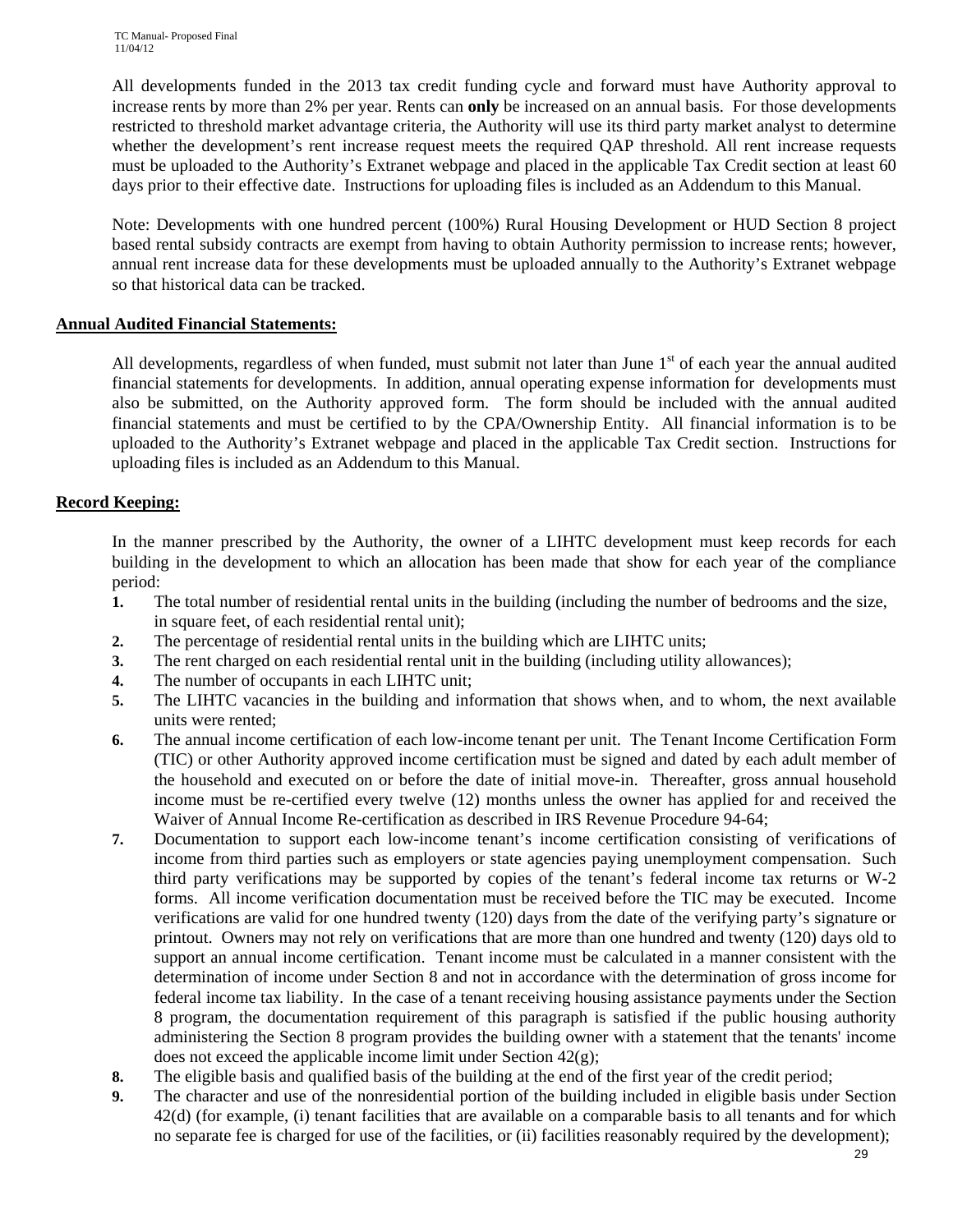All developments funded in the 2013 tax credit funding cycle and forward must have Authority approval to increase rents by more than 2% per year. Rents can **only** be increased on an annual basis. For those developments restricted to threshold market advantage criteria, the Authority will use its third party market analyst to determine whether the development's rent increase request meets the required QAP threshold. All rent increase requests must be uploaded to the Authority's Extranet webpage and placed in the applicable Tax Credit section at least 60 days prior to their effective date. Instructions for uploading files is included as an Addendum to this Manual.

Note: Developments with one hundred percent (100%) Rural Housing Development or HUD Section 8 project based rental subsidy contracts are exempt from having to obtain Authority permission to increase rents; however, annual rent increase data for these developments must be uploaded annually to the Authority's Extranet webpage so that historical data can be tracked.

### **Annual Audited Financial Statements:**

All developments, regardless of when funded, must submit not later than June  $1<sup>st</sup>$  of each year the annual audited financial statements for developments. In addition, annual operating expense information for developments must also be submitted, on the Authority approved form. The form should be included with the annual audited financial statements and must be certified to by the CPA/Ownership Entity. All financial information is to be uploaded to the Authority's Extranet webpage and placed in the applicable Tax Credit section. Instructions for uploading files is included as an Addendum to this Manual.

### **Record Keeping:**

In the manner prescribed by the Authority, the owner of a LIHTC development must keep records for each building in the development to which an allocation has been made that show for each year of the compliance period:

- **1.** The total number of residential rental units in the building (including the number of bedrooms and the size, in square feet, of each residential rental unit);
- **2.** The percentage of residential rental units in the building which are LIHTC units;
- **3.** The rent charged on each residential rental unit in the building (including utility allowances);
- **4.** The number of occupants in each LIHTC unit;
- **5.** The LIHTC vacancies in the building and information that shows when, and to whom, the next available units were rented;
- **6.** The annual income certification of each low-income tenant per unit. The Tenant Income Certification Form (TIC) or other Authority approved income certification must be signed and dated by each adult member of the household and executed on or before the date of initial move-in. Thereafter, gross annual household income must be re-certified every twelve (12) months unless the owner has applied for and received the Waiver of Annual Income Re-certification as described in IRS Revenue Procedure 94-64;
- **7.** Documentation to support each low-income tenant's income certification consisting of verifications of income from third parties such as employers or state agencies paying unemployment compensation. Such third party verifications may be supported by copies of the tenant's federal income tax returns or W-2 forms. All income verification documentation must be received before the TIC may be executed. Income verifications are valid for one hundred twenty (120) days from the date of the verifying party's signature or printout. Owners may not rely on verifications that are more than one hundred and twenty (120) days old to support an annual income certification. Tenant income must be calculated in a manner consistent with the determination of income under Section 8 and not in accordance with the determination of gross income for federal income tax liability. In the case of a tenant receiving housing assistance payments under the Section 8 program, the documentation requirement of this paragraph is satisfied if the public housing authority administering the Section 8 program provides the building owner with a statement that the tenants' income does not exceed the applicable income limit under Section 42(g);
- **8.** The eligible basis and qualified basis of the building at the end of the first year of the credit period;
- **9.** The character and use of the nonresidential portion of the building included in eligible basis under Section 42(d) (for example, (i) tenant facilities that are available on a comparable basis to all tenants and for which no separate fee is charged for use of the facilities, or (ii) facilities reasonably required by the development);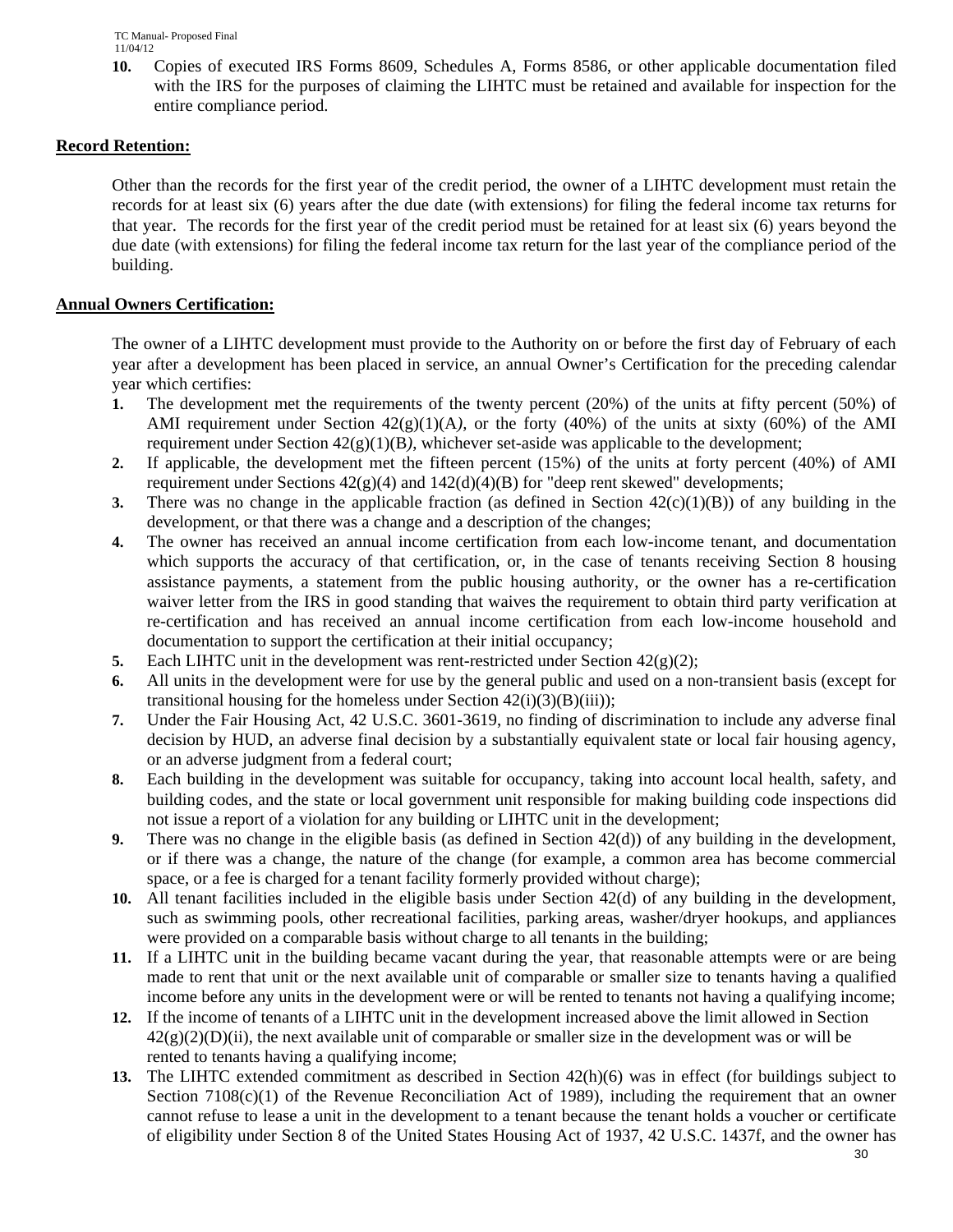**10.** Copies of executed IRS Forms 8609, Schedules A, Forms 8586, or other applicable documentation filed with the IRS for the purposes of claiming the LIHTC must be retained and available for inspection for the entire compliance period.

## **Record Retention:**

Other than the records for the first year of the credit period, the owner of a LIHTC development must retain the records for at least six (6) years after the due date (with extensions) for filing the federal income tax returns for that year. The records for the first year of the credit period must be retained for at least six (6) years beyond the due date (with extensions) for filing the federal income tax return for the last year of the compliance period of the building.

### **Annual Owners Certification:**

The owner of a LIHTC development must provide to the Authority on or before the first day of February of each year after a development has been placed in service, an annual Owner's Certification for the preceding calendar year which certifies:

- **1.** The development met the requirements of the twenty percent (20%) of the units at fifty percent (50%) of AMI requirement under Section  $42(g)(1)(A)$ , or the forty (40%) of the units at sixty (60%) of the AMI requirement under Section 42(g)(1)(B*)*, whichever set-aside was applicable to the development;
- **2.** If applicable, the development met the fifteen percent (15%) of the units at forty percent (40%) of AMI requirement under Sections  $42(g)(4)$  and  $142(d)(4)(B)$  for "deep rent skewed" developments;
- **3.** There was no change in the applicable fraction (as defined in Section  $42(c)(1)(B)$ ) of any building in the development, or that there was a change and a description of the changes;
- **4.** The owner has received an annual income certification from each low-income tenant, and documentation which supports the accuracy of that certification, or, in the case of tenants receiving Section 8 housing assistance payments, a statement from the public housing authority, or the owner has a re-certification waiver letter from the IRS in good standing that waives the requirement to obtain third party verification at re-certification and has received an annual income certification from each low-income household and documentation to support the certification at their initial occupancy;
- **5.** Each LIHTC unit in the development was rent-restricted under Section  $42(g)(2)$ ;
- **6.** All units in the development were for use by the general public and used on a non-transient basis (except for transitional housing for the homeless under Section  $42(i)(3)(B)(iii)$ ;
- **7.** Under the Fair Housing Act, 42 U.S.C. 3601-3619, no finding of discrimination to include any adverse final decision by HUD, an adverse final decision by a substantially equivalent state or local fair housing agency, or an adverse judgment from a federal court;
- **8.** Each building in the development was suitable for occupancy, taking into account local health, safety, and building codes, and the state or local government unit responsible for making building code inspections did not issue a report of a violation for any building or LIHTC unit in the development;
- **9.** There was no change in the eligible basis (as defined in Section 42(d)) of any building in the development, or if there was a change, the nature of the change (for example, a common area has become commercial space, or a fee is charged for a tenant facility formerly provided without charge);
- **10.** All tenant facilities included in the eligible basis under Section 42(d) of any building in the development, such as swimming pools, other recreational facilities, parking areas, washer/dryer hookups, and appliances were provided on a comparable basis without charge to all tenants in the building;
- **11.** If a LIHTC unit in the building became vacant during the year, that reasonable attempts were or are being made to rent that unit or the next available unit of comparable or smaller size to tenants having a qualified income before any units in the development were or will be rented to tenants not having a qualifying income;
- **12.** If the income of tenants of a LIHTC unit in the development increased above the limit allowed in Section  $42(g)(2)(D)(ii)$ , the next available unit of comparable or smaller size in the development was or will be rented to tenants having a qualifying income;
- **13.** The LIHTC extended commitment as described in Section 42(h)(6) was in effect (for buildings subject to Section  $7108(c)(1)$  of the Revenue Reconciliation Act of 1989), including the requirement that an owner cannot refuse to lease a unit in the development to a tenant because the tenant holds a voucher or certificate of eligibility under Section 8 of the United States Housing Act of 1937, 42 U.S.C. 1437f, and the owner has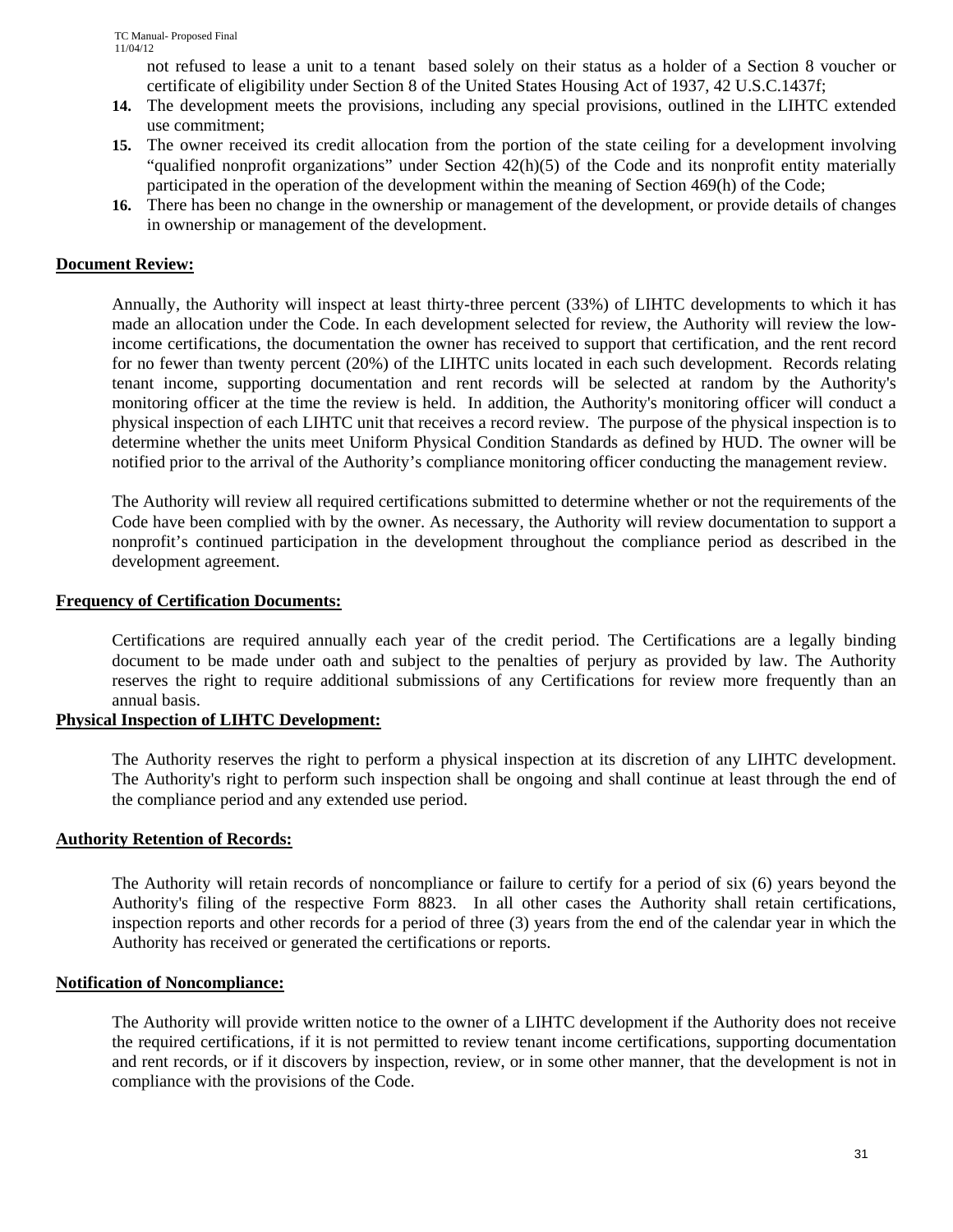not refused to lease a unit to a tenant based solely on their status as a holder of a Section 8 voucher or certificate of eligibility under Section 8 of the United States Housing Act of 1937, 42 U.S.C.1437f;

- **14.** The development meets the provisions, including any special provisions, outlined in the LIHTC extended use commitment;
- **15.** The owner received its credit allocation from the portion of the state ceiling for a development involving "qualified nonprofit organizations" under Section 42(h)(5) of the Code and its nonprofit entity materially participated in the operation of the development within the meaning of Section 469(h) of the Code;
- **16.** There has been no change in the ownership or management of the development, or provide details of changes in ownership or management of the development.

### **Document Review:**

Annually, the Authority will inspect at least thirty-three percent (33%) of LIHTC developments to which it has made an allocation under the Code. In each development selected for review, the Authority will review the lowincome certifications, the documentation the owner has received to support that certification, and the rent record for no fewer than twenty percent (20%) of the LIHTC units located in each such development. Records relating tenant income, supporting documentation and rent records will be selected at random by the Authority's monitoring officer at the time the review is held. In addition, the Authority's monitoring officer will conduct a physical inspection of each LIHTC unit that receives a record review. The purpose of the physical inspection is to determine whether the units meet Uniform Physical Condition Standards as defined by HUD. The owner will be notified prior to the arrival of the Authority's compliance monitoring officer conducting the management review.

The Authority will review all required certifications submitted to determine whether or not the requirements of the Code have been complied with by the owner. As necessary, the Authority will review documentation to support a nonprofit's continued participation in the development throughout the compliance period as described in the development agreement.

#### **Frequency of Certification Documents:**

Certifications are required annually each year of the credit period. The Certifications are a legally binding document to be made under oath and subject to the penalties of perjury as provided by law. The Authority reserves the right to require additional submissions of any Certifications for review more frequently than an annual basis.

#### **Physical Inspection of LIHTC Development:**

The Authority reserves the right to perform a physical inspection at its discretion of any LIHTC development. The Authority's right to perform such inspection shall be ongoing and shall continue at least through the end of the compliance period and any extended use period.

#### **Authority Retention of Records:**

The Authority will retain records of noncompliance or failure to certify for a period of six (6) years beyond the Authority's filing of the respective Form 8823. In all other cases the Authority shall retain certifications, inspection reports and other records for a period of three (3) years from the end of the calendar year in which the Authority has received or generated the certifications or reports.

#### **Notification of Noncompliance:**

The Authority will provide written notice to the owner of a LIHTC development if the Authority does not receive the required certifications, if it is not permitted to review tenant income certifications, supporting documentation and rent records, or if it discovers by inspection, review, or in some other manner, that the development is not in compliance with the provisions of the Code.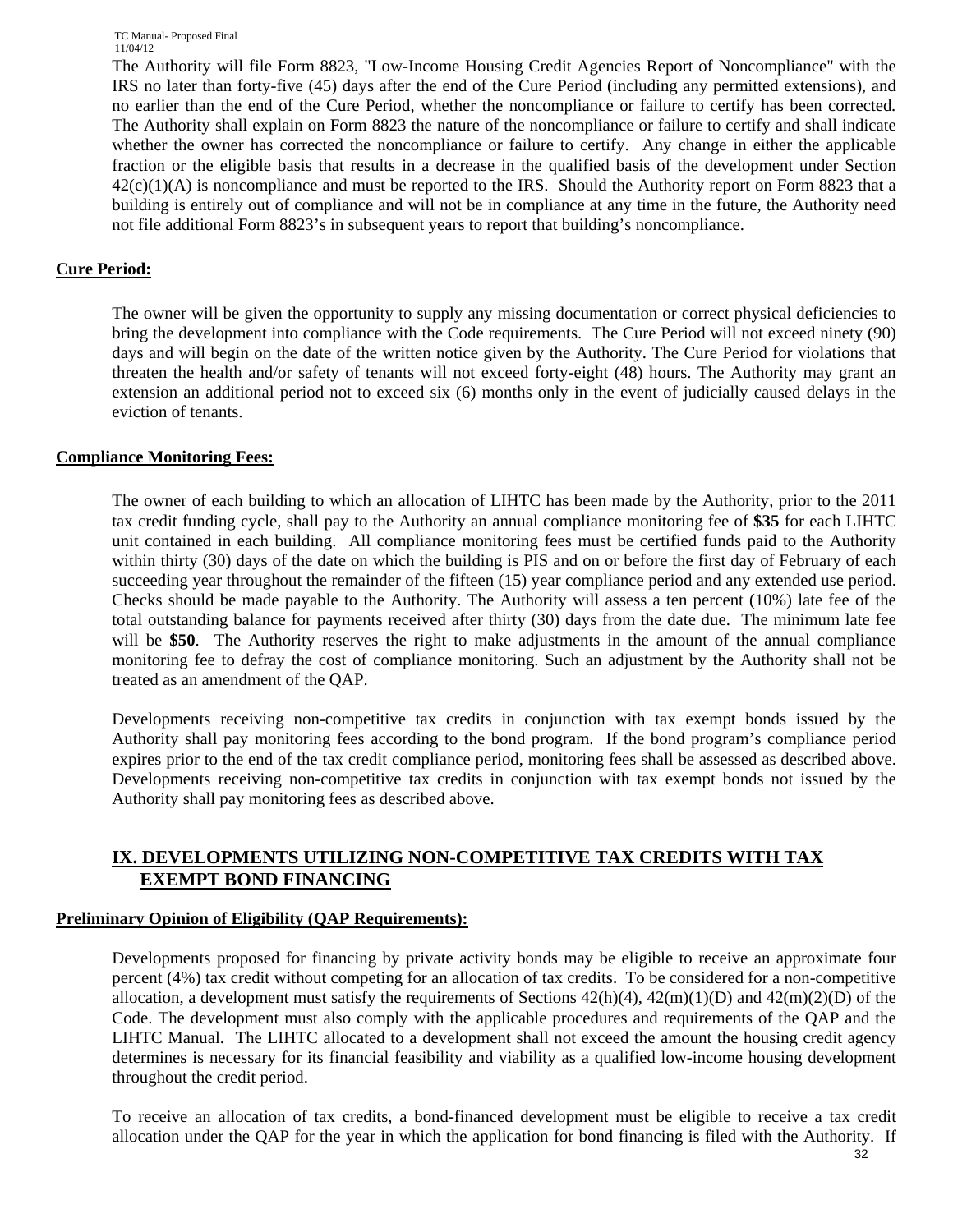The Authority will file Form 8823, "Low-Income Housing Credit Agencies Report of Noncompliance" with the IRS no later than forty-five (45) days after the end of the Cure Period (including any permitted extensions), and no earlier than the end of the Cure Period, whether the noncompliance or failure to certify has been corrected*.*  The Authority shall explain on Form 8823 the nature of the noncompliance or failure to certify and shall indicate whether the owner has corrected the noncompliance or failure to certify. Any change in either the applicable fraction or the eligible basis that results in a decrease in the qualified basis of the development under Section  $42(c)(1)(A)$  is noncompliance and must be reported to the IRS. Should the Authority report on Form 8823 that a building is entirely out of compliance and will not be in compliance at any time in the future, the Authority need not file additional Form 8823's in subsequent years to report that building's noncompliance.

## **Cure Period:**

The owner will be given the opportunity to supply any missing documentation or correct physical deficiencies to bring the development into compliance with the Code requirements. The Cure Period will not exceed ninety (90) days and will begin on the date of the written notice given by the Authority. The Cure Period for violations that threaten the health and/or safety of tenants will not exceed forty-eight (48) hours. The Authority may grant an extension an additional period not to exceed six (6) months only in the event of judicially caused delays in the eviction of tenants.

### **Compliance Monitoring Fees:**

The owner of each building to which an allocation of LIHTC has been made by the Authority, prior to the 2011 tax credit funding cycle, shall pay to the Authority an annual compliance monitoring fee of **\$35** for each LIHTC unit contained in each building. All compliance monitoring fees must be certified funds paid to the Authority within thirty (30) days of the date on which the building is PIS and on or before the first day of February of each succeeding year throughout the remainder of the fifteen (15) year compliance period and any extended use period. Checks should be made payable to the Authority. The Authority will assess a ten percent (10%) late fee of the total outstanding balance for payments received after thirty (30) days from the date due. The minimum late fee will be **\$50**. The Authority reserves the right to make adjustments in the amount of the annual compliance monitoring fee to defray the cost of compliance monitoring. Such an adjustment by the Authority shall not be treated as an amendment of the QAP.

Developments receiving non-competitive tax credits in conjunction with tax exempt bonds issued by the Authority shall pay monitoring fees according to the bond program. If the bond program's compliance period expires prior to the end of the tax credit compliance period, monitoring fees shall be assessed as described above. Developments receiving non-competitive tax credits in conjunction with tax exempt bonds not issued by the Authority shall pay monitoring fees as described above.

## **IX. DEVELOPMENTS UTILIZING NON-COMPETITIVE TAX CREDITS WITH TAX EXEMPT BOND FINANCING**

## **Preliminary Opinion of Eligibility (QAP Requirements):**

Developments proposed for financing by private activity bonds may be eligible to receive an approximate four percent (4%) tax credit without competing for an allocation of tax credits. To be considered for a non-competitive allocation, a development must satisfy the requirements of Sections  $42(h)(4)$ ,  $42(m)(1)(D)$  and  $42(m)(2)(D)$  of the Code. The development must also comply with the applicable procedures and requirements of the QAP and the LIHTC Manual. The LIHTC allocated to a development shall not exceed the amount the housing credit agency determines is necessary for its financial feasibility and viability as a qualified low-income housing development throughout the credit period.

To receive an allocation of tax credits, a bond-financed development must be eligible to receive a tax credit allocation under the QAP for the year in which the application for bond financing is filed with the Authority. If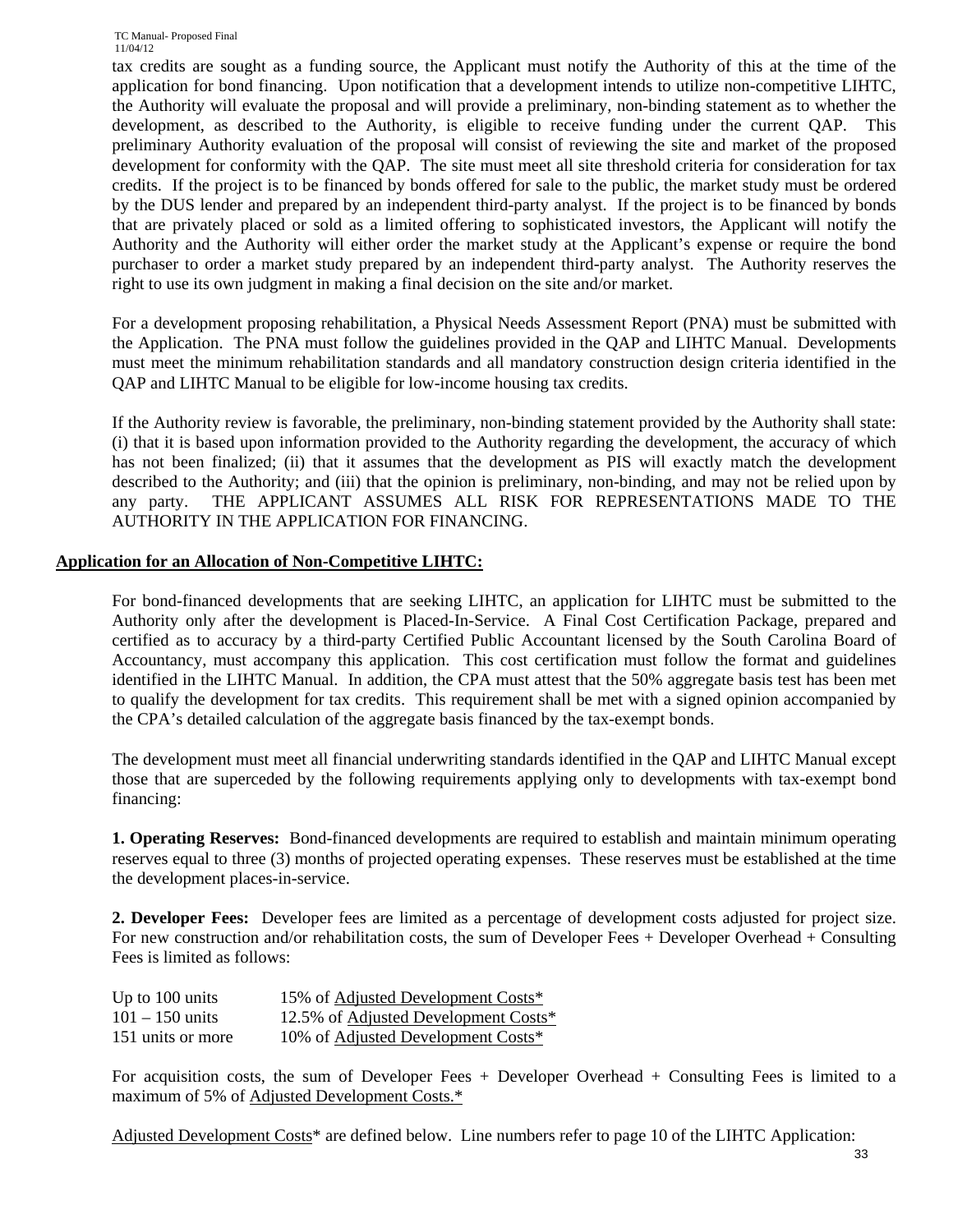tax credits are sought as a funding source, the Applicant must notify the Authority of this at the time of the application for bond financing. Upon notification that a development intends to utilize non-competitive LIHTC, the Authority will evaluate the proposal and will provide a preliminary, non-binding statement as to whether the development, as described to the Authority, is eligible to receive funding under the current QAP. This preliminary Authority evaluation of the proposal will consist of reviewing the site and market of the proposed development for conformity with the QAP. The site must meet all site threshold criteria for consideration for tax credits. If the project is to be financed by bonds offered for sale to the public, the market study must be ordered by the DUS lender and prepared by an independent third-party analyst. If the project is to be financed by bonds that are privately placed or sold as a limited offering to sophisticated investors, the Applicant will notify the Authority and the Authority will either order the market study at the Applicant's expense or require the bond purchaser to order a market study prepared by an independent third-party analyst. The Authority reserves the right to use its own judgment in making a final decision on the site and/or market.

For a development proposing rehabilitation, a Physical Needs Assessment Report (PNA) must be submitted with the Application. The PNA must follow the guidelines provided in the QAP and LIHTC Manual. Developments must meet the minimum rehabilitation standards and all mandatory construction design criteria identified in the QAP and LIHTC Manual to be eligible for low-income housing tax credits.

If the Authority review is favorable, the preliminary, non-binding statement provided by the Authority shall state: (i) that it is based upon information provided to the Authority regarding the development, the accuracy of which has not been finalized; (ii) that it assumes that the development as PIS will exactly match the development described to the Authority; and (iii) that the opinion is preliminary, non-binding, and may not be relied upon by any party. THE APPLICANT ASSUMES ALL RISK FOR REPRESENTATIONS MADE TO THE AUTHORITY IN THE APPLICATION FOR FINANCING.

### **Application for an Allocation of Non-Competitive LIHTC:**

For bond-financed developments that are seeking LIHTC, an application for LIHTC must be submitted to the Authority only after the development is Placed-In-Service. A Final Cost Certification Package, prepared and certified as to accuracy by a third-party Certified Public Accountant licensed by the South Carolina Board of Accountancy, must accompany this application. This cost certification must follow the format and guidelines identified in the LIHTC Manual. In addition, the CPA must attest that the 50% aggregate basis test has been met to qualify the development for tax credits. This requirement shall be met with a signed opinion accompanied by the CPA's detailed calculation of the aggregate basis financed by the tax-exempt bonds.

The development must meet all financial underwriting standards identified in the QAP and LIHTC Manual except those that are superceded by the following requirements applying only to developments with tax-exempt bond financing:

**1. Operating Reserves:** Bond-financed developments are required to establish and maintain minimum operating reserves equal to three (3) months of projected operating expenses. These reserves must be established at the time the development places-in-service.

**2. Developer Fees:** Developer fees are limited as a percentage of development costs adjusted for project size. For new construction and/or rehabilitation costs, the sum of Developer Fees + Developer Overhead + Consulting Fees is limited as follows:

| Up to 100 units   | 15% of Adjusted Development Costs*           |  |
|-------------------|----------------------------------------------|--|
| $101 - 150$ units | 12.5% of <u>Adjusted Development Costs</u> * |  |
| 151 units or more | 10% of Adjusted Development Costs*           |  |

For acquisition costs, the sum of Developer Fees + Developer Overhead + Consulting Fees is limited to a maximum of 5% of Adjusted Development Costs.\*

Adjusted Development Costs\* are defined below. Line numbers refer to page 10 of the LIHTC Application: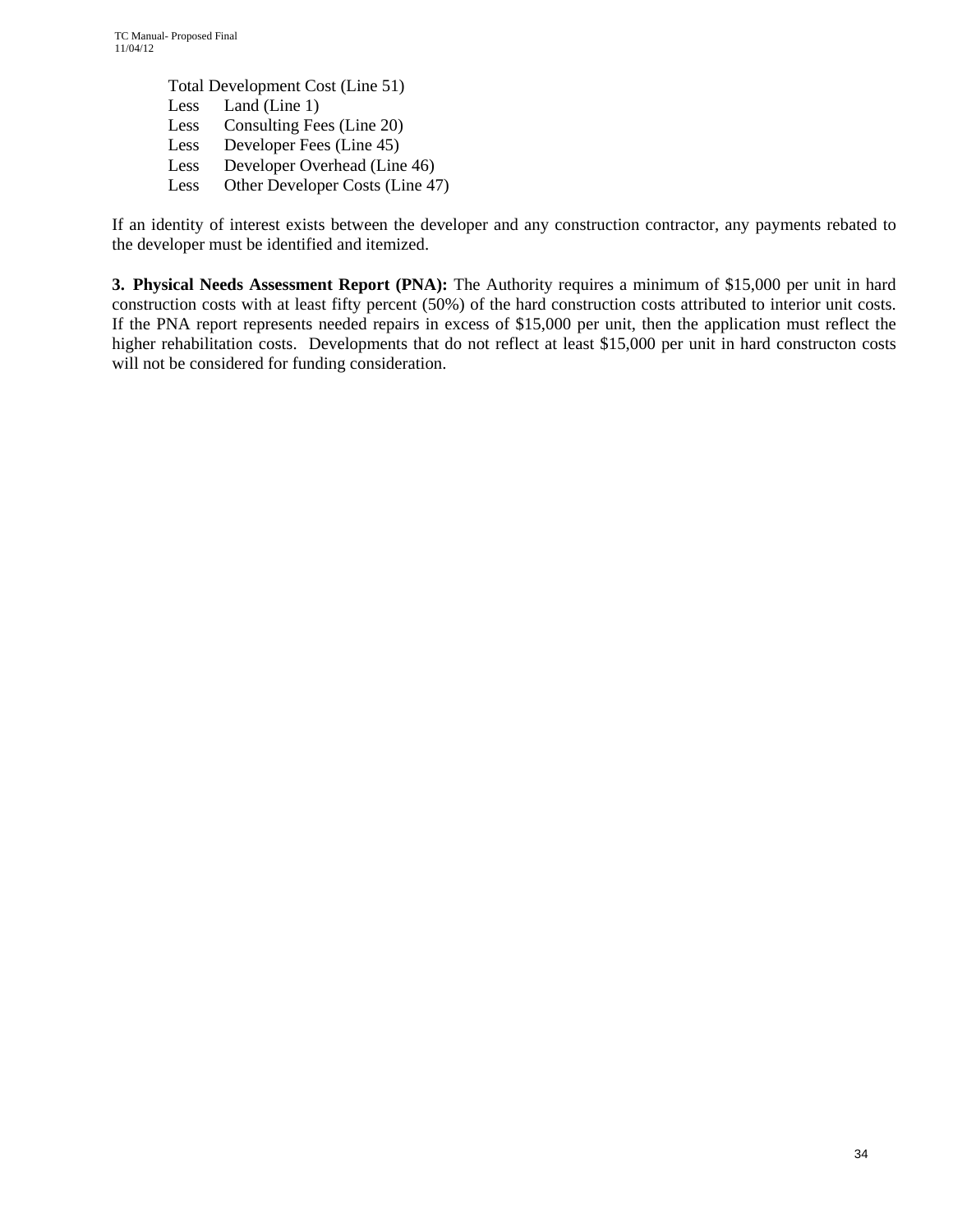> Total Development Cost (Line 51) Less Land (Line 1) Less Consulting Fees (Line 20) Less Developer Fees (Line 45) Less Developer Overhead (Line 46) Less Other Developer Costs (Line 47)

If an identity of interest exists between the developer and any construction contractor, any payments rebated to the developer must be identified and itemized.

**3. Physical Needs Assessment Report (PNA):** The Authority requires a minimum of \$15,000 per unit in hard construction costs with at least fifty percent (50%) of the hard construction costs attributed to interior unit costs. If the PNA report represents needed repairs in excess of \$15,000 per unit, then the application must reflect the higher rehabilitation costs. Developments that do not reflect at least \$15,000 per unit in hard constructon costs will not be considered for funding consideration.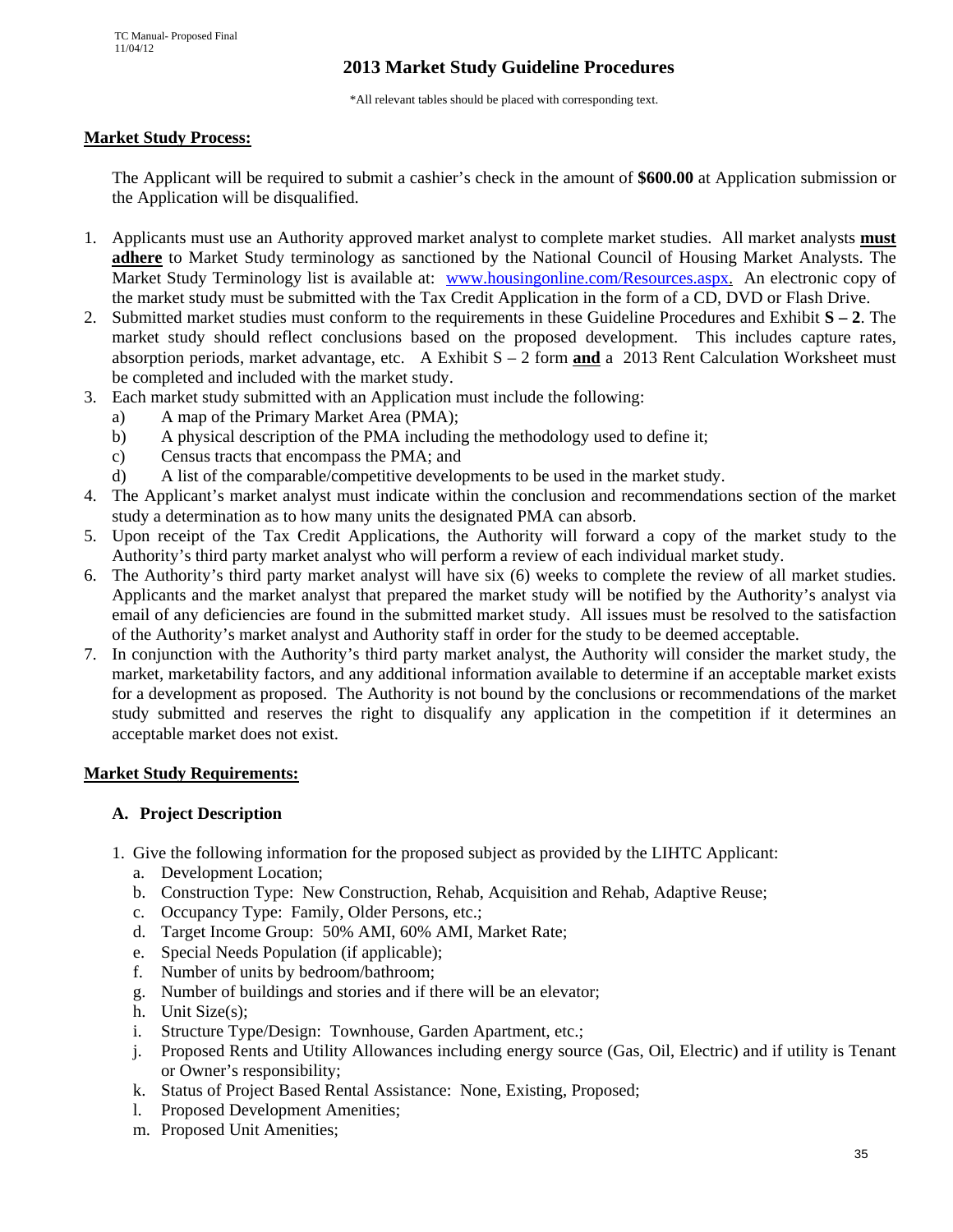## **2013 Market Study Guideline Procedures**

\*All relevant tables should be placed with corresponding text.

### **Market Study Process:**

The Applicant will be required to submit a cashier's check in the amount of **\$600.00** at Application submission or the Application will be disqualified.

- 1. Applicants must use an Authority approved market analyst to complete market studies. All market analysts **must adhere** to Market Study terminology as sanctioned by the National Council of Housing Market Analysts. The Market Study Terminology list is available at: www.housingonline.com/Resources.aspx. An electronic copy of the market study must be submitted with the Tax Credit Application in the form of a CD, DVD or Flash Drive.
- 2. Submitted market studies must conform to the requirements in these Guideline Procedures and Exhibit **S 2**. The market study should reflect conclusions based on the proposed development. This includes capture rates, absorption periods, market advantage, etc. A Exhibit S – 2 form **and** a 2013 Rent Calculation Worksheet must be completed and included with the market study.
- 3. Each market study submitted with an Application must include the following:
	- a) A map of the Primary Market Area (PMA);
	- b) A physical description of the PMA including the methodology used to define it;
	- c) Census tracts that encompass the PMA; and
	- d) A list of the comparable/competitive developments to be used in the market study.
- 4. The Applicant's market analyst must indicate within the conclusion and recommendations section of the market study a determination as to how many units the designated PMA can absorb.
- 5. Upon receipt of the Tax Credit Applications, the Authority will forward a copy of the market study to the Authority's third party market analyst who will perform a review of each individual market study.
- 6. The Authority's third party market analyst will have six (6) weeks to complete the review of all market studies. Applicants and the market analyst that prepared the market study will be notified by the Authority's analyst via email of any deficiencies are found in the submitted market study. All issues must be resolved to the satisfaction of the Authority's market analyst and Authority staff in order for the study to be deemed acceptable.
- 7. In conjunction with the Authority's third party market analyst, the Authority will consider the market study, the market, marketability factors, and any additional information available to determine if an acceptable market exists for a development as proposed. The Authority is not bound by the conclusions or recommendations of the market study submitted and reserves the right to disqualify any application in the competition if it determines an acceptable market does not exist.

## **Market Study Requirements:**

#### **A. Project Description**

- 1. Give the following information for the proposed subject as provided by the LIHTC Applicant:
	- a. Development Location;
	- b. Construction Type: New Construction, Rehab, Acquisition and Rehab, Adaptive Reuse;
	- c. Occupancy Type: Family, Older Persons, etc.;
	- d. Target Income Group: 50% AMI, 60% AMI, Market Rate;
	- e. Special Needs Population (if applicable);
	- f. Number of units by bedroom/bathroom;
	- g. Number of buildings and stories and if there will be an elevator;
	- h. Unit Size(s);
	- i. Structure Type/Design: Townhouse, Garden Apartment, etc.;
	- j. Proposed Rents and Utility Allowances including energy source (Gas, Oil, Electric) and if utility is Tenant or Owner's responsibility;
	- k. Status of Project Based Rental Assistance: None, Existing, Proposed;
	- l. Proposed Development Amenities;
	- m. Proposed Unit Amenities;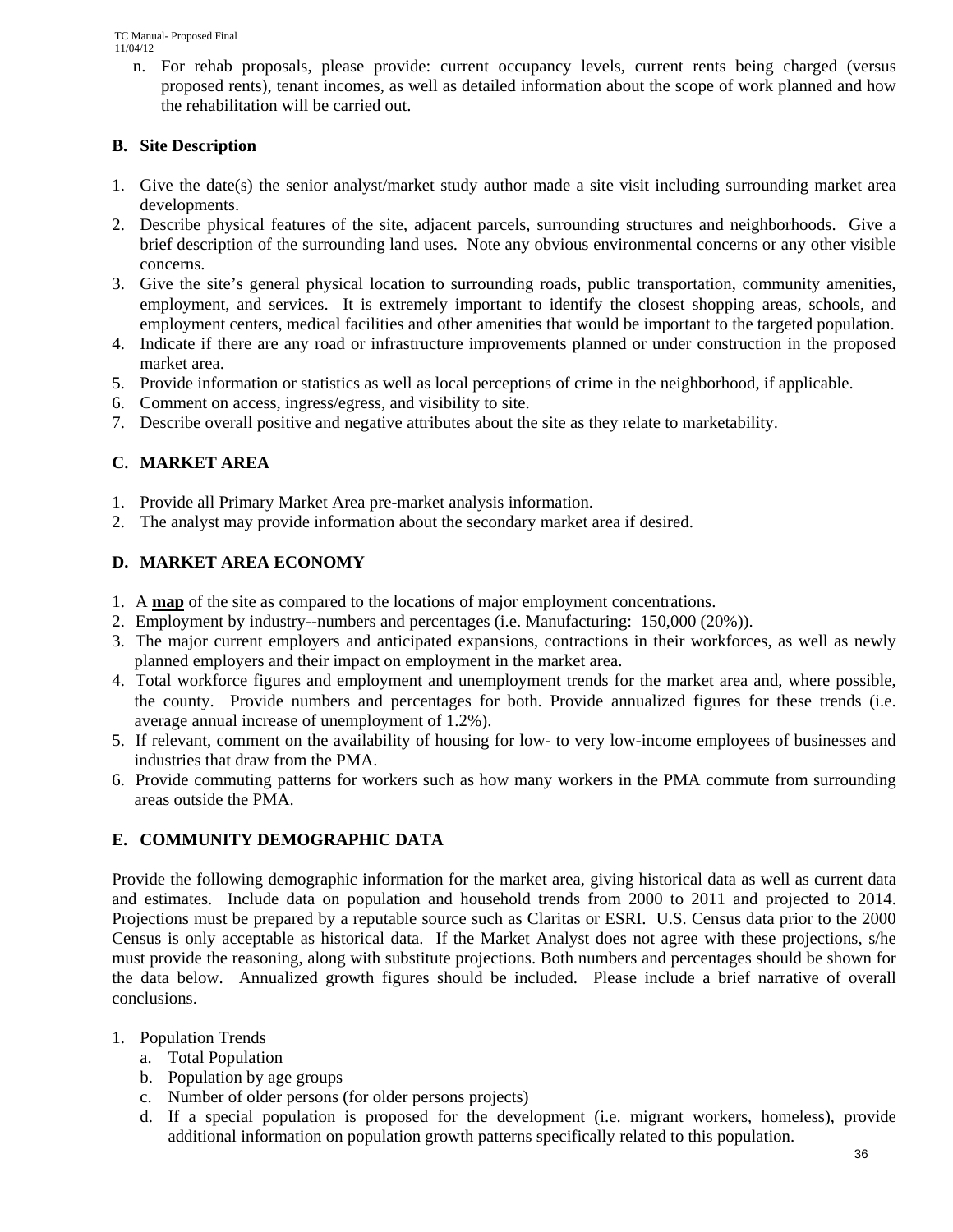n. For rehab proposals, please provide: current occupancy levels, current rents being charged (versus proposed rents), tenant incomes, as well as detailed information about the scope of work planned and how the rehabilitation will be carried out.

## **B. Site Description**

- 1. Give the date(s) the senior analyst/market study author made a site visit including surrounding market area developments.
- 2. Describe physical features of the site, adjacent parcels, surrounding structures and neighborhoods. Give a brief description of the surrounding land uses. Note any obvious environmental concerns or any other visible concerns.
- 3. Give the site's general physical location to surrounding roads, public transportation, community amenities, employment, and services. It is extremely important to identify the closest shopping areas, schools, and employment centers, medical facilities and other amenities that would be important to the targeted population.
- 4. Indicate if there are any road or infrastructure improvements planned or under construction in the proposed market area.
- 5. Provide information or statistics as well as local perceptions of crime in the neighborhood, if applicable.
- 6. Comment on access, ingress/egress, and visibility to site.
- 7. Describe overall positive and negative attributes about the site as they relate to marketability.

## **C. MARKET AREA**

- 1. Provide all Primary Market Area pre-market analysis information.
- 2. The analyst may provide information about the secondary market area if desired.

## **D. MARKET AREA ECONOMY**

- 1. A **map** of the site as compared to the locations of major employment concentrations.
- 2. Employment by industry--numbers and percentages (i.e. Manufacturing: 150,000 (20%)).
- 3. The major current employers and anticipated expansions, contractions in their workforces, as well as newly planned employers and their impact on employment in the market area.
- 4. Total workforce figures and employment and unemployment trends for the market area and, where possible, the county. Provide numbers and percentages for both. Provide annualized figures for these trends (i.e. average annual increase of unemployment of 1.2%).
- 5. If relevant, comment on the availability of housing for low- to very low-income employees of businesses and industries that draw from the PMA.
- 6. Provide commuting patterns for workers such as how many workers in the PMA commute from surrounding areas outside the PMA.

## **E. COMMUNITY DEMOGRAPHIC DATA**

Provide the following demographic information for the market area, giving historical data as well as current data and estimates. Include data on population and household trends from 2000 to 2011 and projected to 2014. Projections must be prepared by a reputable source such as Claritas or ESRI. U.S. Census data prior to the 2000 Census is only acceptable as historical data. If the Market Analyst does not agree with these projections, s/he must provide the reasoning, along with substitute projections. Both numbers and percentages should be shown for the data below. Annualized growth figures should be included. Please include a brief narrative of overall conclusions.

- 1. Population Trends
	- a. Total Population
	- b. Population by age groups
	- c. Number of older persons (for older persons projects)
	- d. If a special population is proposed for the development (i.e. migrant workers, homeless), provide additional information on population growth patterns specifically related to this population.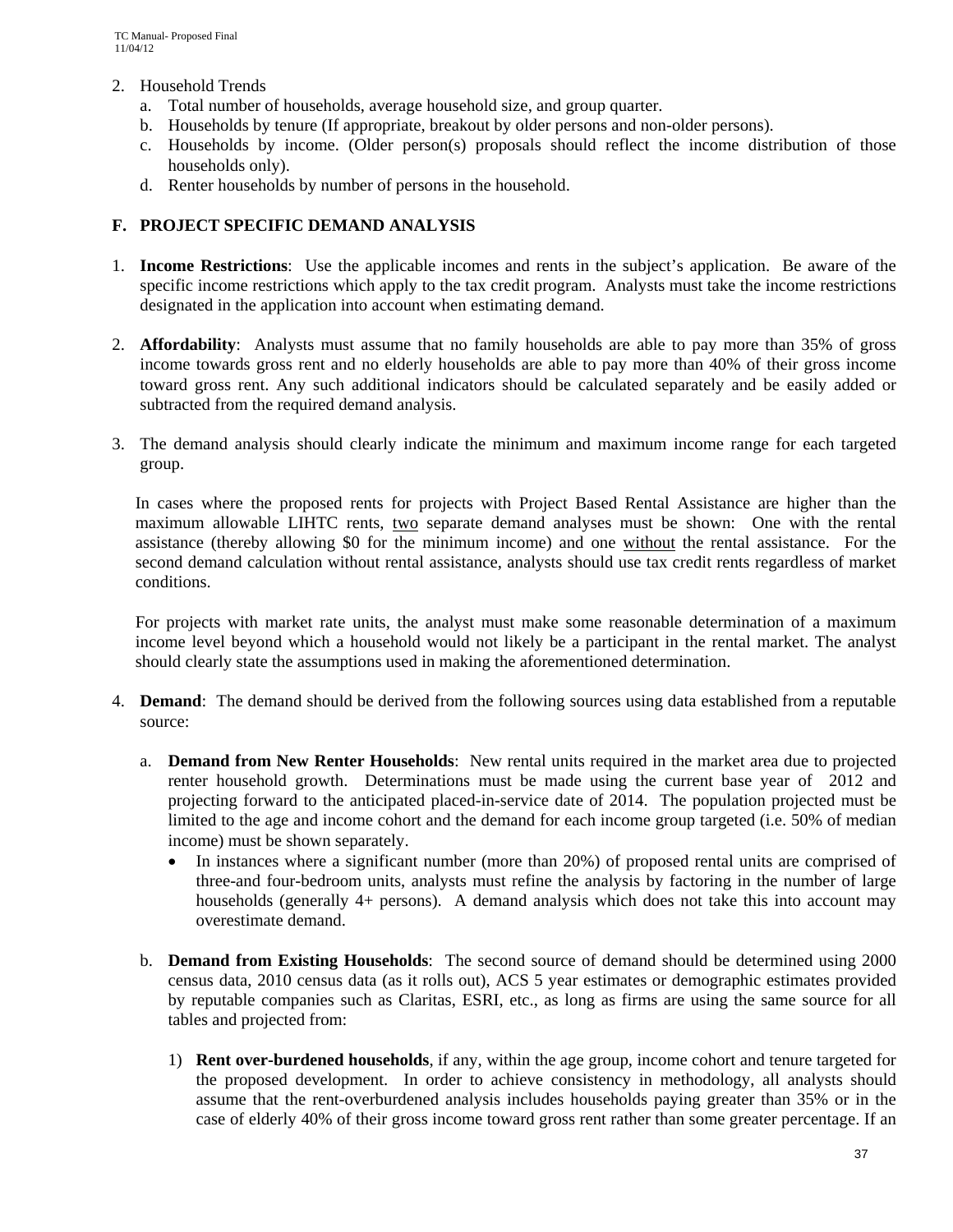- 2. Household Trends
	- a. Total number of households, average household size, and group quarter.
	- b. Households by tenure (If appropriate, breakout by older persons and non-older persons).
	- c. Households by income. (Older person(s) proposals should reflect the income distribution of those households only).
	- d. Renter households by number of persons in the household.

### **F. PROJECT SPECIFIC DEMAND ANALYSIS**

- 1. **Income Restrictions**: Use the applicable incomes and rents in the subject's application. Be aware of the specific income restrictions which apply to the tax credit program. Analysts must take the income restrictions designated in the application into account when estimating demand.
- 2. **Affordability**: Analysts must assume that no family households are able to pay more than 35% of gross income towards gross rent and no elderly households are able to pay more than 40% of their gross income toward gross rent. Any such additional indicators should be calculated separately and be easily added or subtracted from the required demand analysis.
- 3. The demand analysis should clearly indicate the minimum and maximum income range for each targeted group.

In cases where the proposed rents for projects with Project Based Rental Assistance are higher than the maximum allowable LIHTC rents, two separate demand analyses must be shown: One with the rental assistance (thereby allowing \$0 for the minimum income) and one without the rental assistance. For the second demand calculation without rental assistance, analysts should use tax credit rents regardless of market conditions.

For projects with market rate units, the analyst must make some reasonable determination of a maximum income level beyond which a household would not likely be a participant in the rental market. The analyst should clearly state the assumptions used in making the aforementioned determination.

- 4. **Demand**: The demand should be derived from the following sources using data established from a reputable source:
	- a. **Demand from New Renter Households**: New rental units required in the market area due to projected renter household growth. Determinations must be made using the current base year of 2012 and projecting forward to the anticipated placed-in-service date of 2014. The population projected must be limited to the age and income cohort and the demand for each income group targeted (i.e. 50% of median income) must be shown separately.
		- In instances where a significant number (more than 20%) of proposed rental units are comprised of three-and four-bedroom units, analysts must refine the analysis by factoring in the number of large households (generally 4+ persons). A demand analysis which does not take this into account may overestimate demand.
	- b. **Demand from Existing Households**: The second source of demand should be determined using 2000 census data, 2010 census data (as it rolls out), ACS 5 year estimates or demographic estimates provided by reputable companies such as Claritas, ESRI, etc., as long as firms are using the same source for all tables and projected from:
		- 1) **Rent over-burdened households**, if any, within the age group, income cohort and tenure targeted for the proposed development. In order to achieve consistency in methodology, all analysts should assume that the rent-overburdened analysis includes households paying greater than 35% or in the case of elderly 40% of their gross income toward gross rent rather than some greater percentage. If an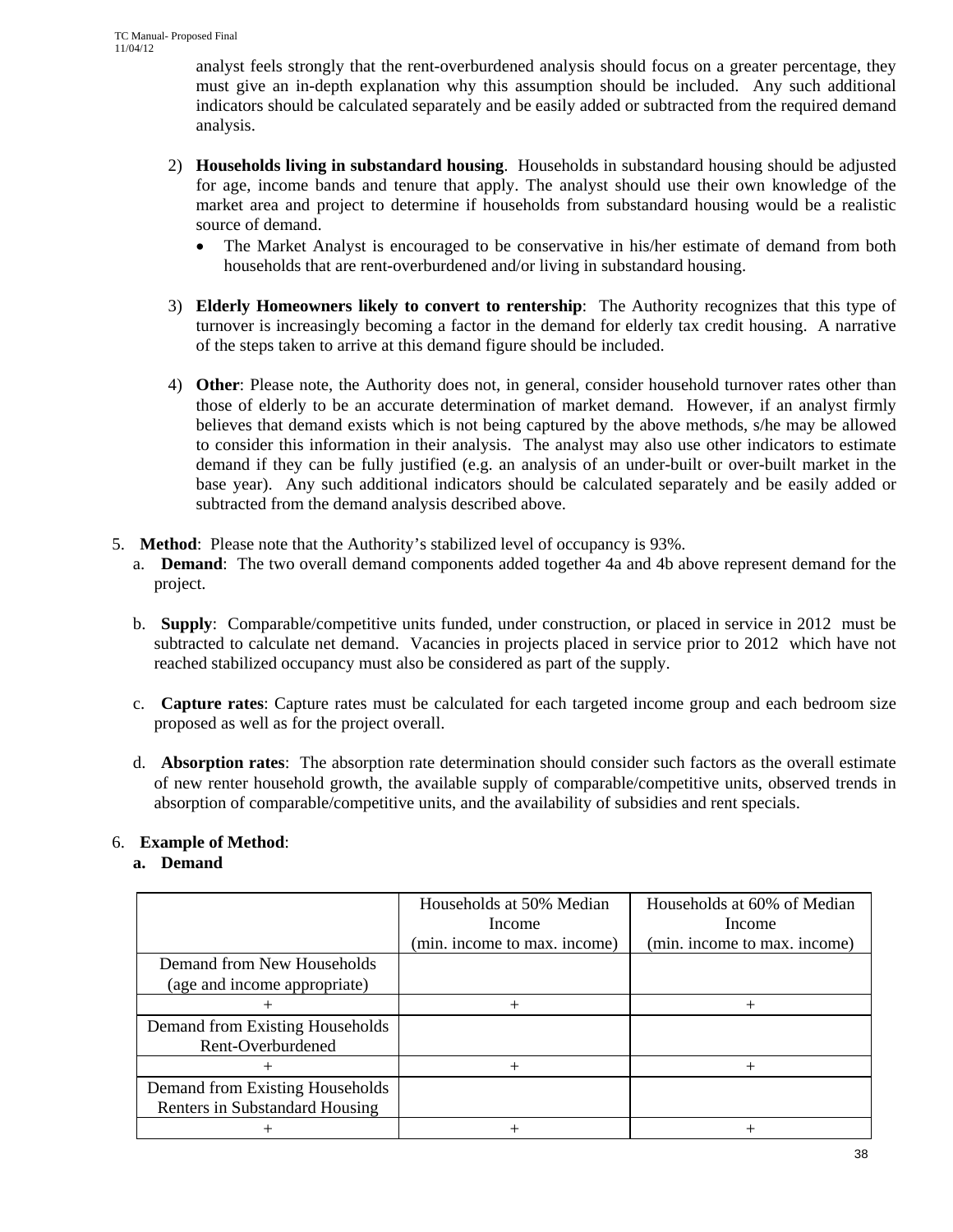analyst feels strongly that the rent-overburdened analysis should focus on a greater percentage, they must give an in-depth explanation why this assumption should be included. Any such additional indicators should be calculated separately and be easily added or subtracted from the required demand analysis.

- 2) **Households living in substandard housing**. Households in substandard housing should be adjusted for age, income bands and tenure that apply. The analyst should use their own knowledge of the market area and project to determine if households from substandard housing would be a realistic source of demand.
	- The Market Analyst is encouraged to be conservative in his/her estimate of demand from both households that are rent-overburdened and/or living in substandard housing.
- 3) **Elderly Homeowners likely to convert to rentership**: The Authority recognizes that this type of turnover is increasingly becoming a factor in the demand for elderly tax credit housing. A narrative of the steps taken to arrive at this demand figure should be included.
- 4) **Other**: Please note, the Authority does not, in general, consider household turnover rates other than those of elderly to be an accurate determination of market demand. However, if an analyst firmly believes that demand exists which is not being captured by the above methods, s/he may be allowed to consider this information in their analysis. The analyst may also use other indicators to estimate demand if they can be fully justified (e.g. an analysis of an under-built or over-built market in the base year). Any such additional indicators should be calculated separately and be easily added or subtracted from the demand analysis described above.
- 5. **Method**: Please note that the Authority's stabilized level of occupancy is 93%.
	- a. **Demand**: The two overall demand components added together 4a and 4b above represent demand for the project.
	- b. **Supply**: Comparable/competitive units funded, under construction, or placed in service in 2012 must be subtracted to calculate net demand. Vacancies in projects placed in service prior to 2012 which have not reached stabilized occupancy must also be considered as part of the supply.
	- c. **Capture rates**: Capture rates must be calculated for each targeted income group and each bedroom size proposed as well as for the project overall.
	- d. **Absorption rates**: The absorption rate determination should consider such factors as the overall estimate of new renter household growth, the available supply of comparable/competitive units, observed trends in absorption of comparable/competitive units, and the availability of subsidies and rent specials.

## 6. **Example of Method**:

## **a. Demand**

|                                                                   | Households at 50% Median<br>Income<br>(min. income to max. income) | Households at 60% of Median<br>Income<br>(min. income to max. income) |
|-------------------------------------------------------------------|--------------------------------------------------------------------|-----------------------------------------------------------------------|
| Demand from New Households<br>(age and income appropriate)        |                                                                    |                                                                       |
|                                                                   |                                                                    |                                                                       |
| Demand from Existing Households<br>Rent-Overburdened              |                                                                    |                                                                       |
|                                                                   | $\pm$                                                              | $^+$                                                                  |
| Demand from Existing Households<br>Renters in Substandard Housing |                                                                    |                                                                       |
|                                                                   |                                                                    |                                                                       |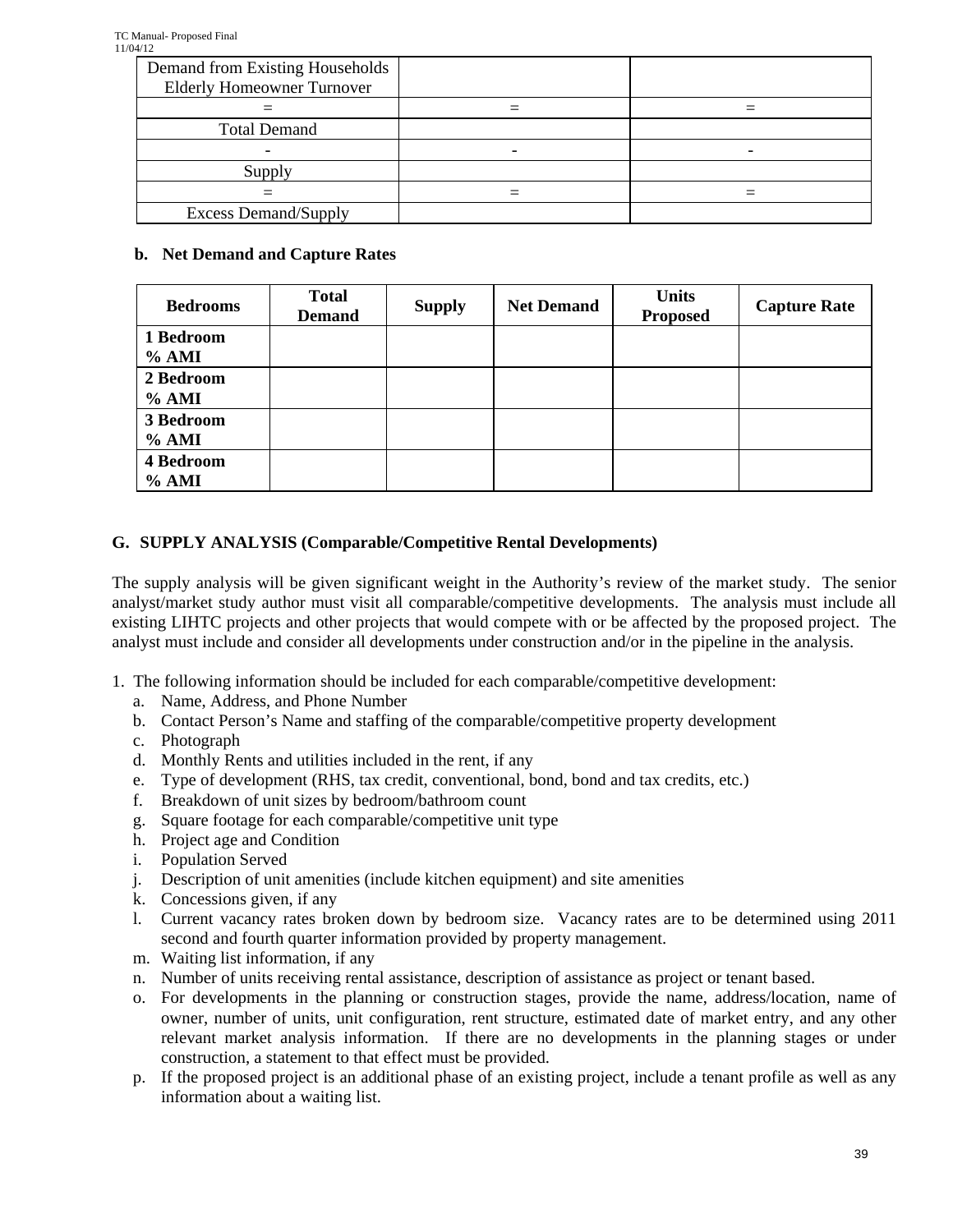| Demand from Existing Households<br><b>Elderly Homeowner Turnover</b> |  |
|----------------------------------------------------------------------|--|
|                                                                      |  |
| <b>Total Demand</b>                                                  |  |
|                                                                      |  |
| Supply                                                               |  |
|                                                                      |  |
| <b>Excess Demand/Supply</b>                                          |  |

### **b. Net Demand and Capture Rates**

| <b>Bedrooms</b>             | <b>Total</b><br><b>Demand</b> | <b>Supply</b> | <b>Net Demand</b> | <b>Units</b><br><b>Proposed</b> | <b>Capture Rate</b> |
|-----------------------------|-------------------------------|---------------|-------------------|---------------------------------|---------------------|
| 1 Bedroom<br>$%$ AMI        |                               |               |                   |                                 |                     |
| 2 Bedroom<br>% AMI          |                               |               |                   |                                 |                     |
| 3 Bedroom<br>% AMI          |                               |               |                   |                                 |                     |
| <b>4 Bedroom</b><br>$%$ AMI |                               |               |                   |                                 |                     |

## **G. SUPPLY ANALYSIS (Comparable/Competitive Rental Developments)**

The supply analysis will be given significant weight in the Authority's review of the market study. The senior analyst/market study author must visit all comparable/competitive developments. The analysis must include all existing LIHTC projects and other projects that would compete with or be affected by the proposed project. The analyst must include and consider all developments under construction and/or in the pipeline in the analysis.

- 1. The following information should be included for each comparable/competitive development:
	- a. Name, Address, and Phone Number
	- b. Contact Person's Name and staffing of the comparable/competitive property development
	- c. Photograph
	- d. Monthly Rents and utilities included in the rent, if any
	- e. Type of development (RHS, tax credit, conventional, bond, bond and tax credits, etc.)
	- f. Breakdown of unit sizes by bedroom/bathroom count
	- g. Square footage for each comparable/competitive unit type
	- h. Project age and Condition
	- i. Population Served
	- j. Description of unit amenities (include kitchen equipment) and site amenities
	- k. Concessions given, if any
	- l. Current vacancy rates broken down by bedroom size. Vacancy rates are to be determined using 2011 second and fourth quarter information provided by property management.
	- m. Waiting list information, if any
	- n. Number of units receiving rental assistance, description of assistance as project or tenant based.
	- o. For developments in the planning or construction stages, provide the name, address/location, name of owner, number of units, unit configuration, rent structure, estimated date of market entry, and any other relevant market analysis information. If there are no developments in the planning stages or under construction, a statement to that effect must be provided.
	- p. If the proposed project is an additional phase of an existing project, include a tenant profile as well as any information about a waiting list.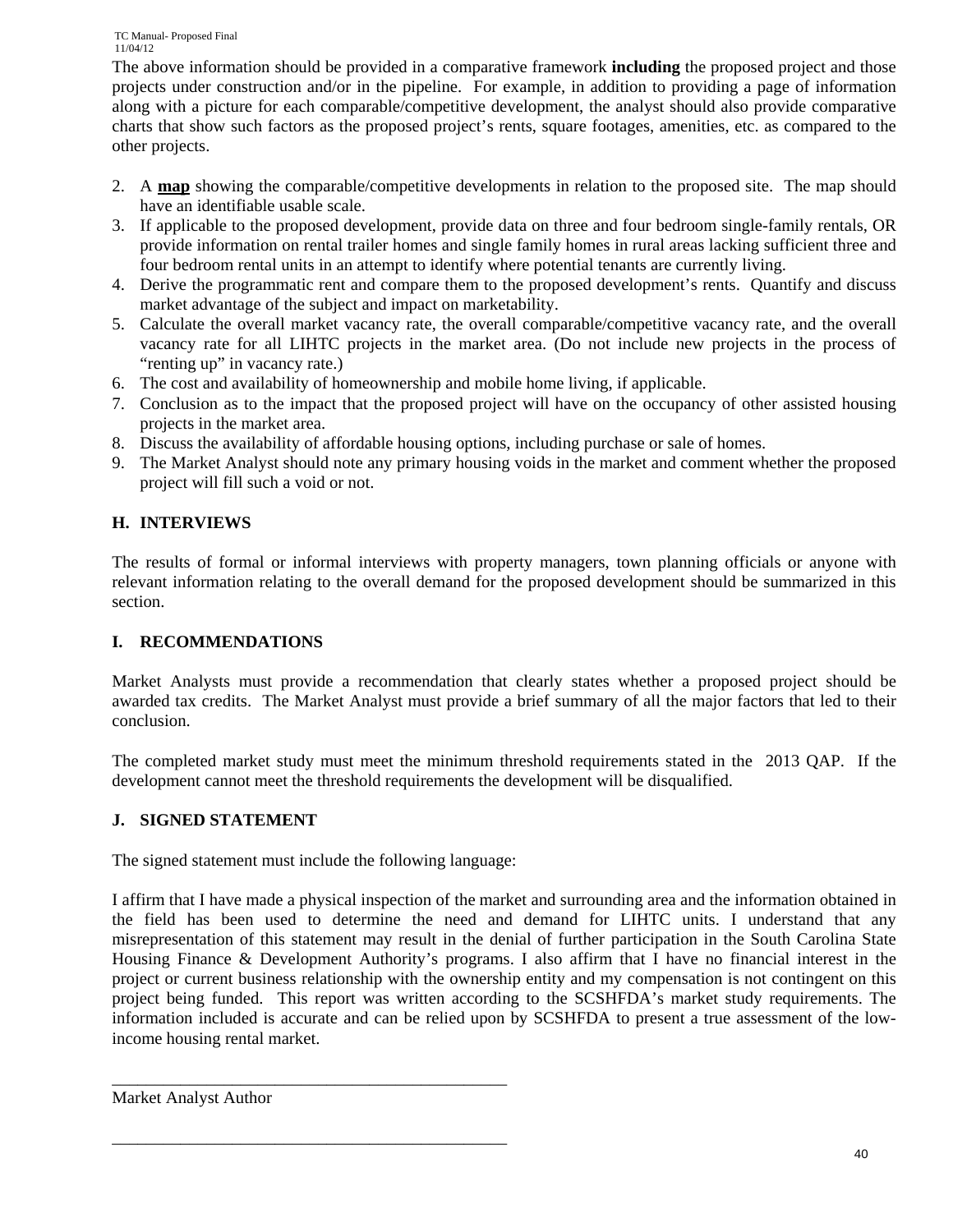The above information should be provided in a comparative framework **including** the proposed project and those projects under construction and/or in the pipeline. For example, in addition to providing a page of information along with a picture for each comparable/competitive development, the analyst should also provide comparative charts that show such factors as the proposed project's rents, square footages, amenities, etc. as compared to the other projects.

- 2. A **map** showing the comparable/competitive developments in relation to the proposed site. The map should have an identifiable usable scale.
- 3. If applicable to the proposed development, provide data on three and four bedroom single-family rentals, OR provide information on rental trailer homes and single family homes in rural areas lacking sufficient three and four bedroom rental units in an attempt to identify where potential tenants are currently living.
- 4. Derive the programmatic rent and compare them to the proposed development's rents. Quantify and discuss market advantage of the subject and impact on marketability.
- 5. Calculate the overall market vacancy rate, the overall comparable/competitive vacancy rate, and the overall vacancy rate for all LIHTC projects in the market area. (Do not include new projects in the process of "renting up" in vacancy rate.)
- 6. The cost and availability of homeownership and mobile home living, if applicable.
- 7. Conclusion as to the impact that the proposed project will have on the occupancy of other assisted housing projects in the market area.
- 8. Discuss the availability of affordable housing options, including purchase or sale of homes.
- 9. The Market Analyst should note any primary housing voids in the market and comment whether the proposed project will fill such a void or not.

## **H. INTERVIEWS**

The results of formal or informal interviews with property managers, town planning officials or anyone with relevant information relating to the overall demand for the proposed development should be summarized in this section.

## **I. RECOMMENDATIONS**

Market Analysts must provide a recommendation that clearly states whether a proposed project should be awarded tax credits. The Market Analyst must provide a brief summary of all the major factors that led to their conclusion.

The completed market study must meet the minimum threshold requirements stated in the 2013 QAP. If the development cannot meet the threshold requirements the development will be disqualified.

## **J. SIGNED STATEMENT**

The signed statement must include the following language:

\_\_\_\_\_\_\_\_\_\_\_\_\_\_\_\_\_\_\_\_\_\_\_\_\_\_\_\_\_\_\_\_\_\_\_\_\_\_\_\_\_\_\_\_\_\_

\_\_\_\_\_\_\_\_\_\_\_\_\_\_\_\_\_\_\_\_\_\_\_\_\_\_\_\_\_\_\_\_\_\_\_\_\_\_\_\_\_\_\_\_\_\_

I affirm that I have made a physical inspection of the market and surrounding area and the information obtained in the field has been used to determine the need and demand for LIHTC units. I understand that any misrepresentation of this statement may result in the denial of further participation in the South Carolina State Housing Finance & Development Authority's programs. I also affirm that I have no financial interest in the project or current business relationship with the ownership entity and my compensation is not contingent on this project being funded. This report was written according to the SCSHFDA's market study requirements. The information included is accurate and can be relied upon by SCSHFDA to present a true assessment of the lowincome housing rental market.

Market Analyst Author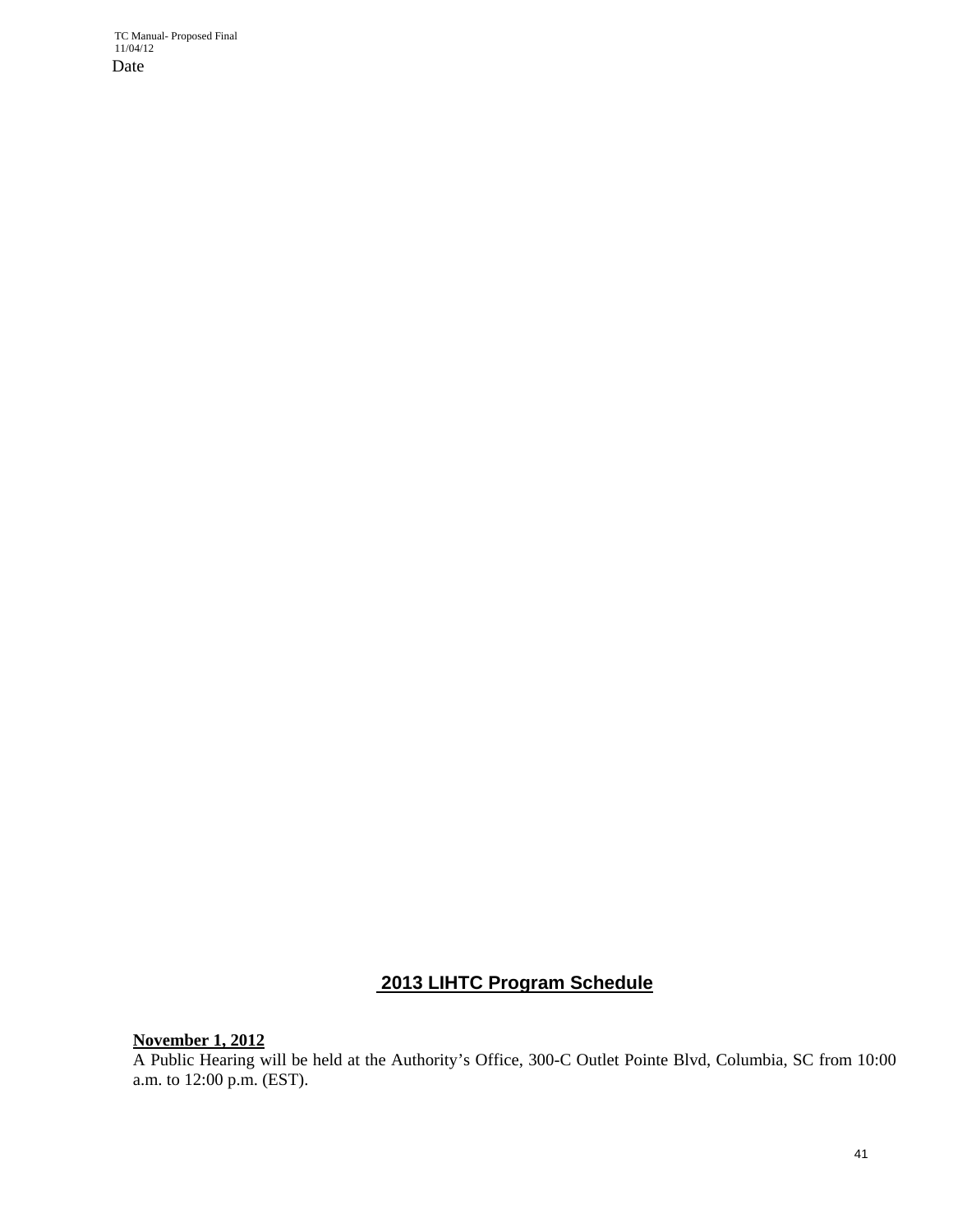## **2013 LIHTC Program Schedule**

**November 1, 2012** 

A Public Hearing will be held at the Authority's Office, 300-C Outlet Pointe Blvd, Columbia, SC from 10:00 a.m. to 12:00 p.m. (EST).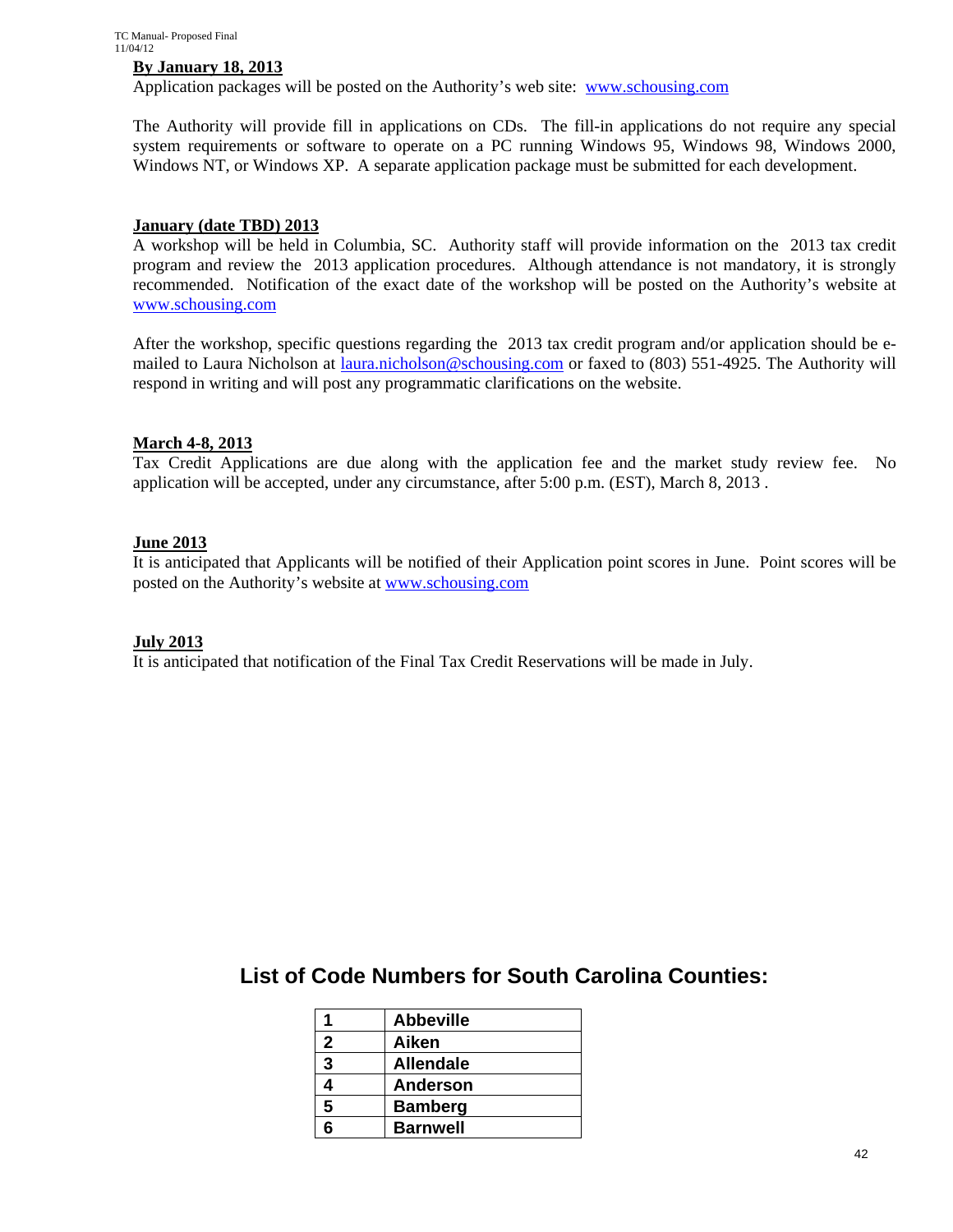#### **By January 18, 2013**

Application packages will be posted on the Authority's web site: www.schousing.com

The Authority will provide fill in applications on CDs. The fill-in applications do not require any special system requirements or software to operate on a PC running Windows 95, Windows 98, Windows 2000, Windows NT, or Windows XP. A separate application package must be submitted for each development.

#### **January (date TBD) 2013**

A workshop will be held in Columbia, SC. Authority staff will provide information on the 2013 tax credit program and review the 2013 application procedures. Although attendance is not mandatory, it is strongly recommended. Notification of the exact date of the workshop will be posted on the Authority's website at www.schousing.com

After the workshop, specific questions regarding the 2013 tax credit program and/or application should be emailed to Laura Nicholson at laura.nicholson@schousing.com or faxed to (803) 551-4925. The Authority will respond in writing and will post any programmatic clarifications on the website.

#### **March 4-8, 2013**

Tax Credit Applications are due along with the application fee and the market study review fee. No application will be accepted, under any circumstance, after 5:00 p.m. (EST), March 8, 2013 .

#### **June 2013**

It is anticipated that Applicants will be notified of their Application point scores in June. Point scores will be posted on the Authority's website at www.schousing.com

#### **July 2013**

It is anticipated that notification of the Final Tax Credit Reservations will be made in July.

**List of Code Numbers for South Carolina Counties:** 

|              | <b>Abbeville</b> |
|--------------|------------------|
| $\mathbf{2}$ | Aiken            |
| 3            | <b>Allendale</b> |
| 4            | <b>Anderson</b>  |
| 5            | <b>Bamberg</b>   |
| ี่ค          | <b>Barnwell</b>  |